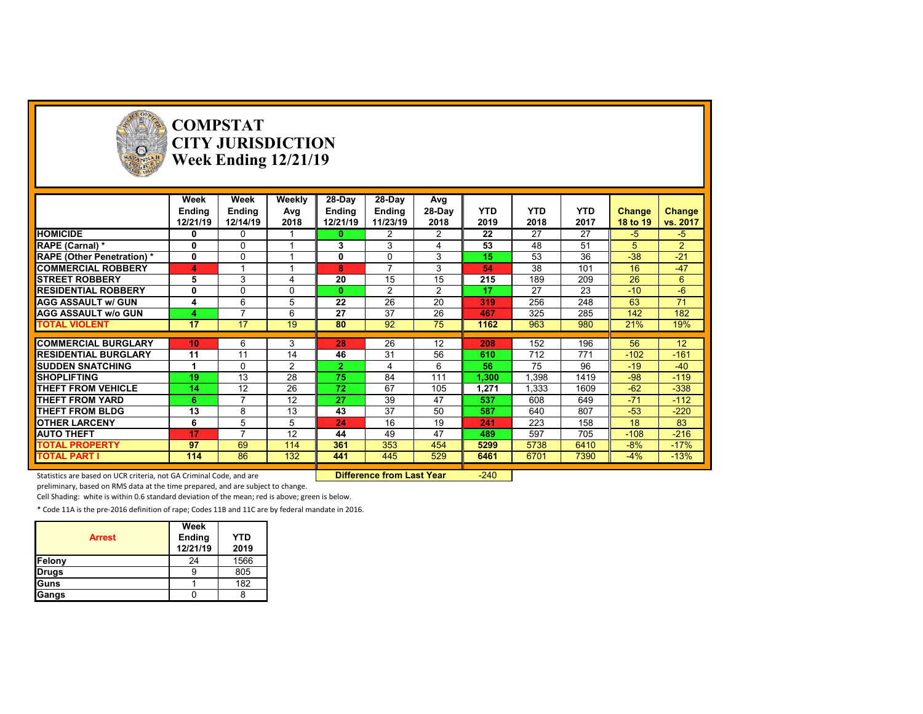

# **COMPSTAT CITY JURISDICTION Week Ending 12/21/19**

|                                  | Week          | Week           | Weekly | 28-Day       | 28-Day         | Avg            |            |            |            |               |                |
|----------------------------------|---------------|----------------|--------|--------------|----------------|----------------|------------|------------|------------|---------------|----------------|
|                                  | <b>Ending</b> | <b>Ending</b>  | Avg    | Ending       | <b>Ending</b>  | 28-Day         | <b>YTD</b> | <b>YTD</b> | <b>YTD</b> | <b>Change</b> | Change         |
|                                  | 12/21/19      | 12/14/19       | 2018   | 12/21/19     | 11/23/19       | 2018           | 2019       | 2018       | 2017       | 18 to 19      | vs. 2017       |
| <b>HOMICIDE</b>                  | 0             | 0              |        | 0            | 2              | $\overline{2}$ | 22         | 27         | 27         | $-5$          | $-5$           |
| RAPE (Carnal) *                  | 0             | $\Omega$       |        | 3            | 3              |                | 53         | 48         | 51         | 5             | $\overline{2}$ |
| <b>RAPE (Other Penetration)*</b> | 0             | $\Omega$       |        | 0            | $\Omega$       | 3              | 15         | 53         | 36         | $-38$         | $-21$          |
| <b>COMMERCIAL ROBBERY</b>        | 4             |                |        | 8            | $\overline{ }$ | 3              | 54         | 38         | 101        | 16            | $-47$          |
| <b>STREET ROBBERY</b>            | 5             | 3              | 4      | 20           | 15             | 15             | 215        | 189        | 209        | 26            | 6              |
| <b>RESIDENTIAL ROBBERY</b>       | 0             | 0              | 0      | 0            | 2              | $\overline{2}$ | 17         | 27         | 23         | $-10$         | $-6$           |
| <b>AGG ASSAULT w/ GUN</b>        | 4             | 6              | 5      | 22           | 26             | 20             | 319        | 256        | 248        | 63            | 71             |
| <b>AGG ASSAULT w/o GUN</b>       |               | $\overline{ }$ | 6      | 27           | 37             | 26             | 467        | 325        | 285        | 142           | 182            |
| <b>TOTAL VIOLENT</b>             | 17            | 17             | 19     | 80           | 92             | 75             | 1162       | 963        | 980        | 21%           | 19%            |
|                                  |               |                |        |              |                |                |            |            |            |               |                |
| <b>COMMERCIAL BURGLARY</b>       | 10            | 6              | 3      | 28           | 26             | 12             | 208        | 152        | 196        | 56            | 12             |
| <b>RESIDENTIAL BURGLARY</b>      | 11            | 11             | 14     | 46           | 31             | 56             | 610        | 712        | 771        | $-102$        | $-161$         |
| <b>SUDDEN SNATCHING</b>          |               | 0              | 2      | $\mathbf{2}$ | 4              | 6              | 56         | 75         | 96         | $-19$         | $-40$          |
| <b>SHOPLIFTING</b>               | 19            | 13             | 28     | 75           | 84             | 111            | 1,300      | 1,398      | 1419       | $-98$         | $-119$         |
| THEFT FROM VEHICLE               | 14            | 12             | 26     | 72           | 67             | 105            | 1,271      | 1,333      | 1609       | $-62$         | $-338$         |
| THEFT FROM YARD                  | 6             |                | 12     | 27           | 39             | 47             | 537        | 608        | 649        | $-71$         | $-112$         |
| <b>THEFT FROM BLDG</b>           | 13            | 8              | 13     | 43           | 37             | 50             | 587        | 640        | 807        | $-53$         | $-220$         |
| <b>OTHER LARCENY</b>             | 6             | 5              | 5      | 24           | 16             | 19             | 241        | 223        | 158        | 18            | 83             |
| <b>AUTO THEFT</b>                | 17            |                | 12     | 44           | 49             | 47             | 489        | 597        | 705        | $-108$        | $-216$         |
| <b>TOTAL PROPERTY</b>            | 97            | 69             | 114    | 361          | 353            | 454            | 5299       | 5738       | 6410       | $-8%$         | $-17%$         |
| <b>TOTAL PART I</b>              | 114           | 86             | 132    | 441          | 445            | 529            | 6461       | 6701       | 7390       | $-4%$         | $-13%$         |
|                                  |               |                |        |              |                |                |            |            |            |               |                |

Statistics are based on UCR criteria, not GA Criminal Code, and are **Difference from Last Year** -240

preliminary, based on RMS data at the time prepared, and are subject to change.

Cell Shading: white is within 0.6 standard deviation of the mean; red is above; green is below.

| <b>Arrest</b> | Week<br><b>Ending</b><br>12/21/19 | <b>YTD</b><br>2019 |
|---------------|-----------------------------------|--------------------|
| Felony        | 24                                | 1566               |
| <b>Drugs</b>  |                                   | 805                |
| lGuns         |                                   | 182                |
| Gangs         |                                   |                    |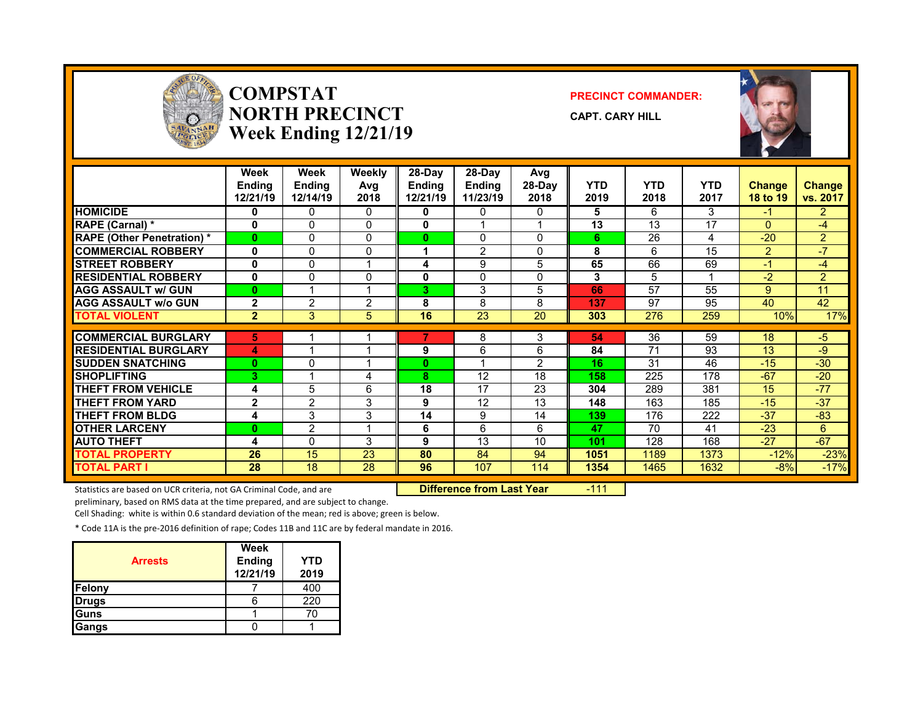

#### **COMPSTATNORTH PRECINCTWeek Ending 12/21/19**

#### **PRECINCT COMMANDER:**

**CAPT. CARY HILL**



|                                   | Week<br><b>Endina</b><br>12/21/19 | Week<br><b>Endina</b><br>12/14/19 | Weekly<br>Avg<br>2018 | 28-Day<br>Endina<br>12/21/19 | $28-Dav$<br><b>Endina</b><br>11/23/19 | Avg<br>28-Day<br>2018 | <b>YTD</b><br>2019 | <b>YTD</b><br>2018 | <b>YTD</b><br>2017 | <b>Change</b><br><b>18 to 19</b> | Change<br>vs. 2017 |
|-----------------------------------|-----------------------------------|-----------------------------------|-----------------------|------------------------------|---------------------------------------|-----------------------|--------------------|--------------------|--------------------|----------------------------------|--------------------|
| <b>HOMICIDE</b>                   | 0                                 | 0                                 | 0                     | 0                            | 0                                     | $\Omega$              | 5                  | 6                  | 3                  | -1                               | $\overline{2}$     |
| RAPE (Carnal) *                   | 0                                 | 0                                 | $\Omega$              | $\mathbf{0}$                 |                                       |                       | 13                 | 13                 | 17                 | $\Omega$                         | $-4$               |
| <b>RAPE (Other Penetration) *</b> | $\bf{0}$                          | 0                                 | $\Omega$              | $\bf{0}$                     | $\Omega$                              | $\Omega$              | 6                  | 26                 | 4                  | $-20$                            | $\overline{2}$     |
| <b>COMMERCIAL ROBBERY</b>         | $\mathbf{0}$                      | 0                                 | $\Omega$              |                              | $\overline{2}$                        | $\Omega$              | 8                  | 6                  | 15                 | 2                                | $\sqrt{7}$         |
| <b>STREET ROBBERY</b>             | $\mathbf{0}$                      | 0                                 |                       | 4                            | 9                                     | 5                     | 65                 | 66                 | 69                 | $-1$                             | -4                 |
| <b>RESIDENTIAL ROBBERY</b>        | 0                                 | 0                                 | 0                     | 0                            | $\Omega$                              | 0                     | 3                  | 5                  |                    | $-2$                             | $\overline{2}$     |
| <b>AGG ASSAULT w/ GUN</b>         | 0                                 |                                   |                       | 3.                           | 3                                     | 5                     | 66                 | 57                 | 55                 | 9                                | 11                 |
| <b>AGG ASSAULT w/o GUN</b>        | $\overline{2}$                    | 2                                 | 2                     | 8                            | 8                                     | 8                     | 137                | 97                 | 95                 | 40                               | 42                 |
| <b>TOTAL VIOLENT</b>              | $\mathbf{2}$                      | 3                                 | 5                     | 16                           | 23                                    | 20                    | 303                | 276                | 259                | 10%                              | 17%                |
|                                   |                                   |                                   |                       |                              |                                       |                       |                    |                    |                    |                                  |                    |
| <b>COMMERCIAL BURGLARY</b>        | 5                                 |                                   |                       |                              | 8                                     | 3                     | 54                 | 36                 | 59                 | 18                               | $-5$               |
| <b>RESIDENTIAL BURGLARY</b>       | 4                                 |                                   |                       | 9                            | 6                                     | 6                     | 84                 | 71                 | 93                 | 13                               | -9                 |
| <b>SUDDEN SNATCHING</b>           | $\Omega$                          | 0                                 |                       | $\bf{0}$                     |                                       | $\overline{2}$        | 16                 | 31                 | 46                 | $-15$                            | $-30$              |
| <b>SHOPLIFTING</b>                | 3                                 |                                   | 4                     | 8                            | 12                                    | 18                    | 158                | 225                | 178                | $-67$                            | $-20$              |
| <b>THEFT FROM VEHICLE</b>         | 4                                 | 5                                 | 6                     | 18                           | 17                                    | 23                    | 304                | 289                | 381                | 15                               | $-77$              |
| <b>THEFT FROM YARD</b>            | $\mathbf{2}$                      | $\mathfrak{p}$                    | 3                     | 9                            | 12                                    | 13                    | 148                | 163                | 185                | $-15$                            | $-37$              |
| <b>THEFT FROM BLDG</b>            | 4                                 | 3                                 | 3                     | 14                           | 9                                     | 14                    | 139                | 176                | 222                | $-37$                            | $-83$              |
| <b>OTHER LARCENY</b>              | $\bf{0}$                          | $\overline{2}$                    |                       | 6                            | 6                                     | 6                     | 47                 | 70                 | 41                 | $-23$                            | 6                  |
| <b>AUTO THEFT</b>                 | 4                                 | 0                                 | 3                     | 9                            | 13                                    | 10                    | 101                | 128                | 168                | $-27$                            | $-67$              |
| <b>TOTAL PROPERTY</b>             | 26                                | 15                                | 23                    | 80                           | 84                                    | 94                    | 1051               | 1189               | 1373               | $-12%$                           | $-23%$             |
| <b>TOTAL PART I</b>               | 28                                | 18                                | 28                    | 96                           | 107                                   | 114                   | 1354               | 1465               | 1632               | $-8%$                            | $-17%$             |

Statistics are based on UCR criteria, not GA Criminal Code, and are **Difference from Last Year** -111

preliminary, based on RMS data at the time prepared, and are subject to change.

Cell Shading: white is within 0.6 standard deviation of the mean; red is above; green is below.

| <b>Arrests</b> | Week<br><b>Ending</b><br>12/21/19 | YTD<br>2019 |
|----------------|-----------------------------------|-------------|
| Felony         |                                   | 400         |
| <b>Drugs</b>   |                                   | 220         |
| Guns           |                                   | 70          |
| Gangs          |                                   |             |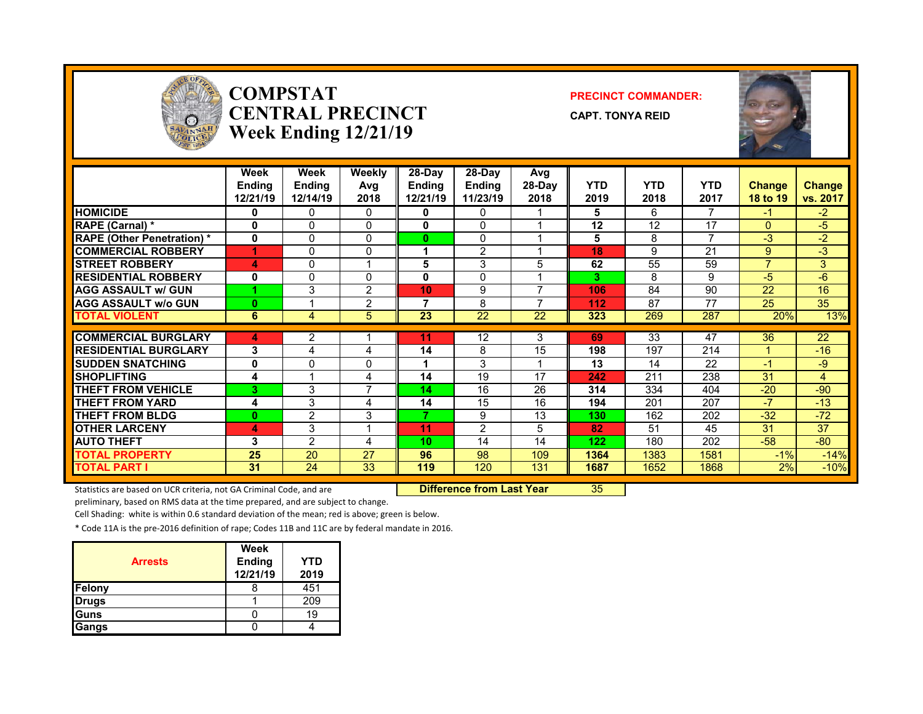

#### **COMPSTATCENTRAL PRECINCTWeek Ending 12/21/19**

#### **PRECINCT COMMANDER:**

**CAPT. TONYA REID**



|                                   | Week<br><b>Endina</b><br>12/21/19 | Week<br><b>Ending</b><br>12/14/19 | Weekly<br>Avg<br>2018 | $28-Dav$<br><b>Ending</b><br>12/21/19 | $28-Dav$<br><b>Ending</b><br>11/23/19 | Avg<br>28-Day<br>2018 | <b>YTD</b><br>2019 | <b>YTD</b><br>2018 | <b>YTD</b><br>2017 | <b>Change</b><br><b>18 to 19</b> | Change<br>vs. 2017 |
|-----------------------------------|-----------------------------------|-----------------------------------|-----------------------|---------------------------------------|---------------------------------------|-----------------------|--------------------|--------------------|--------------------|----------------------------------|--------------------|
| <b>HOMICIDE</b>                   | 0                                 | 0                                 | $\mathbf{0}$          | 0                                     | 0                                     |                       | 5                  | 6                  | $\overline{ }$     | -1                               | $-2$               |
| <b>RAPE (Carnal) *</b>            | 0                                 | 0                                 | $\Omega$              | 0                                     | 0                                     |                       | 12                 | 12                 | 17                 | $\Omega$                         | $-5$               |
| <b>RAPE (Other Penetration)</b> * | 0                                 | 0                                 | $\Omega$              | 0                                     | $\Omega$                              |                       | 5                  | 8                  | $\overline{ }$     | -3                               | $-2$               |
| <b>COMMERCIAL ROBBERY</b>         |                                   | 0                                 | $\Omega$              |                                       | $\overline{2}$                        |                       | 18                 | 9                  | 21                 | 9                                | $-3$               |
| <b>STREET ROBBERY</b>             | 4                                 | 0                                 |                       | 5                                     | 3                                     | 5                     | 62                 | 55                 | 59                 | $\overline{7}$                   | 3 <sup>1</sup>     |
| <b>RESIDENTIAL ROBBERY</b>        | 0                                 | 0                                 | $\Omega$              | 0                                     | 0                                     |                       | 3                  | 8                  | 9                  | -5                               | -6                 |
| <b>AGG ASSAULT w/ GUN</b>         |                                   | 3                                 | 2                     | 10                                    | 9                                     | ⇁                     | 106                | 84                 | 90                 | 22                               | 16                 |
| <b>AGG ASSAULT w/o GUN</b>        | $\bf{0}$                          |                                   | $\overline{2}$        | ⇁                                     | 8                                     | ⇁                     | 112                | 87                 | 77                 | 25                               | 35                 |
| <b>TOTAL VIOLENT</b>              | 6                                 | 4                                 | 5                     | 23                                    | 22                                    | 22                    | 323                | 269                | 287                | 20%                              | 13%                |
|                                   |                                   |                                   |                       |                                       |                                       |                       |                    |                    |                    |                                  |                    |
| <b>COMMERCIAL BURGLARY</b>        | 4                                 | 2                                 |                       | 11                                    | 12                                    | 3                     | 69                 | 33                 | 47                 | 36                               | 22                 |
| <b>RESIDENTIAL BURGLARY</b>       | 3                                 | 4                                 | 4                     | 14                                    | 8                                     | 15                    | 198                | 197                | 214                |                                  | $-16$              |
| <b>ISUDDEN SNATCHING</b>          | 0                                 | 0                                 | 0                     |                                       | 3                                     |                       | 13                 | 14                 | 22                 | $-1$                             | $-9$               |
| <b>SHOPLIFTING</b>                | 4                                 |                                   | 4                     | 14                                    | 19                                    | 17                    | 242                | 211                | 238                | 31                               | 4                  |
| <b>THEFT FROM VEHICLE</b>         | 3                                 | 3                                 | $\overline{ }$        | 14                                    | 16                                    | 26                    | 314                | 334                | 404                | $-20$                            | $-90$              |
| <b>THEFT FROM YARD</b>            | 4                                 | 3                                 | 4                     | 14                                    | 15                                    | 16                    | 194                | 201                | 207                | $-7$                             | $-13$              |
| <b>THEFT FROM BLDG</b>            | 0                                 | $\overline{2}$                    | 3                     | 7                                     | 9                                     | 13                    | 130                | 162                | 202                | $-32$                            | $-72$              |
| <b>OTHER LARCENY</b>              | 4                                 | 3                                 |                       | 11                                    | $\overline{2}$                        | 5                     | 82                 | 51                 | 45                 | 31                               | 37                 |
| <b>AUTO THEFT</b>                 | 3                                 | $\overline{2}$                    | 4                     | 10                                    | 14                                    | 14                    | 122                | 180                | 202                | $-58$                            | $-80$              |
| <b>TOTAL PROPERTY</b>             | 25                                | 20                                | 27                    | 96                                    | 98                                    | 109                   | 1364               | 1383               | 1581               | $-1%$                            | $-14%$             |
| TOTAL PART I                      | 31                                | 24                                | 33                    | 119                                   | 120                                   | 131                   | 1687               | 1652               | 1868               | 2%                               | $-10%$             |

Statistics are based on UCR criteria, not GA Criminal Code, and are **Difference from Last Year** 35

preliminary, based on RMS data at the time prepared, and are subject to change.

Cell Shading: white is within 0.6 standard deviation of the mean; red is above; green is below.

| <b>Arrests</b> | Week<br><b>Ending</b><br>12/21/19 | <b>YTD</b><br>2019 |
|----------------|-----------------------------------|--------------------|
| Felony         |                                   | 451                |
| <b>Drugs</b>   |                                   | 209                |
| Guns           |                                   | 19                 |
| Gangs          |                                   |                    |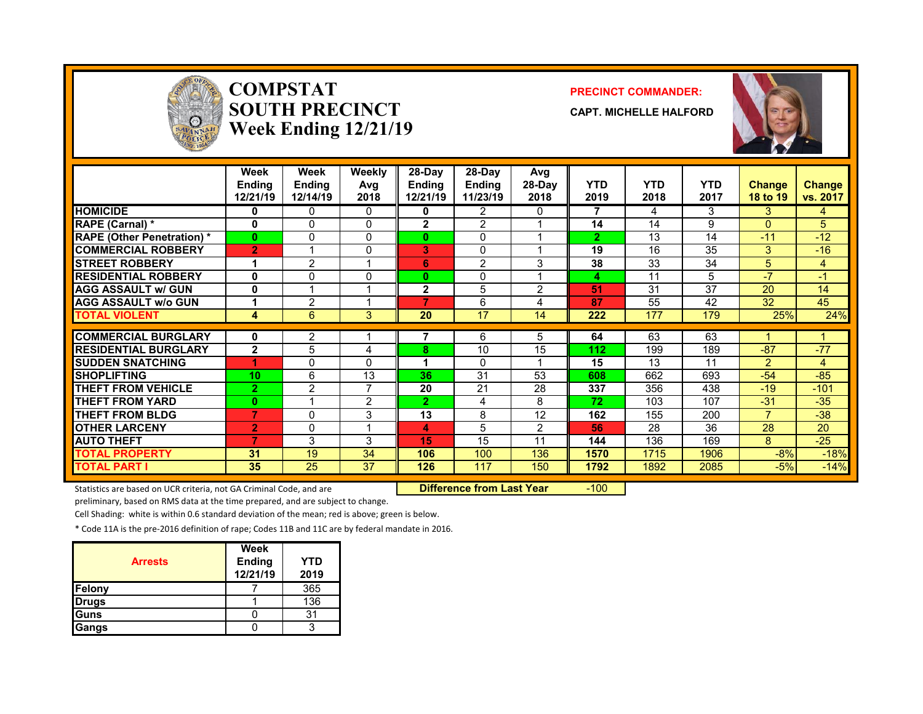

#### **COMPSTATSOUTH PRECINCTWeek Ending 12/21/19**

#### **PRECINCT COMMANDER:**

**CAPT. MICHELLE HALFORD**



|                                   | Week<br><b>Ending</b><br>12/21/19 | Week<br><b>Ending</b><br>12/14/19 | Weekly<br>Avg<br>2018   | 28-Day<br><b>Ending</b><br>12/21/19 | $28-Dav$<br><b>Ending</b><br>11/23/19 | Avg<br>28-Day<br>2018 | <b>YTD</b><br>2019 | <b>YTD</b><br>2018 | <b>YTD</b><br>2017 | <b>Change</b><br>18 to 19 | Change<br>vs. 2017 |
|-----------------------------------|-----------------------------------|-----------------------------------|-------------------------|-------------------------------------|---------------------------------------|-----------------------|--------------------|--------------------|--------------------|---------------------------|--------------------|
| <b>HOMICIDE</b>                   | 0                                 | 0                                 | $\Omega$                | 0                                   | 2                                     | 0                     | 7                  | 4                  | 3                  | 3                         | 4                  |
| <b>RAPE (Carnal) *</b>            | $\mathbf{0}$                      | 0                                 | $\Omega$                | $\mathbf{2}$                        | $\overline{2}$                        |                       | 14                 | 14                 | 9                  | $\Omega$                  | 5                  |
| <b>RAPE (Other Penetration) *</b> | $\mathbf{0}$                      | $\Omega$                          | $\mathbf{0}$            | $\bf{0}$                            | 0                                     |                       | $\overline{2}$     | 13                 | 14                 | $-11$                     | $-12$              |
| <b>COMMERCIAL ROBBERY</b>         | $\overline{2}$                    |                                   | $\mathbf{0}$            | 3                                   | $\mathbf{0}$                          |                       | 19                 | 16                 | 35                 | 3                         | $-16$              |
| <b>ISTREET ROBBERY</b>            |                                   | $\overline{2}$                    |                         | 6                                   | $\overline{2}$                        | 3                     | 38                 | 33                 | 34                 | 5                         | 4                  |
| <b>RESIDENTIAL ROBBERY</b>        | $\mathbf{0}$                      | 0                                 | $\Omega$                | $\mathbf{0}$                        | 0                                     |                       | 4                  | 11                 | 5                  | $-7$                      | $-1$               |
| <b>AGG ASSAULT w/ GUN</b>         | 0                                 |                                   |                         | $\mathbf{2}$                        | 5                                     | $\overline{2}$        | 51                 | 31                 | 37                 | 20                        | 14                 |
| <b>AGG ASSAULT W/o GUN</b>        |                                   | $\overline{2}$                    |                         | 7                                   | 6                                     | 4                     | 87                 | 55                 | 42                 | 32                        | 45                 |
| <b>TOTAL VIOLENT</b>              | 4                                 | 6                                 | 3                       | 20                                  | 17                                    | 14                    | 222                | 177                | 179                | 25%                       | 24%                |
| <b>COMMERCIAL BURGLARY</b>        | 0                                 | 2                                 |                         |                                     | 6                                     | 5                     | 64                 | 63                 | 63                 |                           |                    |
| <b>RESIDENTIAL BURGLARY</b>       | $\mathbf{2}$                      | 5                                 |                         | 8                                   | 10                                    | 15                    | 112                | 199                | 189                | $-87$                     | $-77$              |
|                                   |                                   |                                   | 4                       | 4                                   |                                       |                       |                    |                    |                    |                           |                    |
| <b>ISUDDEN SNATCHING</b>          |                                   | 0                                 | $\Omega$                |                                     | $\Omega$                              |                       | 15                 | 13                 | 11                 | $\mathcal{P}$             | 4                  |
| <b>SHOPLIFTING</b>                | 10                                | 6                                 | 13                      | 36                                  | 31                                    | 53                    | 608                | 662                | 693                | $-54$                     | $-85$              |
| <b>THEFT FROM VEHICLE</b>         | $\overline{2}$                    | $\overline{2}$                    | 7                       | 20                                  | 21                                    | 28                    | 337                | 356                | 438                | $-19$                     | $-101$             |
| <b>THEFT FROM YARD</b>            | $\bf{0}$                          | и                                 | $\overline{2}$          | 2.                                  | 4                                     | 8                     | 72                 | 103                | 107                | $-31$                     | $-35$              |
| <b>THEFT FROM BLDG</b>            | 7                                 | 0                                 | 3                       | 13                                  | 8                                     | 12                    | 162                | 155                | 200                | 7                         | $-38$              |
| <b>OTHER LARCENY</b>              | $\overline{2}$                    | 0                                 | $\overline{\mathbf{A}}$ | 4                                   | 5                                     | 2                     | 56                 | 28                 | 36                 | 28                        | 20                 |
| <b>AUTO THEFT</b>                 | $\overline{7}$                    | 3                                 | 3                       | 15                                  | 15                                    | 11                    | 144                | 136                | 169                | 8                         | $-25$              |
| <b>TOTAL PROPERTY</b>             | 31                                | 19                                | 34                      | 106                                 | 100                                   | 136                   | 1570               | 1715               | 1906               | $-8%$                     | $-18%$             |
| <b>TOTAL PART I</b>               | 35                                | 25                                | 37                      | 126                                 | 117                                   | 150                   | 1792               | 1892               | 2085               | $-5%$                     | $-14%$             |

Statistics are based on UCR criteria, not GA Criminal Code, and are **Difference from Last Year** -100

preliminary, based on RMS data at the time prepared, and are subject to change.

Cell Shading: white is within 0.6 standard deviation of the mean; red is above; green is below.

| <b>Arrests</b> | Week<br><b>Ending</b><br>12/21/19 | YTD<br>2019 |
|----------------|-----------------------------------|-------------|
| Felony         |                                   | 365         |
| <b>Drugs</b>   |                                   | 136         |
| <b>IGuns</b>   |                                   | 31          |
| Gangs          |                                   |             |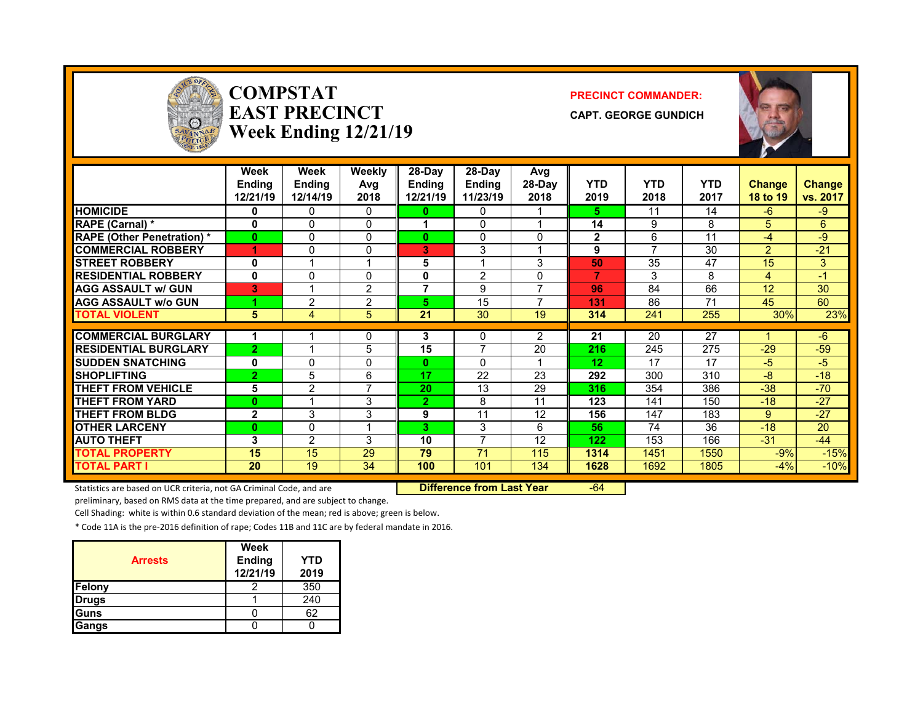

#### **COMPSTATEAST PRECINCTWeek Ending 12/21/19**

#### **PRECINCT COMMANDER:**

**CAPT. GEORGE GUNDICH**



|                                   | Week<br>Ending<br>12/21/19 | Week<br><b>Endina</b><br>12/14/19 | <b>Weekly</b><br>Avg<br>2018 | 28-Day<br><b>Ending</b><br>12/21/19 | 28-Dav<br><b>Ending</b><br>11/23/19 | Avg<br>28-Day<br>2018    | <b>YTD</b><br>2019 | <b>YTD</b><br>2018 | <b>YTD</b><br>2017 | <b>Change</b><br>18 to 19 | <b>Change</b><br>vs. 2017 |
|-----------------------------------|----------------------------|-----------------------------------|------------------------------|-------------------------------------|-------------------------------------|--------------------------|--------------------|--------------------|--------------------|---------------------------|---------------------------|
| <b>HOMICIDE</b>                   | 0                          | 0                                 | 0                            | n                                   | 0                                   |                          | 5.                 | 11                 | 14                 | $-6$                      | $-9$                      |
| RAPE (Carnal) *                   | 0                          | 0                                 | 0                            |                                     | $\Omega$                            |                          | 14                 | 9                  | 8                  | 5.                        | 6                         |
| <b>RAPE (Other Penetration)</b> * | $\bf{0}$                   | 0                                 | 0                            | 0                                   | $\mathbf{0}$                        | 0                        | $\mathbf{2}$       | 6                  | 11                 | $-4$                      | -9                        |
| <b>COMMERCIAL ROBBERY</b>         | 4                          | 0                                 | 0                            | 3                                   | 3                                   |                          | 9                  | 7                  | 30                 | $\overline{2}$            | $-21$                     |
| <b>STREET ROBBERY</b>             | 0                          |                                   | 1                            | 5                                   |                                     | 3                        | 50                 | 35                 | 47                 | 15                        | 3                         |
| <b>RESIDENTIAL ROBBERY</b>        | 0                          | 0                                 | 0                            | 0                                   | 2                                   | 0                        | 7                  | 3                  | 8                  | 4                         | $-1$                      |
| <b>AGG ASSAULT w/ GUN</b>         | 3                          |                                   | 2                            | 7                                   | 9                                   | $\overline{\phantom{a}}$ | 96                 | 84                 | 66                 | 12                        | 30                        |
| <b>AGG ASSAULT W/o GUN</b>        |                            | 2                                 | 2                            | 5                                   | 15                                  |                          | 131                | 86                 | 71                 | 45                        | 60                        |
| <b>TOTAL VIOLENT</b>              | 5                          | 4                                 | 5                            | 21                                  | 30                                  | 19                       | 314                | 241                | 255                | 30%                       | 23%                       |
|                                   |                            |                                   |                              |                                     |                                     |                          |                    |                    |                    |                           |                           |
| <b>COMMERCIAL BURGLARY</b>        |                            |                                   | 0                            | 3                                   | 0                                   | 2                        | 21                 | 20                 | 27                 |                           | $-6$                      |
| <b>RESIDENTIAL BURGLARY</b>       | $\overline{2}$             |                                   | 5                            | 15                                  | 7                                   | 20                       | 216                | 245                | 275                | $-29$                     | $-59$                     |
| <b>ISUDDEN SNATCHING</b>          | 0                          | 0                                 | 0                            | $\mathbf{0}$                        | $\Omega$                            |                          | 12                 | 17                 | 17                 | $-5$                      | $-5$                      |
| <b>SHOPLIFTING</b>                | $\overline{2}$             | 5                                 | 6                            | 17                                  | 22                                  | 23                       | 292                | 300                | 310                | $-8$                      | $-18$                     |
| <b>THEFT FROM VEHICLE</b>         | 5                          | 2                                 | $\overline{7}$               | 20                                  | 13                                  | 29                       | 316                | 354                | 386                | $-38$                     | $-70$                     |
| <b>THEFT FROM YARD</b>            | $\bf{0}$                   |                                   | 3                            | 2                                   | 8                                   | 11                       | 123                | 141                | 150                | $-18$                     | $-27$                     |
| <b>THEFT FROM BLDG</b>            | $\mathbf{2}$               | 3                                 | 3                            | 9                                   | 11                                  | 12                       | 156                | 147                | 183                | 9                         | $-27$                     |
| <b>OTHER LARCENY</b>              | $\bf{0}$                   | 0                                 | 1                            | 3.                                  | 3                                   | 6                        | 56                 | 74                 | 36                 | $-18$                     | 20                        |
| <b>AUTO THEFT</b>                 | 3                          | $\overline{2}$                    | 3                            | 10                                  | $\overline{ }$                      | 12                       | 122                | 153                | 166                | $-31$                     | $-44$                     |
| <b>TOTAL PROPERTY</b>             | 15                         | 15                                | 29                           | 79                                  | 71                                  | 115                      | 1314               | 1451               | 1550               | $-9%$                     | $-15%$                    |
| <b>TOTAL PART I</b>               | 20                         | 19                                | 34                           | 100                                 | 101                                 | 134                      | 1628               | 1692               | 1805               | $-4%$                     | $-10%$                    |

Statistics are based on UCR criteria, not GA Criminal Code, and are **Difference from Last Year** -64

preliminary, based on RMS data at the time prepared, and are subject to change.

Cell Shading: white is within 0.6 standard deviation of the mean; red is above; green is below.

| <b>Arrests</b> | Week<br><b>Ending</b><br>12/21/19 | YTD<br>2019 |
|----------------|-----------------------------------|-------------|
| <b>Felony</b>  |                                   | 350         |
| <b>Drugs</b>   |                                   | 240         |
| <b>Guns</b>    |                                   | 62          |
| Gangs          |                                   |             |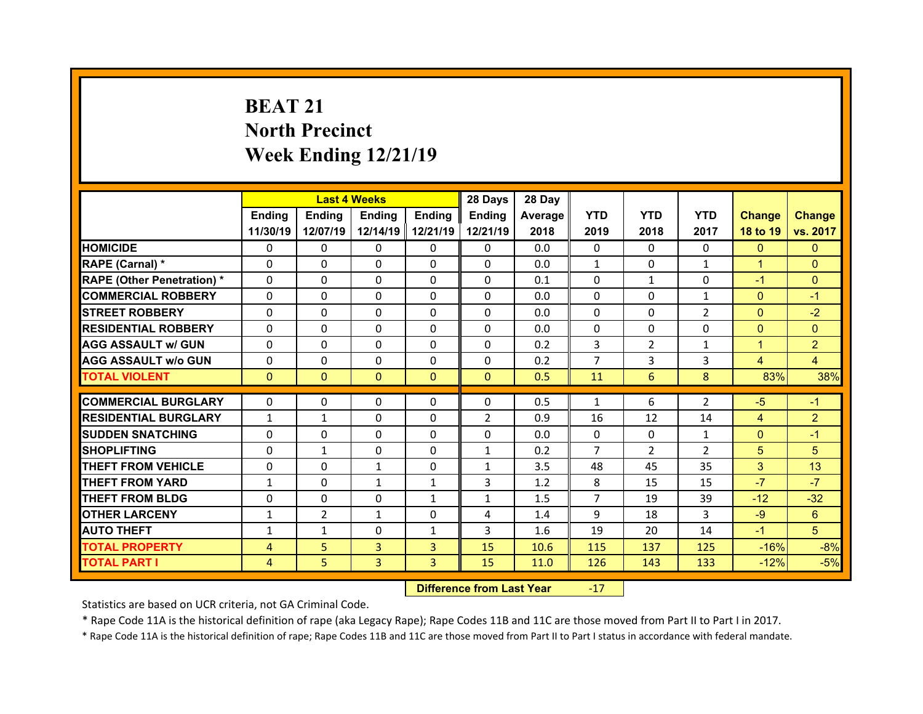## **BEAT 21North Precinct Week Ending 12/21/19**

|                                   |               | <b>Last 4 Weeks</b> |               |                | 28 Days                              | 28 Day  |                |                |                |                |                |
|-----------------------------------|---------------|---------------------|---------------|----------------|--------------------------------------|---------|----------------|----------------|----------------|----------------|----------------|
|                                   | <b>Endina</b> | Ending              | <b>Ending</b> | <b>Endina</b>  | <b>Ending</b>                        | Average | <b>YTD</b>     | <b>YTD</b>     | <b>YTD</b>     | <b>Change</b>  | <b>Change</b>  |
|                                   | 11/30/19      | 12/07/19            | 12/14/19      | 12/21/19       | 12/21/19                             | 2018    | 2019           | 2018           | 2017           | 18 to 19       | vs. 2017       |
| <b>HOMICIDE</b>                   | $\mathbf{0}$  | 0                   | 0             | $\mathbf{0}$   | 0                                    | 0.0     | $\Omega$       | $\Omega$       | $\Omega$       | $\mathbf{0}$   | $\mathbf{0}$   |
| RAPE (Carnal) *                   | 0             | 0                   | 0             | $\mathbf{0}$   | 0                                    | 0.0     | $\mathbf{1}$   | $\Omega$       | $\mathbf{1}$   | $\mathbf{1}$   | $\Omega$       |
| <b>RAPE (Other Penetration) *</b> | 0             | 0                   | 0             | $\Omega$       | 0                                    | 0.1     | $\Omega$       | $\mathbf{1}$   | $\Omega$       | $-1$           | $\Omega$       |
| <b>COMMERCIAL ROBBERY</b>         | $\Omega$      | $\Omega$            | $\mathbf{0}$  | $\Omega$       | $\Omega$                             | 0.0     | $\Omega$       | $\Omega$       | $\mathbf{1}$   | $\overline{0}$ | $-1$           |
| <b>STREET ROBBERY</b>             | 0             | $\Omega$            | $\Omega$      | $\Omega$       | 0                                    | 0.0     | 0              | $\Omega$       | $\overline{2}$ | $\overline{0}$ | $-2$           |
| <b>RESIDENTIAL ROBBERY</b>        | $\Omega$      | 0                   | $\mathbf{0}$  | $\mathbf{0}$   | $\Omega$                             | 0.0     | 0              | $\Omega$       | $\Omega$       | $\overline{0}$ | $\Omega$       |
| <b>AGG ASSAULT w/ GUN</b>         | 0             | 0                   | $\Omega$      | $\Omega$       | 0                                    | 0.2     | 3              | $\overline{2}$ | $\mathbf{1}$   | $\mathbf{1}$   | $\overline{2}$ |
| <b>AGG ASSAULT w/o GUN</b>        | 0             | 0                   | 0             | $\mathbf{0}$   | 0                                    | 0.2     | $\overline{7}$ | 3              | 3              | $\overline{4}$ | $\overline{4}$ |
| <b>TOTAL VIOLENT</b>              | $\Omega$      | $\Omega$            | $\mathbf{0}$  | $\mathbf{0}$   | $\Omega$                             | 0.5     | 11             | 6              | 8              | 83%            | 38%            |
| <b>COMMERCIAL BURGLARY</b>        |               |                     |               |                |                                      |         |                |                |                |                |                |
|                                   | 0             | 0                   | 0             | 0              | 0                                    | 0.5     | $\mathbf{1}$   | 6              | $\overline{2}$ | $-5$           | $-1$           |
| <b>RESIDENTIAL BURGLARY</b>       | $\mathbf{1}$  | $\mathbf{1}$        | 0             | $\Omega$       | $\overline{2}$                       | 0.9     | 16             | 12             | 14             | $\overline{4}$ | $\overline{2}$ |
| <b>SUDDEN SNATCHING</b>           | 0             | $\Omega$            | $\Omega$      | $\Omega$       | $\Omega$                             | 0.0     | $\Omega$       | $\mathbf 0$    | $\mathbf{1}$   | $\mathbf{0}$   | $-1$           |
| <b>SHOPLIFTING</b>                | 0             | $\mathbf{1}$        | $\Omega$      | $\Omega$       | $\mathbf{1}$                         | 0.2     | $\overline{7}$ | $\overline{2}$ | $\overline{2}$ | 5              | 5              |
| <b>THEFT FROM VEHICLE</b>         | 0             | 0                   | $\mathbf{1}$  | $\Omega$       | $\mathbf{1}$                         | 3.5     | 48             | 45             | 35             | 3              | 13             |
| <b>THEFT FROM YARD</b>            | $\mathbf{1}$  | 0                   | $\mathbf{1}$  | $\mathbf{1}$   | 3                                    | 1.2     | 8              | 15             | 15             | $-7$           | $-7$           |
| <b>THEFT FROM BLDG</b>            | 0             | 0                   | 0             | $\mathbf{1}$   | $\mathbf{1}$                         | 1.5     | $\overline{7}$ | 19             | 39             | $-12$          | $-32$          |
| <b>OTHER LARCENY</b>              | $\mathbf{1}$  | $\overline{2}$      | $\mathbf{1}$  | $\Omega$       | 4                                    | 1.4     | 9              | 18             | 3              | $-9$           | $6^{\circ}$    |
| <b>AUTO THEFT</b>                 | $\mathbf{1}$  | $\mathbf{1}$        | $\Omega$      | $\mathbf{1}$   | 3                                    | 1.6     | 19             | 20             | 14             | $-1$           | 5 <sup>1</sup> |
| <b>TOTAL PROPERTY</b>             | 4             | 5                   | 3             | 3              | 15                                   | 10.6    | 115            | 137            | 125            | $-16%$         | $-8%$          |
| <b>TOTAL PART I</b>               | 4             | 5                   | 3             | $\overline{3}$ | 15                                   | 11.0    | 126            | 143            | 133            | $-12%$         | $-5%$          |
|                                   |               |                     |               |                | <b>Difference Connectional Means</b> |         | $4 -$          |                |                |                |                |

 **Difference from Last Year**r -17

Statistics are based on UCR criteria, not GA Criminal Code.

\* Rape Code 11A is the historical definition of rape (aka Legacy Rape); Rape Codes 11B and 11C are those moved from Part II to Part I in 2017.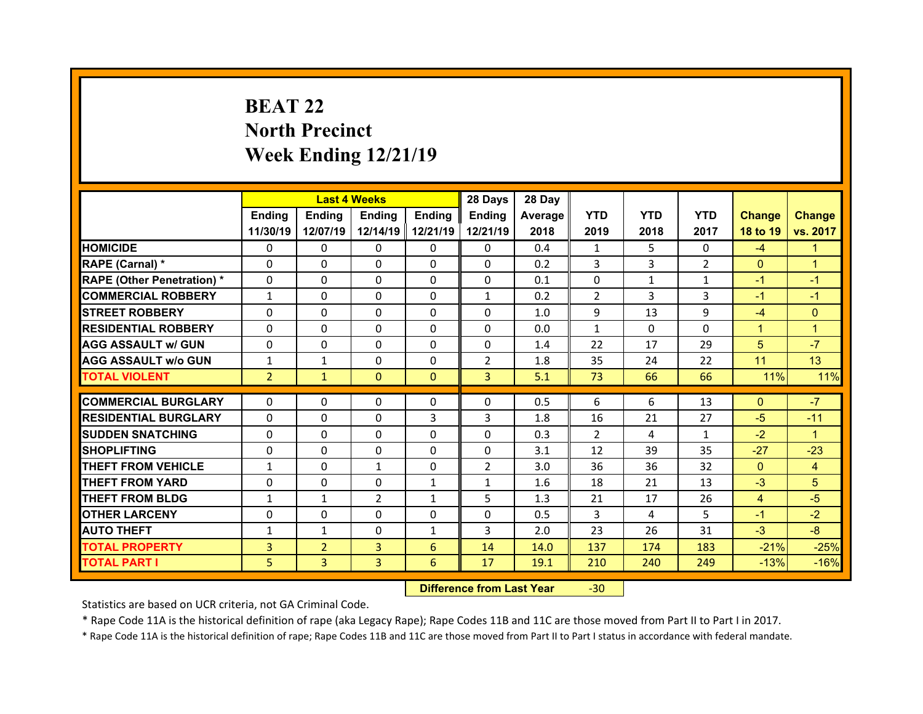## **BEAT 22North Precinct Week Ending 12/21/19**

|                                  |                | <b>Last 4 Weeks</b> |              |              | 28 Days        | 28 Day  |                |              |                |                |                |
|----------------------------------|----------------|---------------------|--------------|--------------|----------------|---------|----------------|--------------|----------------|----------------|----------------|
|                                  | Ending         | <b>Ending</b>       | Ending       | Ending       | Ending         | Average | <b>YTD</b>     | <b>YTD</b>   | <b>YTD</b>     | <b>Change</b>  | <b>Change</b>  |
|                                  | 11/30/19       | 12/07/19            | 12/14/19     | 12/21/19     | 12/21/19       | 2018    | 2019           | 2018         | 2017           | 18 to 19       | vs. 2017       |
| <b>HOMICIDE</b>                  | $\Omega$       | $\Omega$            | $\Omega$     | $\Omega$     | $\Omega$       | 0.4     | 1              | 5            | $\Omega$       | $-4$           | 1              |
| RAPE (Carnal) *                  | $\Omega$       | $\Omega$            | $\Omega$     | $\Omega$     | $\Omega$       | 0.2     | 3              | 3            | $\overline{2}$ | $\mathbf{0}$   | $\mathbf{1}$   |
| <b>RAPE (Other Penetration)*</b> | $\Omega$       | $\Omega$            | $\mathbf{0}$ | $\Omega$     | $\Omega$       | 0.1     | $\Omega$       | $\mathbf{1}$ | $\mathbf{1}$   | $-1$           | $-1$           |
| <b>COMMERCIAL ROBBERY</b>        | $\mathbf{1}$   | $\Omega$            | $\mathbf{0}$ | $\Omega$     | $\mathbf{1}$   | 0.2     | $\overline{2}$ | 3            | 3              | $-1$           | $-1$           |
| <b>STREET ROBBERY</b>            | $\Omega$       | $\Omega$            | $\Omega$     | $\Omega$     | $\Omega$       | 1.0     | 9              | 13           | 9              | $-4$           | $\Omega$       |
| <b>RESIDENTIAL ROBBERY</b>       | $\Omega$       | $\Omega$            | $\mathbf{0}$ | $\Omega$     | $\Omega$       | 0.0     | $\mathbf{1}$   | $\Omega$     | $\Omega$       | $\mathbf{1}$   | $\overline{1}$ |
| <b>AGG ASSAULT w/ GUN</b>        | $\Omega$       | 0                   | $\Omega$     | $\Omega$     | $\Omega$       | 1.4     | 22             | 17           | 29             | 5              | $-7$           |
| <b>AGG ASSAULT w/o GUN</b>       | $\mathbf{1}$   | $\mathbf{1}$        | $\mathbf{0}$ | $\Omega$     | $\overline{2}$ | 1.8     | 35             | 24           | 22             | 11             | 13             |
| <b>TOTAL VIOLENT</b>             | $\overline{2}$ | $\mathbf{1}$        | $\mathbf{0}$ | $\Omega$     | $\overline{3}$ | 5.1     | 73             | 66           | 66             | 11%            | 11%            |
|                                  | 0              |                     | 0            |              | 0              | 0.5     | 6              | 6            | 13             |                | $-7$           |
| <b>COMMERCIAL BURGLARY</b>       |                | 0                   |              | $\mathbf{0}$ |                |         |                |              |                |                |                |
|                                  |                |                     |              |              |                |         |                |              |                | $\mathbf{0}$   |                |
| <b>RESIDENTIAL BURGLARY</b>      | 0              | $\Omega$            | $\Omega$     | 3            | 3              | 1.8     | 16             | 21           | 27             | $-5$           | $-11$          |
| <b>SUDDEN SNATCHING</b>          | $\Omega$       | 0                   | $\mathbf{0}$ | $\Omega$     | $\Omega$       | 0.3     | $\overline{2}$ | 4            | $\mathbf{1}$   | $-2$           | $\mathbf{1}$   |
| <b>SHOPLIFTING</b>               | 0              | 0                   | 0            | $\Omega$     | 0              | 3.1     | 12             | 39           | 35             | $-27$          | $-23$          |
| <b>THEFT FROM VEHICLE</b>        | $\mathbf{1}$   | 0                   | $\mathbf{1}$ | $\mathbf{0}$ | $\overline{2}$ | 3.0     | 36             | 36           | 32             | $\overline{0}$ | $\overline{4}$ |
| <b>THEFT FROM YARD</b>           | 0              | 0                   | 0            | $\mathbf{1}$ | $\mathbf{1}$   | 1.6     | 18             | 21           | 13             | $-3$           | 5              |
| <b>THEFT FROM BLDG</b>           | $\mathbf{1}$   | $\mathbf{1}$        | 2            | 1            | 5              | 1.3     | 21             | 17           | 26             | $\overline{4}$ | $-5$           |
| <b>OTHER LARCENY</b>             | $\mathbf{0}$   | 0                   | $\Omega$     | $\Omega$     | 0              | 0.5     | 3              | 4            | 5.             | $-1$           | $-2$           |
| <b>AUTO THEFT</b>                | $\mathbf{1}$   | $\mathbf{1}$        | $\mathbf{0}$ | $\mathbf{1}$ | 3              | 2.0     | 23             | 26           | 31             | $-3$           | $-8$           |
| <b>TOTAL PROPERTY</b>            | 3              | $\overline{2}$      | 3            | 6            | 14             | 14.0    | 137            | 174          | 183            | $-21%$         | $-25%$         |
| <b>TOTAL PART I</b>              | 5              | 3                   | 3            | 6            | 17             | 19.1    | 210            | 240          | 249            | $-13%$         | $-16%$         |

 **Difference from Last Year**‐30

Statistics are based on UCR criteria, not GA Criminal Code.

\* Rape Code 11A is the historical definition of rape (aka Legacy Rape); Rape Codes 11B and 11C are those moved from Part II to Part I in 2017.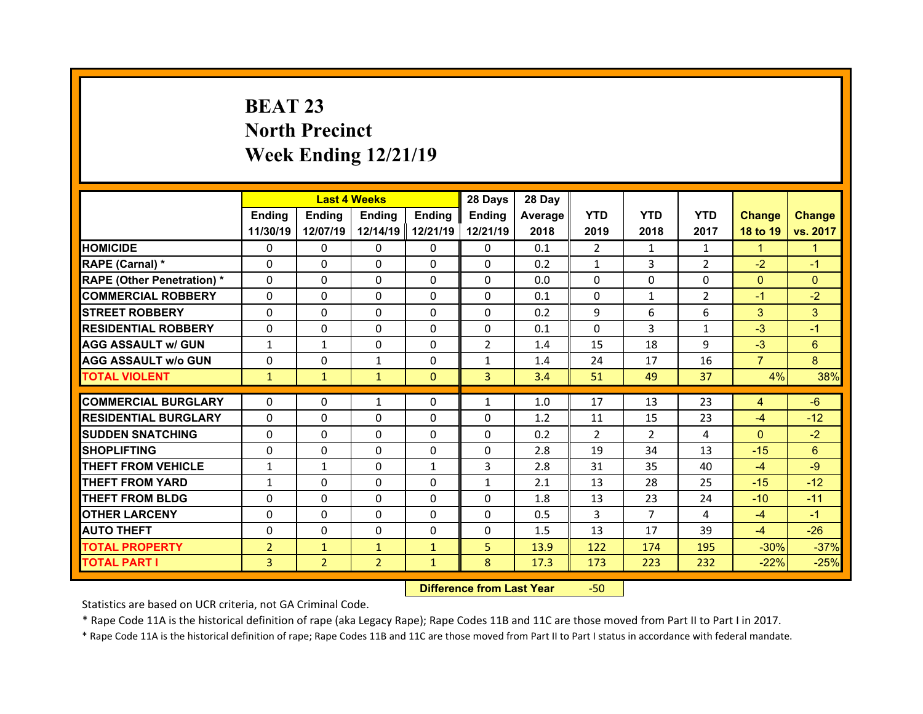## **BEAT 23 North Precinct Week Ending 12/21/19**

|                                   |                |                | <b>Last 4 Weeks</b> |               | 28 Days        | 28 Day  |              |                |                |                |               |
|-----------------------------------|----------------|----------------|---------------------|---------------|----------------|---------|--------------|----------------|----------------|----------------|---------------|
|                                   | <b>Ending</b>  | <b>Endina</b>  | <b>Ending</b>       | <b>Ending</b> | <b>Endina</b>  | Average | <b>YTD</b>   | <b>YTD</b>     | <b>YTD</b>     | <b>Change</b>  | <b>Change</b> |
|                                   | 11/30/19       | 12/07/19       | 12/14/19            | 12/21/19      | 12/21/19       | 2018    | 2019         | 2018           | 2017           | 18 to 19       | vs. 2017      |
| <b>HOMICIDE</b>                   | 0              | 0              | 0                   | 0             | 0              | 0.1     | 2            | 1              | $\mathbf{1}$   | $\mathbf{1}$   | 1.            |
| RAPE (Carnal) *                   | 0              | 0              | 0                   | $\Omega$      | 0              | 0.2     | $\mathbf{1}$ | 3              | $\overline{2}$ | $-2$           | $-1$          |
| <b>RAPE (Other Penetration) *</b> | 0              | $\Omega$       | $\Omega$            | $\Omega$      | 0              | 0.0     | 0            | $\Omega$       | $\Omega$       | $\overline{0}$ | $\Omega$      |
| <b>COMMERCIAL ROBBERY</b>         | 0              | 0              | $\mathbf{0}$        | $\mathbf{0}$  | 0              | 0.1     | 0            | $\mathbf{1}$   | $\overline{2}$ | $-1$           | $-2$          |
| <b>STREET ROBBERY</b>             | 0              | $\Omega$       | $\Omega$            | $\Omega$      | 0              | 0.2     | 9            | 6              | 6              | 3              | 3             |
| <b>RESIDENTIAL ROBBERY</b>        | $\mathbf{0}$   | 0              | $\mathbf{0}$        | $\mathbf{0}$  | 0              | 0.1     | $\Omega$     | 3              | $\mathbf{1}$   | $-3$           | $-1$          |
| <b>AGG ASSAULT w/ GUN</b>         | $\mathbf{1}$   | $\mathbf{1}$   | $\Omega$            | $\Omega$      | $\overline{2}$ | 1.4     | 15           | 18             | 9              | $-3$           | 6             |
| <b>AGG ASSAULT w/o GUN</b>        | $\mathbf{0}$   | 0              | $\mathbf{1}$        | $\mathbf{0}$  | $\mathbf{1}$   | 1.4     | 24           | 17             | 16             | $\overline{7}$ | 8             |
| <b>TOTAL VIOLENT</b>              | $\mathbf{1}$   | $\mathbf{1}$   | $\mathbf{1}$        | $\mathbf{0}$  | $\overline{3}$ | 3.4     | 51           | 49             | 37             | 4%             | 38%           |
|                                   |                |                |                     |               |                |         |              |                |                |                |               |
| <b>COMMERCIAL BURGLARY</b>        | 0              | 0              | $\mathbf{1}$        | 0             | $\mathbf{1}$   | 1.0     | 17           | 13             | 23             | 4              | $-6$          |
| <b>RESIDENTIAL BURGLARY</b>       | 0              | 0              | 0                   | 0             | 0              | 1.2     | 11           | 15             | 23             | $-4$           | $-12$         |
| <b>SUDDEN SNATCHING</b>           | 0              | $\Omega$       | 0                   | $\Omega$      | 0              | 0.2     | 2            | $\overline{2}$ | 4              | $\mathbf{0}$   | $-2$          |
| <b>SHOPLIFTING</b>                | 0              | 0              | 0                   | $\Omega$      | $\Omega$       | 2.8     | 19           | 34             | 13             | $-15$          | 6             |
| <b>THEFT FROM VEHICLE</b>         | $\mathbf{1}$   | $\mathbf{1}$   | $\Omega$            | $\mathbf{1}$  | 3              | 2.8     | 31           | 35             | 40             | $-4$           | $-9$          |
| <b>THEFT FROM YARD</b>            | $\mathbf{1}$   | $\Omega$       | $\Omega$            | $\Omega$      | $\mathbf{1}$   | 2.1     | 13           | 28             | 25             | $-15$          | $-12$         |
| <b>THEFT FROM BLDG</b>            | 0              | 0              | $\Omega$            | $\Omega$      | 0              | 1.8     | 13           | 23             | 24             | $-10$          | $-11$         |
| <b>OTHER LARCENY</b>              | 0              | $\Omega$       | 0                   | $\Omega$      | 0              | 0.5     | 3            | $\overline{7}$ | 4              | $-4$           | $-1$          |
| <b>AUTO THEFT</b>                 | 0              | 0              | $\mathbf{0}$        | $\mathbf{0}$  | 0              | 1.5     | 13           | 17             | 39             | $-4$           | $-26$         |
| <b>TOTAL PROPERTY</b>             | $\overline{2}$ | $\mathbf{1}$   | $\mathbf{1}$        | $\mathbf{1}$  | 5              | 13.9    | 122          | 174            | 195            | $-30%$         | $-37%$        |
|                                   |                |                |                     |               |                |         |              |                |                |                |               |
| <b>TOTAL PART I</b>               | 3              | $\overline{2}$ | $\overline{2}$      | $\mathbf{1}$  | 8              | 17.3    | 173          | 223            | 232            | $-22%$         | $-25%$        |

 **Difference from Last Year**r -50

Statistics are based on UCR criteria, not GA Criminal Code.

\* Rape Code 11A is the historical definition of rape (aka Legacy Rape); Rape Codes 11B and 11C are those moved from Part II to Part I in 2017.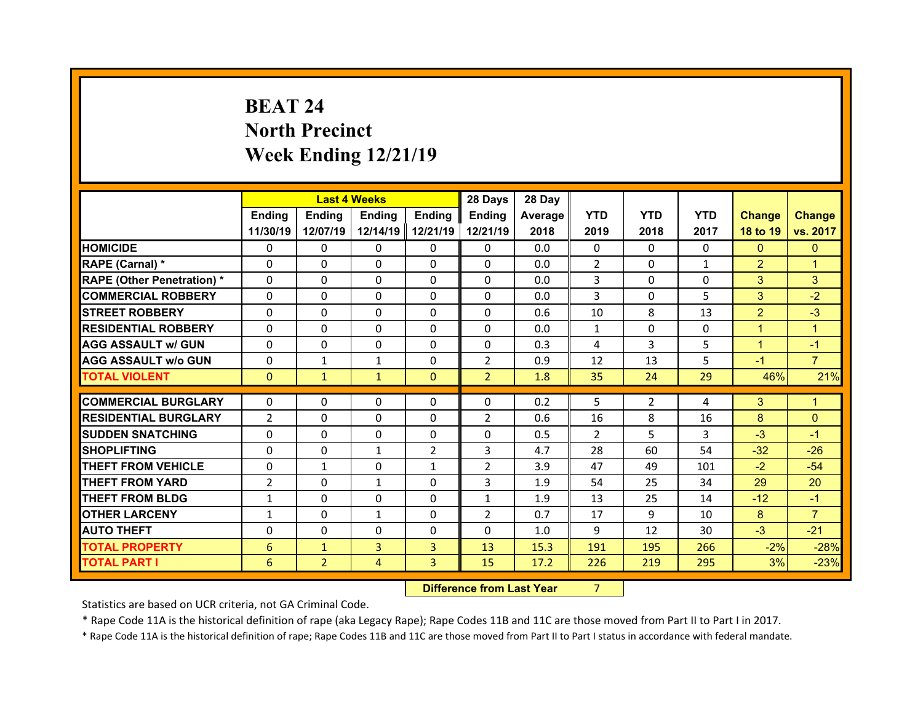## **BEAT 24North Precinct Week Ending 12/21/19**

|                                   |                 | <b>Last 4 Weeks</b> |                |               | 28 Days        | 28 Day  |                |                |              |                |                |
|-----------------------------------|-----------------|---------------------|----------------|---------------|----------------|---------|----------------|----------------|--------------|----------------|----------------|
|                                   | <b>Ending</b>   | Ending              | Ending         | <b>Ending</b> | <b>Ending</b>  | Average | <b>YTD</b>     | <b>YTD</b>     | <b>YTD</b>   | <b>Change</b>  | <b>Change</b>  |
|                                   | 11/30/19        | 12/07/19            | 12/14/19       | 12/21/19      | 12/21/19       | 2018    | 2019           | 2018           | 2017         | 18 to 19       | vs. 2017       |
| <b>HOMICIDE</b>                   | 0               | 0                   | 0              | 0             | 0              | 0.0     | 0              | $\mathbf{0}$   | $\mathbf{0}$ | $\mathbf{0}$   | $\mathbf{0}$   |
| RAPE (Carnal) *                   | 0               | 0                   | 0              | $\Omega$      | $\Omega$       | 0.0     | $\overline{2}$ | $\Omega$       | $\mathbf{1}$ | $\overline{2}$ | 1              |
| <b>RAPE (Other Penetration) *</b> | $\Omega$        | 0                   | $\Omega$       | $\Omega$      | 0              | 0.0     | 3              | $\Omega$       | 0            | 3              | 3              |
| <b>COMMERCIAL ROBBERY</b>         | 0               | 0                   | 0              | $\Omega$      | $\Omega$       | 0.0     | 3              | $\Omega$       | 5            | 3              | $-2$           |
| <b>STREET ROBBERY</b>             | $\Omega$        | 0                   | 0              | $\mathbf{0}$  | $\Omega$       | 0.6     | 10             | 8              | 13           | $\overline{2}$ | $-3$           |
| <b>RESIDENTIAL ROBBERY</b>        | $\Omega$        | 0                   | $\Omega$       | $\Omega$      | $\Omega$       | 0.0     | $\mathbf{1}$   | $\Omega$       | 0            | $\mathbf{1}$   | $\mathbf{1}$   |
| <b>AGG ASSAULT w/ GUN</b>         | $\Omega$        | 0                   | 0              | $\mathbf{0}$  | $\Omega$       | 0.3     | 4              | 3              | 5            | $\mathbf{1}$   | $-1$           |
| <b>AGG ASSAULT w/o GUN</b>        | 0               | $\mathbf{1}$        | $\mathbf{1}$   | $\mathbf{0}$  | $\overline{2}$ | 0.9     | 12             | 13             | 5            | $-1$           | $\overline{7}$ |
| <b>TOTAL VIOLENT</b>              | $\mathbf{0}$    | $\mathbf{1}$        | $\mathbf{1}$   | $\mathbf{0}$  | $\overline{2}$ | 1.8     | 35             | 24             | 29           | 46%            | 21%            |
| <b>COMMERCIAL BURGLARY</b>        | $\Omega$        | 0                   | $\Omega$       | $\Omega$      | $\Omega$       | 0.2     | 5              | $\overline{2}$ | 4            | 3              | 1              |
| <b>RESIDENTIAL BURGLARY</b>       | $\overline{2}$  | 0                   | $\Omega$       | $\Omega$      | $\overline{2}$ | 0.6     | 16             | 8              | 16           | 8              | $\Omega$       |
| <b>SUDDEN SNATCHING</b>           | $\Omega$        | 0                   | $\Omega$       | $\Omega$      | $\mathbf 0$    | 0.5     | $\overline{2}$ | 5              | 3            | $-3$           | $-1$           |
| <b>SHOPLIFTING</b>                | $\Omega$        | 0                   | $\mathbf{1}$   | 2             | 3              | 4.7     | 28             | 60             | 54           | $-32$          | $-26$          |
| <b>THEFT FROM VEHICLE</b>         | 0               | $\mathbf{1}$        | 0              | $\mathbf{1}$  | $\overline{2}$ | 3.9     | 47             | 49             | 101          | $-2$           | $-54$          |
| <b>THEFT FROM YARD</b>            | $\overline{2}$  | 0                   | $\mathbf{1}$   | $\mathbf{0}$  | 3              | 1.9     | 54             | 25             | 34           | 29             | 20             |
| <b>THEFT FROM BLDG</b>            | $\mathbf{1}$    | 0                   | 0              | $\Omega$      | $\mathbf{1}$   | 1.9     | 13             | 25             | 14           | $-12$          | $-1$           |
| <b>OTHER LARCENY</b>              | $\mathbf{1}$    | 0                   | $\mathbf{1}$   | $\mathbf{0}$  | $\overline{2}$ | 0.7     | 17             | 9              | 10           | 8              | $\overline{7}$ |
| <b>AUTO THEFT</b>                 | $\Omega$        | 0                   | 0              | 0             | $\Omega$       | 1.0     | 9              | 12             | 30           | $-3$           | $-21$          |
| <b>TOTAL PROPERTY</b>             | 6               | $\mathbf{1}$        | 3              | 3             | 13             | 15.3    | 191            | 195            | 266          | $-2%$          | $-28%$         |
| <b>TOTAL PART I</b>               | $6\overline{6}$ | $\overline{2}$      | $\overline{4}$ | 3             | 15             | 17.2    | 226            | 219            | 295          | 3%             | $-23%$         |
|                                   |                 |                     |                |               |                |         |                |                |              |                |                |

 **Difference from Last Year**

Statistics are based on UCR criteria, not GA Criminal Code.

\* Rape Code 11A is the historical definition of rape (aka Legacy Rape); Rape Codes 11B and 11C are those moved from Part II to Part I in 2017.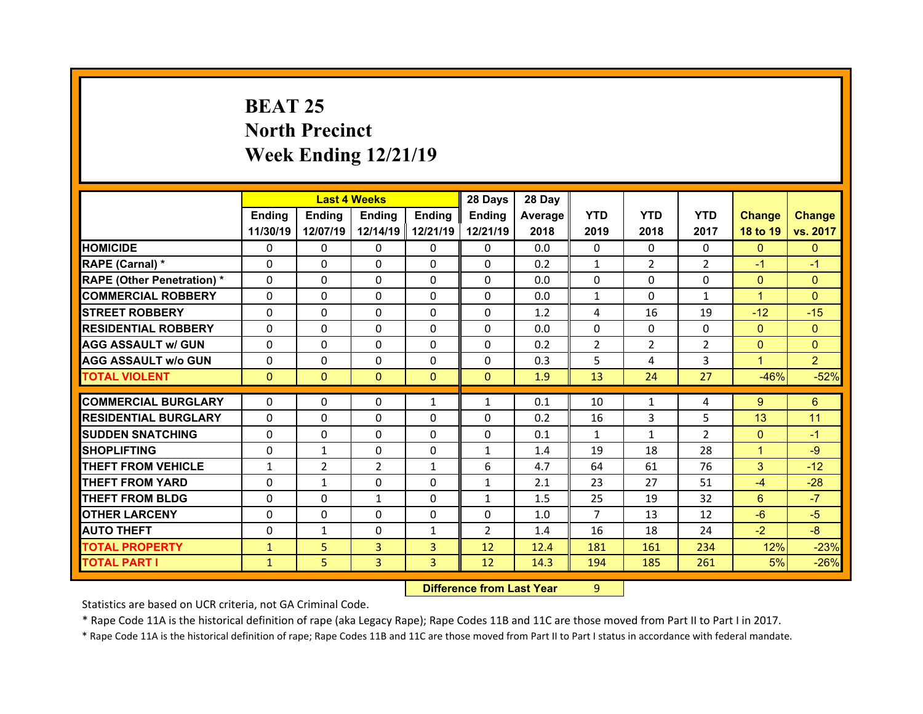## **BEAT 25 North Precinct Week Ending 12/21/19**

|                                   |              | <b>Last 4 Weeks</b> |              |                | 28 Days        | 28 Day  |                |                |                |                |                |
|-----------------------------------|--------------|---------------------|--------------|----------------|----------------|---------|----------------|----------------|----------------|----------------|----------------|
|                                   | Ending       | <b>Ending</b>       | Ending       | Ending         | Ending         | Average | <b>YTD</b>     | <b>YTD</b>     | <b>YTD</b>     | <b>Change</b>  | <b>Change</b>  |
|                                   | 11/30/19     | 12/07/19            | 12/14/19     | 12/21/19       | 12/21/19       | 2018    | 2019           | 2018           | 2017           | 18 to 19       | vs. 2017       |
| <b>HOMICIDE</b>                   | $\Omega$     | $\Omega$            | $\Omega$     | $\Omega$       | $\Omega$       | 0.0     | $\Omega$       | $\Omega$       | $\Omega$       | $\Omega$       | $\mathbf{0}$   |
| RAPE (Carnal) *                   | $\Omega$     | $\Omega$            | $\Omega$     | $\Omega$       | $\Omega$       | 0.2     | $\mathbf{1}$   | $\overline{2}$ | $\overline{2}$ | $-1$           | $-1$           |
| <b>RAPE (Other Penetration) *</b> | $\Omega$     | $\Omega$            | $\mathbf{0}$ | $\Omega$       | $\Omega$       | 0.0     | $\Omega$       | $\Omega$       | $\Omega$       | $\overline{0}$ | $\Omega$       |
| <b>COMMERCIAL ROBBERY</b>         | $\Omega$     | $\Omega$            | $\mathbf{0}$ | $\Omega$       | $\Omega$       | 0.0     | $\mathbf{1}$   | $\Omega$       | $\mathbf{1}$   | $\mathbf{1}$   | $\Omega$       |
| <b>STREET ROBBERY</b>             | $\Omega$     | $\Omega$            | $\Omega$     | $\Omega$       | 0              | 1.2     | 4              | 16             | 19             | $-12$          | $-15$          |
| <b>RESIDENTIAL ROBBERY</b>        | $\Omega$     | $\Omega$            | $\mathbf{0}$ | $\Omega$       | $\Omega$       | 0.0     | $\Omega$       | $\Omega$       | $\Omega$       | $\mathbf{0}$   | $\Omega$       |
| <b>AGG ASSAULT w/ GUN</b>         | $\Omega$     | 0                   | $\Omega$     | $\Omega$       | $\Omega$       | 0.2     | $\overline{2}$ | $\overline{2}$ | $\overline{2}$ | $\overline{0}$ | $\Omega$       |
| <b>AGG ASSAULT w/o GUN</b>        | $\Omega$     | $\Omega$            | $\mathbf{0}$ | $\Omega$       | $\Omega$       | 0.3     | 5              | 4              | 3              | $\mathbf{1}$   | $\overline{2}$ |
| <b>TOTAL VIOLENT</b>              | $\mathbf{0}$ | $\mathbf{0}$        | $\mathbf{0}$ | $\Omega$       | $\Omega$       | 1.9     | 13             | 24             | 27             | $-46%$         | $-52%$         |
|                                   |              |                     |              |                |                |         |                |                |                |                |                |
|                                   |              |                     |              |                |                |         |                |                |                |                |                |
| <b>COMMERCIAL BURGLARY</b>        | 0            | 0                   | 0            | $\mathbf{1}$   | $\mathbf{1}$   | 0.1     | 10             | 1              | 4              | $9^{\circ}$    | 6              |
| <b>RESIDENTIAL BURGLARY</b>       | 0            | $\Omega$            | $\Omega$     | $\Omega$       | 0              | 0.2     | 16             | 3              | 5              | 13             | 11             |
| <b>SUDDEN SNATCHING</b>           | 0            | 0                   | $\mathbf{0}$ | $\Omega$       | $\Omega$       | 0.1     | $\mathbf{1}$   | $\mathbf{1}$   | $\overline{2}$ | $\mathbf{0}$   | $-1$           |
| <b>SHOPLIFTING</b>                | 0            | $\mathbf{1}$        | 0            | $\Omega$       | $\mathbf{1}$   | 1.4     | 19             | 18             | 28             | $\mathbf{1}$   | $-9$           |
| <b>THEFT FROM VEHICLE</b>         | $\mathbf{1}$ | $\overline{2}$      | 2            | $\mathbf{1}$   | 6              | 4.7     | 64             | 61             | 76             | 3              | $-12$          |
| <b>THEFT FROM YARD</b>            | 0            | $\mathbf{1}$        | $\Omega$     | $\Omega$       | $\mathbf{1}$   | 2.1     | 23             | 27             | 51             | $-4$           | $-28$          |
| <b>THEFT FROM BLDG</b>            | $\Omega$     | 0                   | $\mathbf{1}$ | $\mathbf{0}$   | $\mathbf{1}$   | 1.5     | 25             | 19             | 32             | 6              | $-7$           |
| <b>OTHER LARCENY</b>              | 0            | 0                   | $\Omega$     | $\Omega$       | $\Omega$       | 1.0     | $\overline{7}$ | 13             | 12             | $-6$           | $-5$           |
| <b>AUTO THEFT</b>                 | 0            | $\mathbf{1}$        | $\mathbf{0}$ | $\mathbf{1}$   | $\overline{2}$ | 1.4     | 16             | 18             | 24             | $-2$           | $-8$           |
| <b>TOTAL PROPERTY</b>             | $\mathbf{1}$ | 5                   | 3            | $\overline{3}$ | 12             | 12.4    | 181            | 161            | 234            | 12%            | $-23%$         |
| <b>TOTAL PART I</b>               | $\mathbf{1}$ | 5                   | 3            | 3              | 12             | 14.3    | 194            | 185            | 261            | 5%             | $-26%$         |

 **Difference from Last Year**r 9

Statistics are based on UCR criteria, not GA Criminal Code.

\* Rape Code 11A is the historical definition of rape (aka Legacy Rape); Rape Codes 11B and 11C are those moved from Part II to Part I in 2017.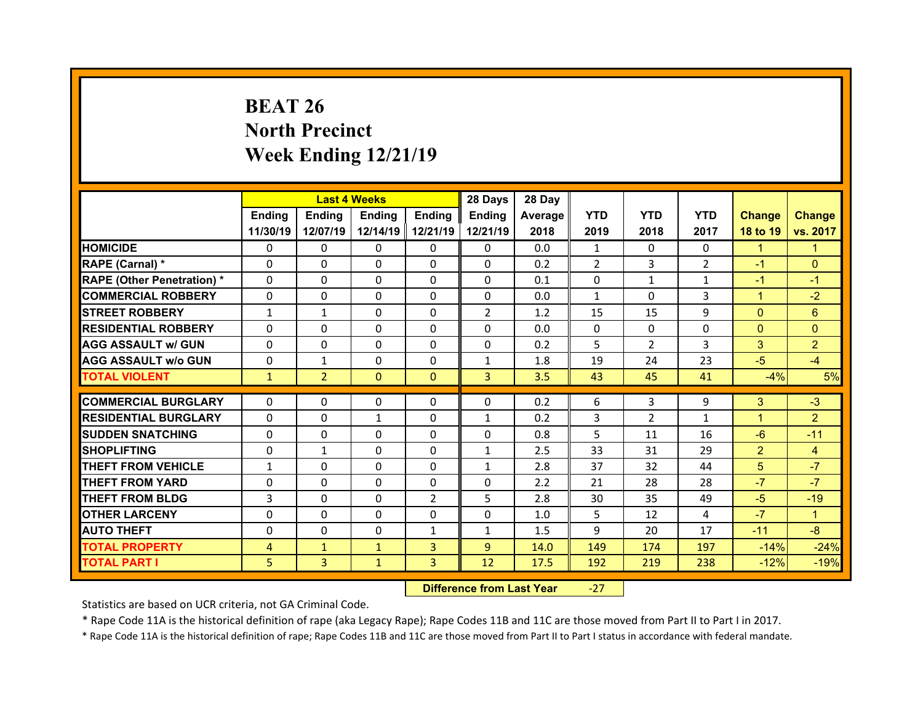## **BEAT 26 North Precinct Week Ending 12/21/19**

|                                   |              | <b>Last 4 Weeks</b> |               |                | 28 Days        | 28 Day  |              |               |                |                |                |
|-----------------------------------|--------------|---------------------|---------------|----------------|----------------|---------|--------------|---------------|----------------|----------------|----------------|
|                                   | Ending       | Ending              | <b>Ending</b> | Ending         | Ending         | Average | <b>YTD</b>   | <b>YTD</b>    | <b>YTD</b>     | <b>Change</b>  | <b>Change</b>  |
|                                   | 11/30/19     | 12/07/19            | 12/14/19      | 12/21/19       | 12/21/19       | 2018    | 2019         | 2018          | 2017           | 18 to 19       | vs. 2017       |
| <b>HOMICIDE</b>                   | $\Omega$     | 0                   | $\Omega$      | $\Omega$       | 0              | 0.0     | 1            | $\Omega$      | $\Omega$       | $\mathbf{1}$   | 1              |
| RAPE (Carnal) *                   | $\Omega$     | $\Omega$            | $\mathbf{0}$  | $\Omega$       | 0              | 0.2     | 2            | 3             | $\overline{2}$ | $-1$           | $\Omega$       |
| <b>RAPE (Other Penetration) *</b> | $\Omega$     | $\Omega$            | $\Omega$      | $\Omega$       | 0              | 0.1     | $\Omega$     | $\mathbf{1}$  | $\mathbf{1}$   | $-1$           | $-1$           |
| <b>COMMERCIAL ROBBERY</b>         | $\Omega$     | $\Omega$            | $\mathbf{0}$  | $\Omega$       | $\Omega$       | 0.0     | $\mathbf{1}$ | $\Omega$      | 3              | $\mathbf{1}$   | $-2$           |
| <b>STREET ROBBERY</b>             | $\mathbf{1}$ | $\mathbf{1}$        | $\Omega$      | $\Omega$       | $\overline{2}$ | 1.2     | 15           | 15            | 9              | $\Omega$       | 6              |
| <b>RESIDENTIAL ROBBERY</b>        | $\Omega$     | $\Omega$            | $\mathbf{0}$  | $\Omega$       | $\Omega$       | 0.0     | $\Omega$     | $\Omega$      | $\Omega$       | $\mathbf{0}$   | $\Omega$       |
| <b>AGG ASSAULT w/ GUN</b>         | $\Omega$     | $\Omega$            | $\Omega$      | $\Omega$       | $\Omega$       | 0.2     | 5            | $\mathcal{P}$ | 3              | 3              | $\overline{2}$ |
| <b>AGG ASSAULT w/o GUN</b>        | 0            | $\mathbf{1}$        | $\mathbf{0}$  | $\Omega$       | $\mathbf{1}$   | 1.8     | 19           | 24            | 23             | $-5$           | $-4$           |
| <b>TOTAL VIOLENT</b>              | $\mathbf{1}$ | $\overline{2}$      | $\mathbf{0}$  | $\Omega$       | $\overline{3}$ | 3.5     | 43           | 45            | 41             | $-4%$          | 5%             |
|                                   |              |                     |               |                |                |         |              |               |                |                |                |
| <b>COMMERCIAL BURGLARY</b>        | 0            | 0                   | 0             | $\mathbf{0}$   | 0              | 0.2     | 6            | 3             | 9              | 3              | $-3$           |
| <b>RESIDENTIAL BURGLARY</b>       | 0            | $\Omega$            | $\mathbf{1}$  | $\Omega$       | $\mathbf{1}$   | 0.2     | 3            | 2             | $\mathbf{1}$   | 1              | $\overline{2}$ |
| <b>SUDDEN SNATCHING</b>           | 0            | 0                   | $\mathbf{0}$  | $\Omega$       | 0              | 0.8     | 5            | 11            | 16             | $-6$           | $-11$          |
| <b>SHOPLIFTING</b>                | 0            | $\mathbf{1}$        | $\Omega$      | $\Omega$       | $\mathbf{1}$   | 2.5     | 33           | 31            | 29             | $\overline{2}$ | $\overline{4}$ |
| <b>THEFT FROM VEHICLE</b>         | $\mathbf{1}$ | 0                   | 0             | $\Omega$       | $\mathbf{1}$   | 2.8     | 37           | 32            | 44             | 5 <sup>5</sup> | $-7$           |
| <b>THEFT FROM YARD</b>            | 0            | $\Omega$            | $\Omega$      | $\Omega$       | 0              | 2.2     | 21           | 28            | 28             | $-7$           | $-7$           |
|                                   |              |                     |               |                |                |         |              |               |                |                |                |
| <b>THEFT FROM BLDG</b>            | 3            | 0                   | $\mathbf{0}$  | $\overline{2}$ | 5              | 2.8     | 30           | 35            | 49             | $-5$           | $-19$          |
| <b>OTHER LARCENY</b>              | $\Omega$     | $\Omega$            | $\Omega$      | $\Omega$       | $\Omega$       | 1.0     | 5            | 12            | 4              | $-7$           | $\mathbf{1}$   |
| <b>AUTO THEFT</b>                 | $\mathbf{0}$ | 0                   | $\mathbf{0}$  | $\mathbf{1}$   | $\mathbf{1}$   | 1.5     | 9            | 20            | 17             | $-11$          | $-8$           |
| <b>TOTAL PROPERTY</b>             | 4            | $\mathbf{1}$        | $\mathbf{1}$  | $\overline{3}$ | $\overline{9}$ | 14.0    | 149          | 174           | 197            | $-14%$         | $-24%$         |

 **Difference from Last Year**‐27

Statistics are based on UCR criteria, not GA Criminal Code.

\* Rape Code 11A is the historical definition of rape (aka Legacy Rape); Rape Codes 11B and 11C are those moved from Part II to Part I in 2017.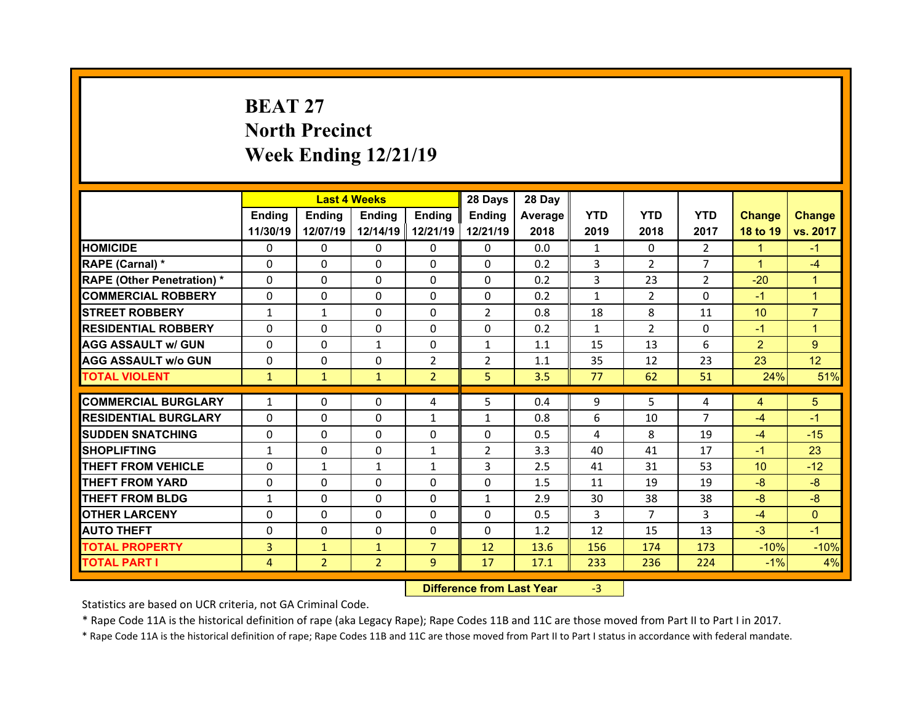## **BEAT 27North Precinct Week Ending 12/21/19**

|                                              |                     | <b>Last 4 Weeks</b>            |                                |                     | 28 Days        | 28 Day       |              |                |                |                 |                |
|----------------------------------------------|---------------------|--------------------------------|--------------------------------|---------------------|----------------|--------------|--------------|----------------|----------------|-----------------|----------------|
|                                              | Ending              | <b>Ending</b>                  | Ending                         | <b>Endina</b>       | <b>Ending</b>  | Average      | <b>YTD</b>   | <b>YTD</b>     | <b>YTD</b>     | <b>Change</b>   | <b>Change</b>  |
|                                              | 11/30/19            | 12/07/19                       | 12/14/19                       | 12/21/19            | 12/21/19       | 2018         | 2019         | 2018           | 2017           | 18 to 19        | vs. 2017       |
| <b>HOMICIDE</b>                              | $\Omega$            | 0                              | 0                              | $\Omega$            | $\Omega$       | 0.0          | $\mathbf{1}$ | $\Omega$       | $\overline{2}$ | $\mathbf{1}$    | $-1$           |
| RAPE (Carnal) *                              | 0                   | 0                              | $\Omega$                       | $\Omega$            | $\Omega$       | 0.2          | 3            | $\mathcal{P}$  | $\overline{7}$ | $\mathbf{1}$    | $-4$           |
| <b>RAPE (Other Penetration)*</b>             | $\Omega$            | 0                              | $\Omega$                       | $\Omega$            | $\Omega$       | 0.2          | 3            | 23             | $\mathcal{P}$  | $-20$           | $\mathbf{1}$   |
| <b>COMMERCIAL ROBBERY</b>                    | $\Omega$            | 0                              | $\Omega$                       | $\Omega$            | $\Omega$       | 0.2          | $\mathbf{1}$ | $\overline{2}$ | $\Omega$       | $-1$            | $\mathbf{1}$   |
| <b>STREET ROBBERY</b>                        | $\mathbf{1}$        | $\mathbf{1}$                   | $\Omega$                       | $\Omega$            | $\overline{2}$ | 0.8          | 18           | 8              | 11             | 10 <sup>°</sup> | $\overline{7}$ |
| <b>RESIDENTIAL ROBBERY</b>                   | $\Omega$            | 0                              | $\Omega$                       | $\Omega$            | $\Omega$       | 0.2          | $\mathbf{1}$ | $\overline{2}$ | $\Omega$       | $-1$            | $\overline{1}$ |
| <b>AGG ASSAULT w/ GUN</b>                    | $\Omega$            | 0                              | $\mathbf{1}$                   | $\Omega$            | $\mathbf{1}$   | 1.1          | 15           | 13             | 6              | $\overline{2}$  | 9              |
| <b>AGG ASSAULT w/o GUN</b>                   | $\Omega$            | 0                              | 0                              | $\overline{2}$      | $\overline{2}$ | 1.1          | 35           | 12             | 23             | 23              | 12             |
| <b>TOTAL VIOLENT</b>                         | $\mathbf{1}$        | $\mathbf{1}$                   | $\mathbf{1}$                   | $\overline{2}$      | 5              | 3.5          | 77           | 62             | 51             | 24%             | 51%            |
| <b>COMMERCIAL BURGLARY</b>                   | $\mathbf{1}$        | 0                              | 0                              | 4                   | 5              | 0.4          | 9            | 5              | 4              | $\overline{4}$  | 5              |
| <b>RESIDENTIAL BURGLARY</b>                  | $\Omega$            | 0                              | $\Omega$                       | $\mathbf{1}$        | $\mathbf{1}$   | 0.8          | 6            | 10             | $\overline{7}$ | $-4$            | $-1$           |
| <b>SUDDEN SNATCHING</b>                      | $\Omega$            | 0                              | $\Omega$                       | $\Omega$            | $\Omega$       | 0.5          | 4            | 8              | 19             | $-4$            | $-15$          |
| <b>SHOPLIFTING</b>                           | $\mathbf{1}$        | 0                              | $\Omega$                       | $\mathbf{1}$        | $\overline{2}$ | 3.3          | 40           | 41             | 17             | $-1$            | 23             |
|                                              |                     |                                |                                |                     |                |              |              |                |                |                 |                |
|                                              |                     |                                |                                |                     |                |              |              |                |                |                 |                |
| <b>THEFT FROM VEHICLE</b>                    | $\Omega$            | $\mathbf{1}$                   | $\mathbf{1}$                   | $\mathbf{1}$        | 3              | 2.5          | 41           | 31             | 53             | 10 <sup>1</sup> | $-12$          |
| <b>THEFT FROM YARD</b>                       | $\Omega$            | 0                              | $\Omega$                       | $\Omega$            | $\Omega$       | 1.5          | 11           | 19             | 19             | $-8$            | $-8$           |
| <b>THEFT FROM BLDG</b>                       | 1                   | 0                              | 0                              | $\mathbf{0}$        | $\mathbf{1}$   | 2.9          | 30           | 38             | 38             | $-8$            | $-8$           |
| <b>OTHER LARCENY</b>                         | $\Omega$            | 0                              | 0                              | $\Omega$            | $\Omega$       | 0.5          | 3            | $\overline{7}$ | 3              | $-4$            | $\mathbf{0}$   |
| <b>AUTO THEFT</b>                            | $\Omega$            | 0                              | $\Omega$                       | $\Omega$            | $\Omega$       | 1.2          | 12           | 15             | 13             | $-3$            | $-1$           |
| <b>TOTAL PROPERTY</b><br><b>TOTAL PART I</b> | 3<br>$\overline{4}$ | $\mathbf{1}$<br>$\overline{2}$ | $\mathbf{1}$<br>$\overline{2}$ | $\overline{7}$<br>9 | 12<br>17       | 13.6<br>17.1 | 156<br>233   | 174<br>236     | 173<br>224     | $-10%$<br>$-1%$ | $-10%$<br>4%   |

 **Difference from Last Year**r -3

Statistics are based on UCR criteria, not GA Criminal Code.

\* Rape Code 11A is the historical definition of rape (aka Legacy Rape); Rape Codes 11B and 11C are those moved from Part II to Part I in 2017.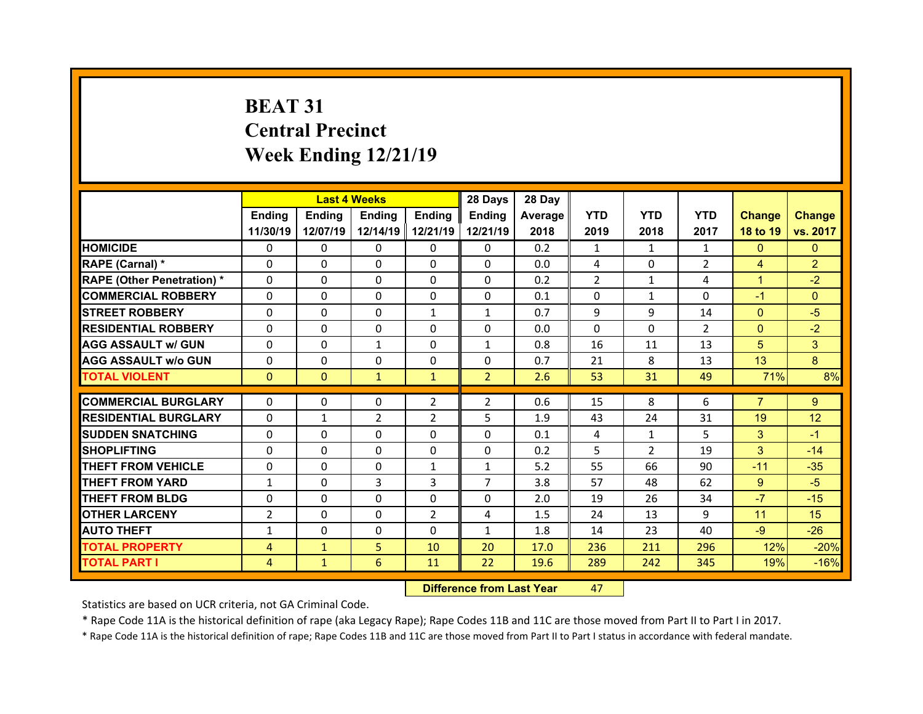## **BEAT 31Central Precinct Week Ending 12/21/19**

|                                  |                |              | <b>Last 4 Weeks</b> |                | 28 Days        | 28 Day  |            |                |                |                |                |
|----------------------------------|----------------|--------------|---------------------|----------------|----------------|---------|------------|----------------|----------------|----------------|----------------|
|                                  | Ending         | Ending       | <b>Ending</b>       | <b>Ending</b>  | Ending         | Average | <b>YTD</b> | <b>YTD</b>     | <b>YTD</b>     | <b>Change</b>  | <b>Change</b>  |
|                                  | 11/30/19       | 12/07/19     | 12/14/19            | 12/21/19       | 12/21/19       | 2018    | 2019       | 2018           | 2017           | 18 to 19       | vs. 2017       |
| <b>HOMICIDE</b>                  | $\Omega$       | 0            | $\Omega$            | $\Omega$       | 0              | 0.2     | 1          | $\mathbf{1}$   | $\mathbf{1}$   | $\mathbf{0}$   | $\mathbf{0}$   |
| RAPE (Carnal) *                  | 0              | $\Omega$     | $\mathbf{0}$        | $\Omega$       | 0              | 0.0     | 4          | $\Omega$       | $\overline{2}$ | $\overline{4}$ | $\overline{2}$ |
| <b>RAPE (Other Penetration)*</b> | 0              | $\Omega$     | $\Omega$            | $\Omega$       | 0              | 0.2     | 2          | $\mathbf{1}$   | 4              | $\mathbf{1}$   | $-2$           |
| <b>COMMERCIAL ROBBERY</b>        | $\Omega$       | 0            | $\Omega$            | $\Omega$       | 0              | 0.1     | $\Omega$   | 1              | $\Omega$       | $-1$           | $\Omega$       |
| <b>STREET ROBBERY</b>            | $\Omega$       | $\Omega$     | $\mathbf{0}$        | 1              | $\mathbf{1}$   | 0.7     | 9          | 9              | 14             | $\overline{0}$ | $-5$           |
| <b>RESIDENTIAL ROBBERY</b>       | $\Omega$       | $\Omega$     | $\mathbf{0}$        | $\Omega$       | $\Omega$       | 0.0     | $\Omega$   | $\Omega$       | $\overline{2}$ | $\overline{0}$ | $-2$           |
| <b>AGG ASSAULT w/ GUN</b>        | $\Omega$       | 0            | $\mathbf{1}$        | $\Omega$       | $\mathbf{1}$   | 0.8     | 16         | 11             | 13             | 5              | 3              |
| <b>AGG ASSAULT w/o GUN</b>       | $\Omega$       | $\Omega$     | $\mathbf{0}$        | $\Omega$       | $\Omega$       | 0.7     | 21         | 8              | 13             | 13             | 8              |
| <b>TOTAL VIOLENT</b>             | $\mathbf{0}$   | $\mathbf{0}$ | $\mathbf{1}$        | $\mathbf{1}$   | 2 <sup>1</sup> | 2.6     | 53         | 31             | 49             | 71%            | 8%             |
| <b>COMMERCIAL BURGLARY</b>       |                |              |                     |                |                |         |            | 8              |                | $\overline{7}$ |                |
|                                  | 0<br>$\Omega$  | 0            | 0                   | $\overline{2}$ | $\overline{2}$ | 0.6     | 15         |                | 6              |                | 9              |
| <b>RESIDENTIAL BURGLARY</b>      |                | $\mathbf{1}$ | $\overline{2}$      | 2              | 5              | 1.9     | 43         | 24             | 31             | 19             | 12             |
| <b>SUDDEN SNATCHING</b>          | 0              | $\Omega$     | $\mathbf{0}$        | $\Omega$       | 0              | 0.1     | 4          | $\mathbf{1}$   | 5              | 3              | $-1$           |
| <b>SHOPLIFTING</b>               | 0              | $\Omega$     | 0                   | $\Omega$       | 0              | 0.2     | 5          | $\overline{2}$ | 19             | 3              | $-14$          |
| <b>THEFT FROM VEHICLE</b>        | 0              | 0            | 0                   | $\mathbf{1}$   | $\mathbf{1}$   | 5.2     | 55         | 66             | 90             | $-11$          | $-35$          |
| <b>THEFT FROM YARD</b>           | $\mathbf{1}$   | 0            | 3                   | 3              | $\overline{7}$ | 3.8     | 57         | 48             | 62             | $9^{\circ}$    | $-5$           |
| <b>THEFT FROM BLDG</b>           | 0              | 0            | $\mathbf{0}$        | $\Omega$       | 0              | 2.0     | 19         | 26             | 34             | $-7$           | $-15$          |
| <b>OTHER LARCENY</b>             | $\overline{2}$ | $\Omega$     | $\Omega$            | $\overline{2}$ | 4              | 1.5     | 24         | 13             | 9              | 11             | 15             |
|                                  |                |              |                     |                |                |         |            |                |                |                |                |
| <b>AUTO THEFT</b>                | $\mathbf{1}$   | 0            | $\mathbf{0}$        | $\Omega$       | $\mathbf{1}$   | 1.8     | 14         | 23             | 40             | $-9$           | $-26$          |
| <b>TOTAL PROPERTY</b>            | 4              | $\mathbf{1}$ | 5                   | 10             | 20             | 17.0    | 236        | 211            | 296            | 12%            | $-20%$         |
| <b>TOTAL PART I</b>              | 4              | $\mathbf{1}$ | 6                   | 11             | 22             | 19.6    | 289        | 242            | 345            | 19%            | $-16%$         |

 **Difference from Last Year**r 47

Statistics are based on UCR criteria, not GA Criminal Code.

\* Rape Code 11A is the historical definition of rape (aka Legacy Rape); Rape Codes 11B and 11C are those moved from Part II to Part I in 2017.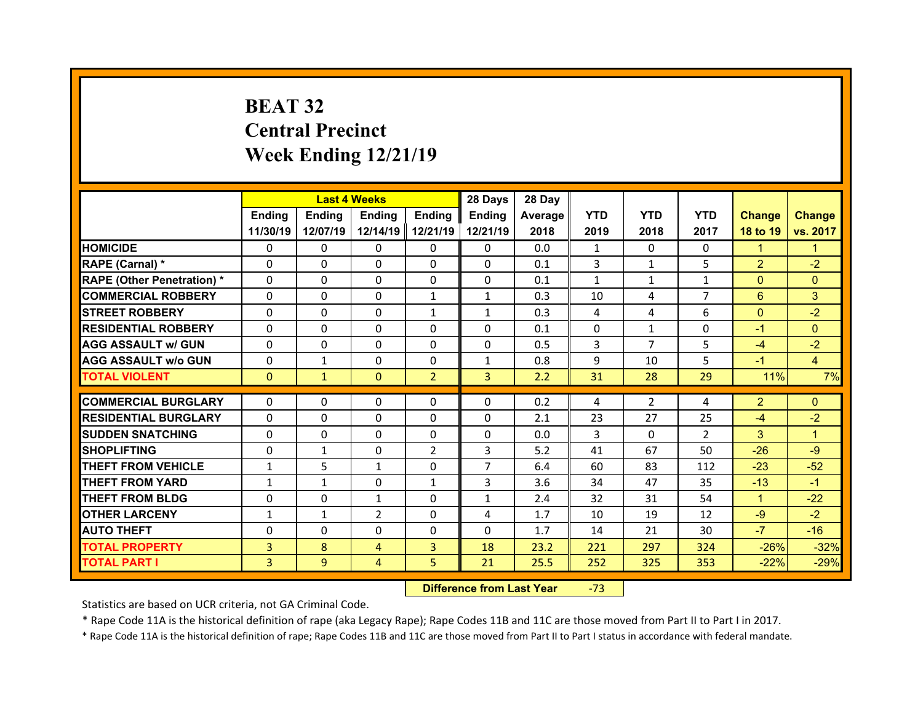## **BEAT 32 Central Precinct Week Ending 12/21/19**

|                                  |              | <b>Last 4 Weeks</b> |               |                | 28 Days        | 28 Day  |              |                |                |                |                |
|----------------------------------|--------------|---------------------|---------------|----------------|----------------|---------|--------------|----------------|----------------|----------------|----------------|
|                                  | Ending       | Ending              | <b>Ending</b> | <b>Ending</b>  | Ending         | Average | <b>YTD</b>   | <b>YTD</b>     | <b>YTD</b>     | <b>Change</b>  | <b>Change</b>  |
|                                  | 11/30/19     | 12/07/19            | 12/14/19      | 12/21/19       | 12/21/19       | 2018    | 2019         | 2018           | 2017           | 18 to 19       | vs. 2017       |
| <b>HOMICIDE</b>                  | $\Omega$     | 0                   | $\Omega$      | $\Omega$       | 0              | 0.0     | 1            | $\Omega$       | $\Omega$       | $\mathbf{1}$   | 1              |
| RAPE (Carnal) *                  | $\Omega$     | $\Omega$            | $\mathbf{0}$  | $\Omega$       | 0              | 0.1     | 3            | $\mathbf{1}$   | 5              | $\overline{2}$ | $-2$           |
| <b>RAPE (Other Penetration)*</b> | 0            | $\Omega$            | $\Omega$      | $\Omega$       | 0              | 0.1     | $\mathbf{1}$ | $\mathbf{1}$   | $\mathbf{1}$   | $\overline{0}$ | $\Omega$       |
| <b>COMMERCIAL ROBBERY</b>        | $\Omega$     | 0                   | $\Omega$      | $\mathbf{1}$   | $\mathbf{1}$   | 0.3     | 10           | 4              | $\overline{7}$ | 6              | 3              |
| <b>STREET ROBBERY</b>            | $\Omega$     | $\Omega$            | $\mathbf{0}$  | $\mathbf{1}$   | $\mathbf{1}$   | 0.3     | 4            | 4              | 6              | $\mathbf{0}$   | $-2$           |
| <b>RESIDENTIAL ROBBERY</b>       | $\Omega$     | $\Omega$            | $\Omega$      | $\Omega$       | $\Omega$       | 0.1     | $\Omega$     | $\mathbf{1}$   | $\Omega$       | $-1$           | $\Omega$       |
| <b>AGG ASSAULT w/ GUN</b>        | $\Omega$     | 0                   | $\Omega$      | $\Omega$       | $\Omega$       | 0.5     | 3            | $\overline{7}$ | 5              | $-4$           | $-2$           |
| <b>AGG ASSAULT w/o GUN</b>       | $\Omega$     | $\mathbf{1}$        | $\mathbf{0}$  | $\Omega$       | $\mathbf{1}$   | 0.8     | 9            | 10             | 5              | $-1$           | $\overline{4}$ |
| <b>TOTAL VIOLENT</b>             | $\mathbf{0}$ | $\mathbf{1}$        | $\mathbf{0}$  | $\overline{2}$ | 3 <sup>1</sup> | 2.2     | 31           | 28             | 29             | 11%            | 7%             |
| <b>COMMERCIAL BURGLARY</b>       |              |                     |               |                | $\Omega$       |         |              |                |                |                |                |
|                                  | 0            | 0                   | 0             | 0              |                | 0.2     | 4            | $\overline{2}$ | 4              | $\overline{2}$ | $\mathbf{0}$   |
| <b>RESIDENTIAL BURGLARY</b>      | $\Omega$     | 0                   | 0             | $\Omega$       | 0              | 2.1     | 23<br>3      | 27             | 25             | $-4$           | $-2$           |
|                                  |              |                     |               |                |                |         |              |                |                |                | $\overline{1}$ |
| <b>SUDDEN SNATCHING</b>          | 0            | $\Omega$            | $\mathbf{0}$  | $\Omega$       | 0              | 0.0     |              | $\Omega$       | $\overline{2}$ | 3              |                |
| <b>SHOPLIFTING</b>               | 0            | $\mathbf{1}$        | 0             | $\overline{2}$ | 3              | 5.2     | 41           | 67             | 50             | $-26$          | $-9$           |
| <b>THEFT FROM VEHICLE</b>        | $\mathbf{1}$ | 5                   | $\mathbf{1}$  | $\Omega$       | $\overline{7}$ | 6.4     | 60           | 83             | 112            | $-23$          | $-52$          |
| <b>THEFT FROM YARD</b>           | $\mathbf{1}$ | $\mathbf{1}$        | 0             | 1              | 3              | 3.6     | 34           | 47             | 35             | $-13$          | $-1$           |
| <b>THEFT FROM BLDG</b>           | 0            | 0                   | $\mathbf{1}$  | $\Omega$       | $\mathbf{1}$   | 2.4     | 32           | 31             | 54             | $\mathbf{1}$   | $-22$          |
| <b>OTHER LARCENY</b>             | $\mathbf{1}$ | $\mathbf{1}$        | 2             | $\Omega$       | 4              | 1.7     | 10           | 19             | 12             | $-9$           | $-2$           |
| <b>AUTO THEFT</b>                | 0            | $\Omega$            | 0             | $\mathbf{0}$   | 0              | 1.7     | 14           | 21             | 30             | $-7$           | $-16$          |
| <b>TOTAL PROPERTY</b>            | 3            | 8                   | 4             | $\overline{3}$ | 18             | 23.2    | 221          | 297            | 324            | $-26%$         | $-32%$         |
| <b>TOTAL PART I</b>              | 3            | 9                   | 4             | 5              | 21             | 25.5    | 252          | 325            | 353            | $-22%$         | $-29%$         |

 **Difference from Last Year**‐73

Statistics are based on UCR criteria, not GA Criminal Code.

\* Rape Code 11A is the historical definition of rape (aka Legacy Rape); Rape Codes 11B and 11C are those moved from Part II to Part I in 2017.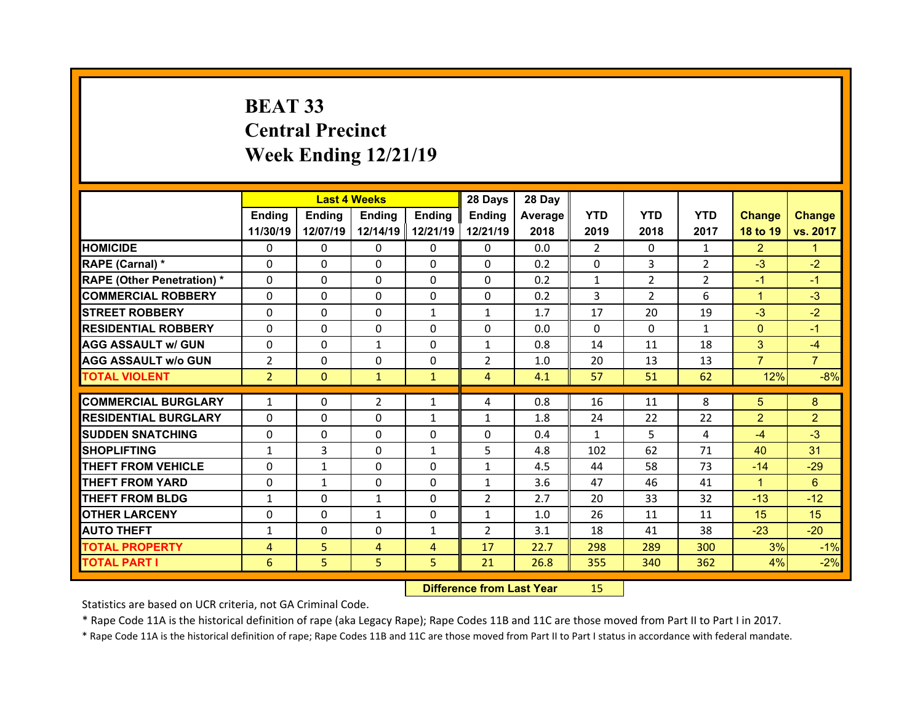## **BEAT 33 Central Precinct Week Ending 12/21/19**

|                                   |                | <b>Last 4 Weeks</b> |                |                | 28 Days        | 28 Day  |              |                |                |                |                |
|-----------------------------------|----------------|---------------------|----------------|----------------|----------------|---------|--------------|----------------|----------------|----------------|----------------|
|                                   | <b>Ending</b>  | <b>Endina</b>       | <b>Ending</b>  | <b>Ending</b>  | <b>Endina</b>  | Average | <b>YTD</b>   | <b>YTD</b>     | <b>YTD</b>     | <b>Change</b>  | <b>Change</b>  |
|                                   | 11/30/19       | 12/07/19            | 12/14/19       | 12/21/19       | 12/21/19       | 2018    | 2019         | 2018           | 2017           | 18 to 19       | vs. 2017       |
| <b>HOMICIDE</b>                   | 0              | 0                   | 0              | 0              | 0              | 0.0     | 2            | $\Omega$       | $\mathbf{1}$   | $\overline{2}$ | 1.             |
| RAPE (Carnal) *                   | 0              | 0                   | 0              | $\Omega$       | $\Omega$       | 0.2     | $\Omega$     | 3              | $\overline{2}$ | $-3$           | $-2$           |
| <b>RAPE (Other Penetration) *</b> | 0              | $\Omega$            | $\Omega$       | $\Omega$       | 0              | 0.2     | $\mathbf{1}$ | $\overline{2}$ | $\overline{2}$ | $-1$           | $-1$           |
| <b>COMMERCIAL ROBBERY</b>         | 0              | 0                   | $\mathbf{0}$   | $\mathbf{0}$   | 0              | 0.2     | 3            | $\overline{2}$ | 6              | $\mathbf{1}$   | $-3$           |
| <b>STREET ROBBERY</b>             | 0              | $\Omega$            | $\Omega$       | 1              | $\mathbf{1}$   | 1.7     | 17           | 20             | 19             | $-3$           | $-2$           |
| <b>RESIDENTIAL ROBBERY</b>        | 0              | 0                   | $\mathbf{0}$   | $\Omega$       | 0              | 0.0     | $\Omega$     | $\Omega$       | $\mathbf{1}$   | $\mathbf{0}$   | $-1$           |
| <b>AGG ASSAULT w/ GUN</b>         | 0              | $\Omega$            | $\mathbf{1}$   | $\Omega$       | $\mathbf{1}$   | 0.8     | 14           | 11             | 18             | 3              | $-4$           |
| <b>AGG ASSAULT w/o GUN</b>        | $\overline{2}$ | 0                   | $\mathbf{0}$   | $\mathbf{0}$   | $\overline{2}$ | 1.0     | 20           | 13             | 13             | $\overline{7}$ | $\overline{7}$ |
| <b>TOTAL VIOLENT</b>              | $\overline{2}$ | $\mathbf{0}$        | $\mathbf{1}$   | $\mathbf{1}$   | $\overline{4}$ | 4.1     | 57           | 51             | 62             | 12%            | $-8%$          |
|                                   |                |                     |                |                |                |         |              |                |                |                |                |
| <b>COMMERCIAL BURGLARY</b>        | $\mathbf{1}$   | 0                   | $\overline{2}$ | 1              | 4              | 0.8     | 16           | 11             | 8              | 5              | 8              |
| <b>RESIDENTIAL BURGLARY</b>       | 0              | 0                   | 0              | 1              | 1              | 1.8     | 24           | 22             | 22             | $\overline{2}$ | $\overline{2}$ |
| <b>SUDDEN SNATCHING</b>           | 0              | $\Omega$            | 0              | $\Omega$       | 0              | 0.4     | 1            | 5.             | 4              | $-4$           | $-3$           |
| <b>SHOPLIFTING</b>                | $\mathbf{1}$   | 3                   | 0              | $\mathbf{1}$   | 5              | 4.8     | 102          | 62             | 71             | 40             | 31             |
| <b>THEFT FROM VEHICLE</b>         | 0              | $\mathbf{1}$        | $\Omega$       | $\Omega$       | $\mathbf{1}$   | 4.5     | 44           | 58             | 73             | $-14$          | $-29$          |
| <b>THEFT FROM YARD</b>            | 0              | $\mathbf{1}$        | $\Omega$       | $\Omega$       | $\mathbf{1}$   | 3.6     | 47           | 46             | 41             | $\mathbf{1}$   | 6              |
| <b>THEFT FROM BLDG</b>            | $\mathbf{1}$   | 0                   | $\mathbf{1}$   | $\Omega$       | $\overline{2}$ | 2.7     | 20           | 33             | 32             | $-13$          | $-12$          |
| <b>OTHER LARCENY</b>              | 0              | $\Omega$            | $\mathbf{1}$   | $\Omega$       | $\mathbf{1}$   | 1.0     | 26           | 11             | 11             | 15             | 15             |
| <b>AUTO THEFT</b>                 | $\mathbf{1}$   | 0                   | $\mathbf{0}$   | 1              | $\overline{2}$ | 3.1     | 18           | 41             | 38             | $-23$          | $-20$          |
| <b>TOTAL PROPERTY</b>             | 4              | 5                   | 4              | $\overline{4}$ | 17             | 22.7    | 298          | 289            | 300            | 3%             | $-1%$          |
| <b>TOTAL PART I</b>               | 6              | 5                   | 5              | 5              | 21             | 26.8    | 355          | 340            | 362            | 4%             | $-2%$          |
|                                   |                |                     |                |                |                |         |              |                |                |                |                |

 **Difference from Last Year**r 15

Statistics are based on UCR criteria, not GA Criminal Code.

\* Rape Code 11A is the historical definition of rape (aka Legacy Rape); Rape Codes 11B and 11C are those moved from Part II to Part I in 2017.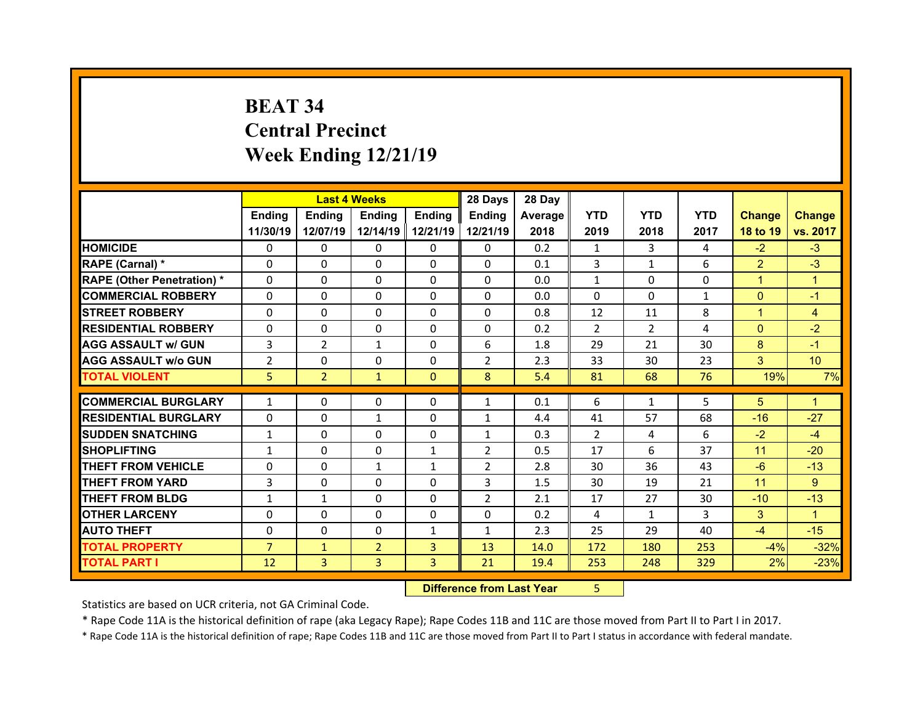## **BEAT 34 Central Precinct Week Ending 12/21/19**

|                                   |                | <b>Last 4 Weeks</b> |                |                | 28 Days        | 28 Day  |                |                |              |                |                |
|-----------------------------------|----------------|---------------------|----------------|----------------|----------------|---------|----------------|----------------|--------------|----------------|----------------|
|                                   | Ending         | <b>Ending</b>       | Ending         | Ending         | Ending         | Average | <b>YTD</b>     | <b>YTD</b>     | <b>YTD</b>   | <b>Change</b>  | <b>Change</b>  |
|                                   | 11/30/19       | 12/07/19            | 12/14/19       | 12/21/19       | 12/21/19       | 2018    | 2019           | 2018           | 2017         | 18 to 19       | vs. 2017       |
| <b>HOMICIDE</b>                   | $\Omega$       | 0                   | 0              | $\Omega$       | $\Omega$       | 0.2     | $\mathbf{1}$   | 3              | 4            | $-2$           | $-3$           |
| RAPE (Carnal) *                   | $\mathbf{0}$   | 0                   | $\mathbf{0}$   | $\mathbf{0}$   | $\Omega$       | 0.1     | $\overline{3}$ | $\mathbf{1}$   | 6            | $\overline{2}$ | $-3$           |
| <b>RAPE (Other Penetration) *</b> | $\Omega$       | $\Omega$            | $\Omega$       | $\Omega$       | $\Omega$       | 0.0     | $\mathbf{1}$   | $\Omega$       | $\Omega$     | $\mathbf{1}$   | $\overline{1}$ |
| <b>COMMERCIAL ROBBERY</b>         | $\Omega$       | $\Omega$            | $\mathbf{0}$   | $\Omega$       | $\Omega$       | 0.0     | $\Omega$       | $\Omega$       | $\mathbf{1}$ | $\overline{0}$ | $-1$           |
| <b>STREET ROBBERY</b>             | $\Omega$       | 0                   | $\Omega$       | $\Omega$       | $\Omega$       | 0.8     | 12             | 11             | 8            | $\mathbf{1}$   | $\overline{4}$ |
| <b>RESIDENTIAL ROBBERY</b>        | $\Omega$       | 0                   | 0              | $\Omega$       | $\Omega$       | 0.2     | 2              | $\overline{2}$ | 4            | $\overline{0}$ | $-2$           |
| <b>AGG ASSAULT w/ GUN</b>         | 3              | $\overline{2}$      | $\mathbf{1}$   | $\Omega$       | 6              | 1.8     | 29             | 21             | 30           | 8              | $-1$           |
| <b>AGG ASSAULT w/o GUN</b>        | $\overline{2}$ | 0                   | 0              | $\Omega$       | $\overline{2}$ | 2.3     | 33             | 30             | 23           | 3              | 10             |
| <b>TOTAL VIOLENT</b>              | 5              | $\overline{2}$      | $\mathbf{1}$   | $\Omega$       | 8              | 5.4     | 81             | 68             | 76           | 19%            | 7%             |
|                                   |                |                     |                |                |                |         |                |                |              |                |                |
| <b>COMMERCIAL BURGLARY</b>        | $\mathbf{1}$   | 0                   | 0              | $\mathbf{0}$   | $\mathbf{1}$   | 0.1     | 6              | 1              | 5            | 5              | 1              |
| <b>RESIDENTIAL BURGLARY</b>       | 0              | 0                   | $\mathbf{1}$   | $\Omega$       | $\mathbf{1}$   | 4.4     | 41             | 57             | 68           | $-16$          | $-27$          |
| <b>SUDDEN SNATCHING</b>           | $\mathbf{1}$   | 0                   | $\Omega$       | $\Omega$       | $\mathbf{1}$   | 0.3     | $\overline{2}$ | 4              | 6            | $-2$           | $-4$           |
| <b>SHOPLIFTING</b>                | $\mathbf{1}$   | $\Omega$            | $\Omega$       | 1              | $\overline{2}$ | 0.5     | 17             | 6              | 37           | 11             | $-20$          |
| <b>THEFT FROM VEHICLE</b>         | 0              | $\Omega$            | $\mathbf{1}$   | $\mathbf{1}$   | $\overline{2}$ | 2.8     | 30             | 36             | 43           | $-6$           | $-13$          |
| <b>THEFT FROM YARD</b>            | 3              | 0                   | $\Omega$       | $\Omega$       | 3              | 1.5     | 30             | 19             | 21           | 11             | 9              |
| <b>THEFT FROM BLDG</b>            | $\mathbf{1}$   | $\mathbf{1}$        | $\mathbf{0}$   | $\Omega$       | $\overline{2}$ | 2.1     | 17             | 27             | 30           | $-10$          | $-13$          |
|                                   |                |                     | $\Omega$       | $\Omega$       | $\Omega$       | 0.2     | 4              | $\mathbf{1}$   | 3            | 3              | $\mathbf{1}$   |
| <b>OTHER LARCENY</b>              | $\Omega$       | $\Omega$            |                |                |                |         |                |                |              |                |                |
| <b>AUTO THEFT</b>                 | $\mathbf{0}$   | 0                   | $\mathbf{0}$   | $\mathbf{1}$   | $\mathbf{1}$   | 2.3     | 25             | 29             | 40           | $-4$           | $-15$          |
| <b>TOTAL PROPERTY</b>             | $\overline{7}$ | $\mathbf{1}$        | $\overline{2}$ | $\overline{3}$ | 13             | 14.0    | 172            | 180            | 253          | $-4%$          | $-32%$         |

 **Difference from Last Year**r 5

Statistics are based on UCR criteria, not GA Criminal Code.

\* Rape Code 11A is the historical definition of rape (aka Legacy Rape); Rape Codes 11B and 11C are those moved from Part II to Part I in 2017.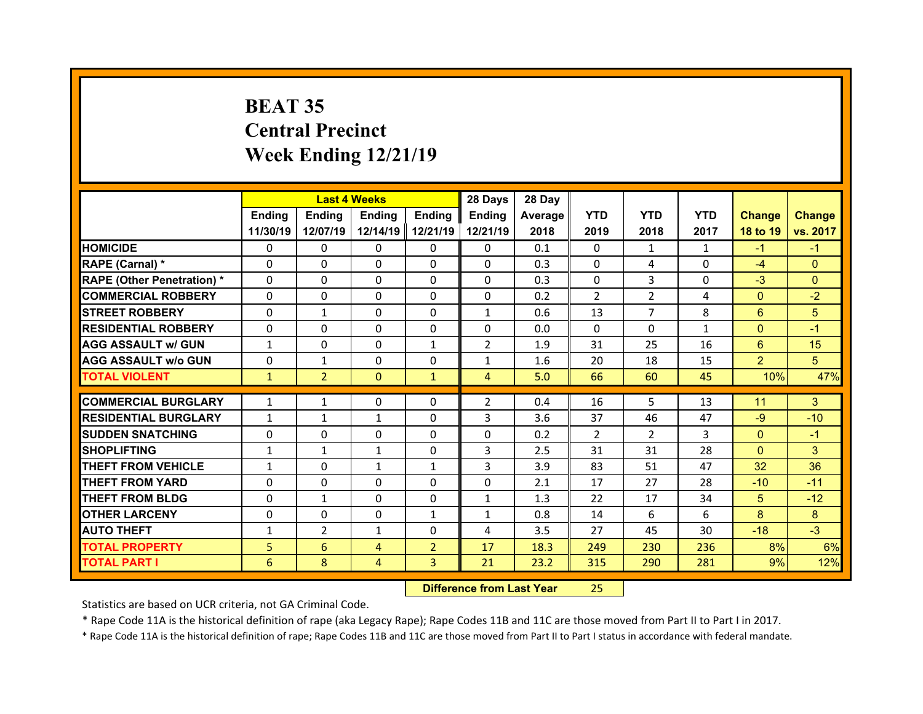## **BEAT 35 Central Precinct Week Ending 12/21/19**

|                                  |              |                | <b>Last 4 Weeks</b> |                | 28 Days        | 28 Day  |                |                |              |                |               |
|----------------------------------|--------------|----------------|---------------------|----------------|----------------|---------|----------------|----------------|--------------|----------------|---------------|
|                                  | Ending       | Ending         | <b>Ending</b>       | <b>Ending</b>  | Ending         | Average | <b>YTD</b>     | <b>YTD</b>     | <b>YTD</b>   | <b>Change</b>  | <b>Change</b> |
|                                  | 11/30/19     | 12/07/19       | 12/14/19            | 12/21/19       | 12/21/19       | 2018    | 2019           | 2018           | 2017         | 18 to 19       | vs. 2017      |
| <b>HOMICIDE</b>                  | $\Omega$     | 0              | 0                   | $\Omega$       | 0              | 0.1     | $\Omega$       | 1              | $\mathbf{1}$ | $-1$           | $-1$          |
| RAPE (Carnal) *                  | $\Omega$     | 0              | $\mathbf{0}$        | $\Omega$       | 0              | 0.3     | $\Omega$       | 4              | $\Omega$     | $-4$           | $\Omega$      |
| <b>RAPE (Other Penetration)*</b> | 0            | $\Omega$       | $\Omega$            | $\Omega$       | 0              | 0.3     | 0              | 3              | $\Omega$     | $-3$           | $\Omega$      |
| <b>COMMERCIAL ROBBERY</b>        | $\Omega$     | 0              | $\Omega$            | $\Omega$       | 0              | 0.2     | 2              | $\overline{2}$ | 4            | $\mathbf{0}$   | $-2$          |
| <b>STREET ROBBERY</b>            | $\Omega$     | $\mathbf{1}$   | $\mathbf{0}$        | $\Omega$       | $\mathbf{1}$   | 0.6     | 13             | $\overline{7}$ | 8            | 6              | 5             |
| <b>RESIDENTIAL ROBBERY</b>       | $\Omega$     | $\Omega$       | $\mathbf{0}$        | $\Omega$       | $\Omega$       | 0.0     | $\Omega$       | $\Omega$       | $\mathbf{1}$ | $\mathbf{0}$   | $-1$          |
| <b>AGG ASSAULT w/ GUN</b>        | $\mathbf{1}$ | 0              | $\Omega$            | $\mathbf{1}$   | $\overline{2}$ | 1.9     | 31             | 25             | 16           | 6              | 15            |
| <b>AGG ASSAULT w/o GUN</b>       | $\Omega$     | $\mathbf{1}$   | $\mathbf{0}$        | $\Omega$       | $\mathbf{1}$   | 1.6     | 20             | 18             | 15           | $\overline{2}$ | 5             |
| <b>TOTAL VIOLENT</b>             | $\mathbf{1}$ | $\overline{2}$ | $\mathbf{0}$        | $\mathbf{1}$   | $\overline{4}$ | 5.0     | 66             | 60             | 45           | 10%            | 47%           |
| <b>COMMERCIAL BURGLARY</b>       |              |                |                     |                |                |         |                | 5              |              |                |               |
|                                  | $\mathbf{1}$ | $\mathbf{1}$   | 0                   | 0              | $\overline{2}$ | 0.4     | 16             |                | 13           | 11             | 3             |
| <b>RESIDENTIAL BURGLARY</b>      | $\mathbf{1}$ | $\mathbf{1}$   | $\mathbf{1}$        | $\Omega$       | 3              | 3.6     | 37             | 46             | 47           | $-9$           | $-10$         |
| <b>SUDDEN SNATCHING</b>          | 0            | $\Omega$       | $\Omega$            | $\Omega$       | 0              | 0.2     | $\overline{2}$ | $\overline{2}$ | 3            | $\overline{0}$ | $-1$          |
| <b>SHOPLIFTING</b>               | $\mathbf{1}$ | $\mathbf{1}$   | $\mathbf{1}$        | $\Omega$       | 3              | 2.5     | 31             | 31             | 28           | $\overline{0}$ | 3             |
| <b>THEFT FROM VEHICLE</b>        | $\mathbf{1}$ | 0              | $\mathbf{1}$        | $\mathbf{1}$   | 3              | 3.9     | 83             | 51             | 47           | 32             | 36            |
| <b>THEFT FROM YARD</b>           | 0            | 0              | 0                   | $\Omega$       | 0              | 2.1     | 17             | 27             | 28           | $-10$          | $-11$         |
| <b>THEFT FROM BLDG</b>           | $\Omega$     | $\mathbf{1}$   | $\mathbf{0}$        | $\Omega$       | $\mathbf{1}$   | 1.3     | 22             | 17             | 34           | 5              | $-12$         |
| <b>OTHER LARCENY</b>             | $\Omega$     | 0              | $\Omega$            | $\mathbf{1}$   | $\mathbf{1}$   | 0.8     | 14             | 6              | 6            | 8              | 8             |
|                                  |              |                | $\mathbf{1}$        | $\Omega$       | 4              | 3.5     | 27             | 45             | 30           | $-18$          | $-3$          |
| <b>AUTO THEFT</b>                | $\mathbf{1}$ | $\overline{2}$ |                     |                |                |         |                |                |              |                |               |
| <b>TOTAL PROPERTY</b>            | 5            | 6              | 4                   | $\overline{2}$ | 17             | 18.3    | 249            | 230            | 236          | 8%             | 6%            |
| <b>TOTAL PART I</b>              | 6            | 8              | 4                   | 3              | 21             | 23.2    | 315            | 290            | 281          | 9%             | 12%           |

 **Difference from Last Year**25

Statistics are based on UCR criteria, not GA Criminal Code.

\* Rape Code 11A is the historical definition of rape (aka Legacy Rape); Rape Codes 11B and 11C are those moved from Part II to Part I in 2017.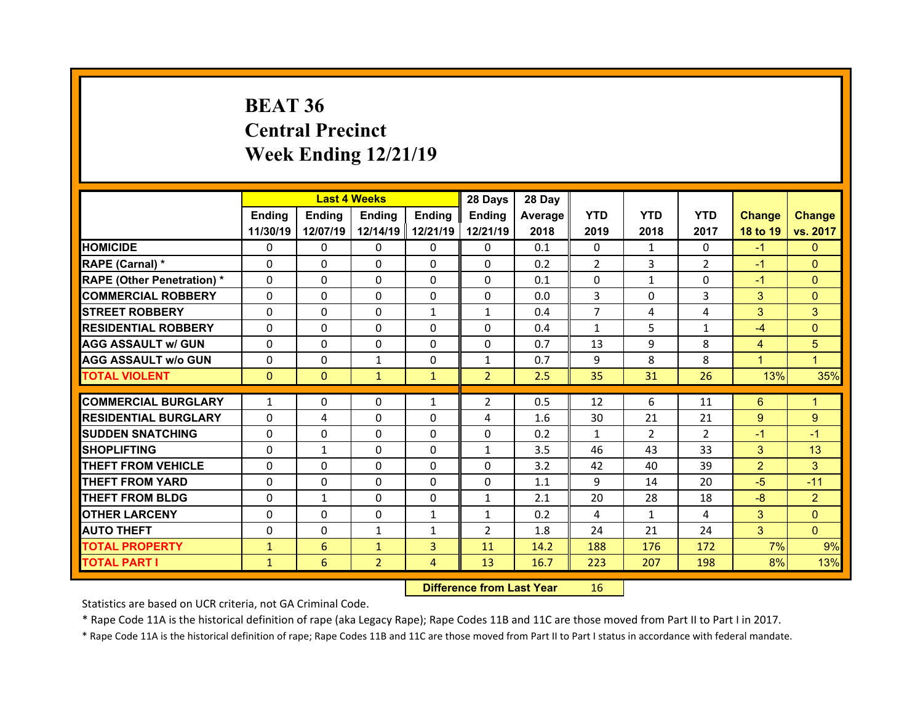## **BEAT 36 Central Precinct Week Ending 12/21/19**

|                                   |              | <b>Last 4 Weeks</b> |                |                | 28 Days        | 28 Day  |                |                |                |                |                |
|-----------------------------------|--------------|---------------------|----------------|----------------|----------------|---------|----------------|----------------|----------------|----------------|----------------|
|                                   | Ending       | <b>Ending</b>       | <b>Ending</b>  | Ending         | Ending         | Average | <b>YTD</b>     | <b>YTD</b>     | <b>YTD</b>     | <b>Change</b>  | <b>Change</b>  |
|                                   | 11/30/19     | 12/07/19            | 12/14/19       | 12/21/19       | 12/21/19       | 2018    | 2019           | 2018           | 2017           | 18 to 19       | vs. 2017       |
| <b>HOMICIDE</b>                   | 0            | 0                   | 0              | 0              | $\mathbf{0}$   | 0.1     | $\mathbf{0}$   | 1              | $\Omega$       | $-1$           | $\Omega$       |
| RAPE (Carnal) *                   | $\Omega$     | $\Omega$            | $\Omega$       | $\Omega$       | $\Omega$       | 0.2     | $\overline{2}$ | 3              | $\overline{2}$ | $-1$           | $\Omega$       |
| <b>RAPE (Other Penetration) *</b> | 0            | $\Omega$            | $\Omega$       | $\Omega$       | $\Omega$       | 0.1     | 0              | $\mathbf{1}$   | $\Omega$       | $-1$           | $\Omega$       |
| <b>COMMERCIAL ROBBERY</b>         | $\Omega$     | $\Omega$            | $\Omega$       | $\Omega$       | $\Omega$       | 0.0     | 3              | $\Omega$       | $\overline{3}$ | 3              | $\Omega$       |
| <b>STREET ROBBERY</b>             | $\Omega$     | $\Omega$            | $\Omega$       | $\mathbf{1}$   | $\mathbf{1}$   | 0.4     | $\overline{7}$ | 4              | 4              | 3              | 3              |
| <b>RESIDENTIAL ROBBERY</b>        | $\Omega$     | $\Omega$            | $\Omega$       | $\Omega$       | $\Omega$       | 0.4     | $\mathbf{1}$   | 5              | $\mathbf{1}$   | $-4$           | $\Omega$       |
| <b>AGG ASSAULT w/ GUN</b>         | $\Omega$     | $\Omega$            | $\Omega$       | $\Omega$       | $\Omega$       | 0.7     | 13             | 9              | 8              | $\overline{4}$ | 5              |
| <b>AGG ASSAULT W/o GUN</b>        | $\Omega$     | 0                   | $\mathbf{1}$   | $\Omega$       | $\mathbf{1}$   | 0.7     | 9              | 8              | 8              | $\mathbf{1}$   | $\mathbf{1}$   |
| <b>TOTAL VIOLENT</b>              | $\mathbf{0}$ | $\mathbf{0}$        | $\mathbf{1}$   | $\mathbf{1}$   | 2 <sup>1</sup> | 2.5     | 35             | 31             | 26             | 13%            | 35%            |
|                                   |              |                     |                |                |                |         |                |                |                |                |                |
| <b>COMMERCIAL BURGLARY</b>        | $\mathbf{1}$ | 0                   | 0              | $\mathbf{1}$   | $\overline{2}$ | 0.5     | 12             | 6              | 11             | $6^{\circ}$    | $\mathbf{1}$   |
| <b>RESIDENTIAL BURGLARY</b>       | $\Omega$     | 4                   | $\Omega$       | $\Omega$       | 4              | 1.6     | 30             | 21             | 21             | 9              | 9              |
| <b>ISUDDEN SNATCHING</b>          | 0            | 0                   | 0              | 0              | $\mathbf{0}$   | 0.2     | $\mathbf{1}$   | $\overline{2}$ | $\overline{2}$ | $-1$           | $-1$           |
| <b>SHOPLIFTING</b>                | 0            | $\mathbf{1}$        | $\Omega$       | 0              | $\mathbf{1}$   | 3.5     | 46             | 43             | 33             | 3              | 13             |
|                                   |              |                     |                |                |                |         |                |                |                |                |                |
| <b>THEFT FROM VEHICLE</b>         | $\Omega$     | 0                   | $\Omega$       | $\Omega$       | $\Omega$       | 3.2     | 42             | 40             | 39             | $\overline{2}$ | 3              |
| <b>THEFT FROM YARD</b>            | 0            | 0                   | 0              | 0              | $\mathbf{0}$   | 1.1     | 9              | 14             | 20             | $-5$           | $-11$          |
| <b>THEFT FROM BLDG</b>            | $\Omega$     | $\mathbf{1}$        | $\Omega$       | $\Omega$       | $\mathbf{1}$   | 2.1     | 20             | 28             | 18             | $-8$           | $\overline{2}$ |
| <b>OTHER LARCENY</b>              | 0            | $\Omega$            | $\Omega$       | $\mathbf{1}$   | $\mathbf{1}$   | 0.2     | 4              | 1              | 4              | 3              | $\Omega$       |
| <b>AUTO THEFT</b>                 | 0            | $\Omega$            | $\mathbf{1}$   | $\mathbf{1}$   | $\overline{2}$ | 1.8     | 24             | 21             | 24             | 3              | $\mathbf{0}$   |
| <b>TOTAL PROPERTY</b>             | $\mathbf{1}$ | 6                   | $\mathbf{1}$   | $\overline{3}$ | 11             | 14.2    | 188            | 176            | 172            | 7%             | 9%             |
| <b>TOTAL PART I</b>               | $\mathbf{1}$ | 6                   | $\overline{2}$ | 4              | 13             | 16.7    | 223            | 207            | 198            | 8%             | 13%            |

 **Difference from Last Year**r 16

Statistics are based on UCR criteria, not GA Criminal Code.

\* Rape Code 11A is the historical definition of rape (aka Legacy Rape); Rape Codes 11B and 11C are those moved from Part II to Part I in 2017.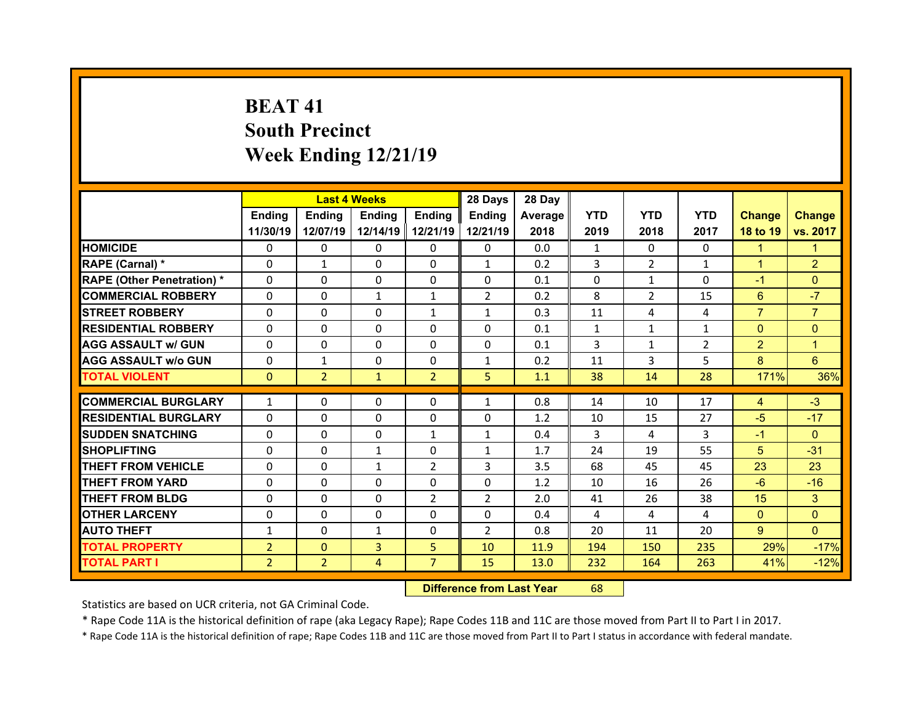## **BEAT 41South Precinct Week Ending 12/21/19**

|                                   |                | <b>Last 4 Weeks</b> |              |                | 28 Days        | 28 Day  |              |                |                |                |                |
|-----------------------------------|----------------|---------------------|--------------|----------------|----------------|---------|--------------|----------------|----------------|----------------|----------------|
|                                   | Ending         | <b>Ending</b>       | Ending       | Ending         | Ending         | Average | <b>YTD</b>   | <b>YTD</b>     | <b>YTD</b>     | <b>Change</b>  | <b>Change</b>  |
|                                   | 11/30/19       | 12/07/19            | 12/14/19     | 12/21/19       | 12/21/19       | 2018    | 2019         | 2018           | 2017           | 18 to 19       | vs. 2017       |
| <b>HOMICIDE</b>                   | $\Omega$       | $\Omega$            | $\Omega$     | $\Omega$       | $\Omega$       | 0.0     | 1            | $\Omega$       | $\Omega$       | $\mathbf{1}$   | 1              |
| RAPE (Carnal) *                   | $\Omega$       | $\mathbf{1}$        | $\Omega$     | $\Omega$       | $\mathbf{1}$   | 0.2     | 3            | $\overline{2}$ | $\mathbf{1}$   | $\mathbf{1}$   | $\overline{2}$ |
| <b>RAPE (Other Penetration) *</b> | $\Omega$       | $\Omega$            | $\mathbf{0}$ | $\Omega$       | $\Omega$       | 0.1     | $\Omega$     | $\mathbf{1}$   | $\Omega$       | $-1$           | $\Omega$       |
| <b>COMMERCIAL ROBBERY</b>         | $\Omega$       | $\Omega$            | $\mathbf{1}$ | $\mathbf{1}$   | $\overline{2}$ | 0.2     | 8            | $\overline{2}$ | 15             | 6              | $-7$           |
| <b>STREET ROBBERY</b>             | $\Omega$       | $\Omega$            | $\Omega$     | $\mathbf{1}$   | $\mathbf{1}$   | 0.3     | 11           | 4              | 4              | $\overline{7}$ | $\overline{7}$ |
| <b>RESIDENTIAL ROBBERY</b>        | $\Omega$       | $\Omega$            | $\mathbf{0}$ | $\Omega$       | $\Omega$       | 0.1     | $\mathbf{1}$ | $\mathbf{1}$   | $\mathbf{1}$   | $\overline{0}$ | $\Omega$       |
| <b>AGG ASSAULT w/ GUN</b>         | $\Omega$       | 0                   | $\Omega$     | $\Omega$       | $\Omega$       | 0.1     | 3            | $\mathbf{1}$   | $\overline{2}$ | $\overline{2}$ | $\mathbf{1}$   |
| <b>AGG ASSAULT w/o GUN</b>        | $\Omega$       | $\mathbf{1}$        | $\mathbf{0}$ | $\Omega$       | $\mathbf{1}$   | 0.2     | 11           | 3              | 5              | 8              | $6^{\circ}$    |
| <b>TOTAL VIOLENT</b>              | $\mathbf{0}$   | $\overline{2}$      | $\mathbf{1}$ | $\overline{2}$ | 5              | 1.1     | 38           | 14             | 28             | 171%           | 36%            |
|                                   |                |                     |              |                |                |         |              |                |                |                |                |
| <b>COMMERCIAL BURGLARY</b>        | $\mathbf{1}$   | 0                   | 0            | 0              | $\mathbf{1}$   | 0.8     | 14           | 10             | 17             | 4              | $-3$           |
| <b>RESIDENTIAL BURGLARY</b>       | 0              | $\Omega$            | $\Omega$     | $\Omega$       | 0              | 1.2     | 10           | 15             | 27             | $-5$           | $-17$          |
| <b>SUDDEN SNATCHING</b>           | $\Omega$       | 0                   | $\mathbf{0}$ | 1              | $\mathbf{1}$   | 0.4     | 3            | 4              | 3              | $-1$           | $\Omega$       |
| <b>SHOPLIFTING</b>                | 0              | 0                   | $\mathbf{1}$ | $\Omega$       | $\mathbf{1}$   | 1.7     | 24           | 19             | 55             | 5              | $-31$          |
| <b>THEFT FROM VEHICLE</b>         | 0              | 0                   | $\mathbf{1}$ | $\overline{2}$ | 3              | 3.5     | 68           | 45             | 45             | 23             | 23             |
| <b>THEFT FROM YARD</b>            | 0              | 0                   | $\Omega$     | $\Omega$       | 0              | 1.2     | 10           | 16             | 26             | $-6$           | $-16$          |
|                                   |                |                     |              |                |                |         |              |                |                |                |                |
| <b>THEFT FROM BLDG</b>            | $\Omega$       | 0                   | $\mathbf{0}$ | $\overline{2}$ | $\overline{2}$ | 2.0     | 41           | 26             | 38             | 15             | 3              |
| <b>OTHER LARCENY</b>              | $\mathbf{0}$   | 0                   | $\Omega$     | $\Omega$       | $\Omega$       | 0.4     | 4            | 4              | 4              | $\mathbf{0}$   | $\Omega$       |
| <b>AUTO THEFT</b>                 | $\mathbf{1}$   | 0                   | $\mathbf{1}$ | $\mathbf{0}$   | $\overline{2}$ | 0.8     | 20           | 11             | 20             | $9^{\circ}$    | $\Omega$       |
| <b>TOTAL PROPERTY</b>             | $\overline{2}$ | $\Omega$            | 3            | 5              | 10             | 11.9    | 194          | 150            | 235            | 29%            | $-17%$         |
| <b>TOTAL PART I</b>               | $\overline{2}$ | $\overline{2}$      | 4            | $\overline{7}$ | 15             | 13.0    | 232          | 164            | 263            | 41%            | $-12%$         |

 **Difference from Last Year**r 68

Statistics are based on UCR criteria, not GA Criminal Code.

\* Rape Code 11A is the historical definition of rape (aka Legacy Rape); Rape Codes 11B and 11C are those moved from Part II to Part I in 2017.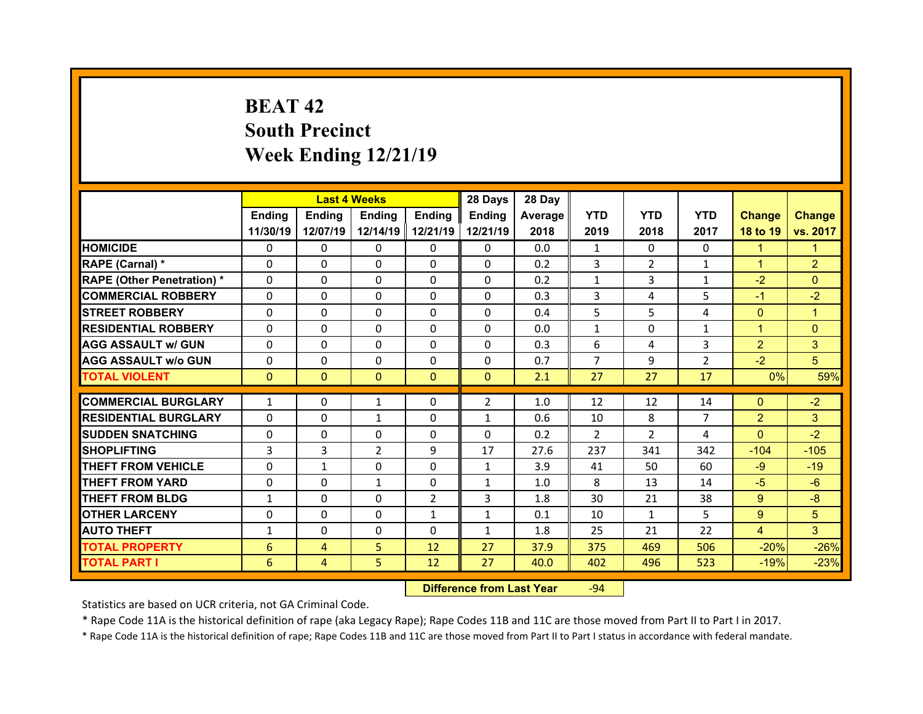## **BEAT 42South Precinct Week Ending 12/21/19**

|                                   |              | <b>Last 4 Weeks</b> |               |                | 28 Days        | 28 Day  |                |                |                |                |                |
|-----------------------------------|--------------|---------------------|---------------|----------------|----------------|---------|----------------|----------------|----------------|----------------|----------------|
|                                   | Ending       | <b>Ending</b>       | <b>Ending</b> | Ending         | Ending         | Average | <b>YTD</b>     | <b>YTD</b>     | <b>YTD</b>     | <b>Change</b>  | <b>Change</b>  |
|                                   | 11/30/19     | 12/07/19            | 12/14/19      | 12/21/19       | 12/21/19       | 2018    | 2019           | 2018           | 2017           | 18 to 19       | vs. 2017       |
| <b>HOMICIDE</b>                   | $\Omega$     | $\Omega$            | 0             | $\mathbf{0}$   | 0              | 0.0     | $\mathbf{1}$   | $\Omega$       | $\Omega$       | $\mathbf{1}$   | 1              |
| RAPE (Carnal) *                   | $\Omega$     | $\Omega$            | $\Omega$      | $\Omega$       | 0              | 0.2     | 3              | $\overline{2}$ | $\mathbf{1}$   | $\mathbf{1}$   | $\overline{2}$ |
| <b>RAPE (Other Penetration) *</b> | $\Omega$     | $\Omega$            | $\Omega$      | $\Omega$       | $\Omega$       | 0.2     | $\mathbf{1}$   | 3              | $\mathbf{1}$   | $-2$           | $\Omega$       |
| <b>COMMERCIAL ROBBERY</b>         | $\Omega$     | $\Omega$            | $\mathbf{0}$  | $\Omega$       | $\Omega$       | 0.3     | 3              | 4              | 5              | $-1$           | $-2$           |
| <b>STREET ROBBERY</b>             | $\Omega$     | $\Omega$            | $\Omega$      | $\Omega$       | $\Omega$       | 0.4     | 5              | 5.             | 4              | $\overline{0}$ | $\overline{1}$ |
| <b>RESIDENTIAL ROBBERY</b>        | $\Omega$     | $\Omega$            | $\mathbf{0}$  | $\Omega$       | $\Omega$       | 0.0     | $\mathbf{1}$   | $\Omega$       | $\mathbf{1}$   | $\mathbf{1}$   | $\Omega$       |
| <b>AGG ASSAULT w/ GUN</b>         | $\Omega$     | $\Omega$            | $\mathbf{0}$  | $\Omega$       | $\Omega$       | 0.3     | 6              | 4              | 3              | $\overline{2}$ | 3              |
| <b>AGG ASSAULT w/o GUN</b>        | $\Omega$     | $\Omega$            | $\Omega$      | $\Omega$       | $\Omega$       | 0.7     | $\overline{7}$ | 9              | $\overline{2}$ | $-2$           | 5              |
| <b>TOTAL VIOLENT</b>              | $\mathbf{0}$ | $\mathbf{0}$        | $\mathbf{0}$  | $\mathbf{0}$   | $\mathbf{0}$   | 2.1     | 27             | 27             | 17             | 0%             | 59%            |
| <b>COMMERCIAL BURGLARY</b>        |              |                     |               |                | $\overline{2}$ | 1.0     | 12             | 12             | 14             |                |                |
|                                   | $\mathbf{1}$ | 0                   | $\mathbf{1}$  | $\mathbf{0}$   |                |         |                |                |                | $\mathbf{0}$   | $-2$           |
| <b>RESIDENTIAL BURGLARY</b>       | 0            | 0                   | $\mathbf{1}$  | $\Omega$       | $\mathbf{1}$   | 0.6     | 10             | 8              | $\overline{7}$ | $\overline{2}$ | 3              |
| <b>SUDDEN SNATCHING</b>           | $\mathbf{0}$ | 0                   | $\mathbf{0}$  | $\Omega$       | $\Omega$       | 0.2     | $\mathcal{P}$  | $\mathcal{P}$  | 4              | $\Omega$       | $-2$           |
| <b>SHOPLIFTING</b>                | 3            | 3                   | 2             | 9              | 17             | 27.6    | 237            | 341            | 342            | $-104$         | $-105$         |
| <b>THEFT FROM VEHICLE</b>         | $\Omega$     | $\mathbf{1}$        | $\mathbf{0}$  | $\Omega$       | $\mathbf{1}$   | 3.9     | 41             | 50             | 60             | $-9$           | $-19$          |
| <b>THEFT FROM YARD</b>            | $\Omega$     | $\Omega$            | $\mathbf{1}$  | $\Omega$       | $\mathbf{1}$   | 1.0     | 8              | 13             | 14             | $-5$           | $-6$           |
| <b>THEFT FROM BLDG</b>            | $\mathbf{1}$ | 0                   | 0             | $\overline{2}$ | 3              | 1.8     | 30             | 21             | 38             | $9^{\circ}$    | $-8$           |
| <b>OTHER LARCENY</b>              | $\Omega$     | $\Omega$            | $\Omega$      | $\mathbf{1}$   | $\mathbf{1}$   | 0.1     | 10             | $\mathbf{1}$   | 5.             | 9              | 5              |
| <b>AUTO THEFT</b>                 | $\mathbf{1}$ | 0                   | 0             | $\mathbf{0}$   | $\mathbf{1}$   | 1.8     | 25             | 21             | 22             | $\overline{4}$ | 3              |
| <b>TOTAL PROPERTY</b>             | 6            | $\overline{4}$      | 5             | 12             | 27             | 37.9    | 375            | 469            | 506            | $-20%$         | $-26%$         |
| <b>TOTAL PART I</b>               | 6            | 4                   | 5             | 12             | 27             | 40.0    | 402            | 496            | 523            | $-19%$         | $-23%$         |

 **Difference from Last Year**r -94

Statistics are based on UCR criteria, not GA Criminal Code.

\* Rape Code 11A is the historical definition of rape (aka Legacy Rape); Rape Codes 11B and 11C are those moved from Part II to Part I in 2017.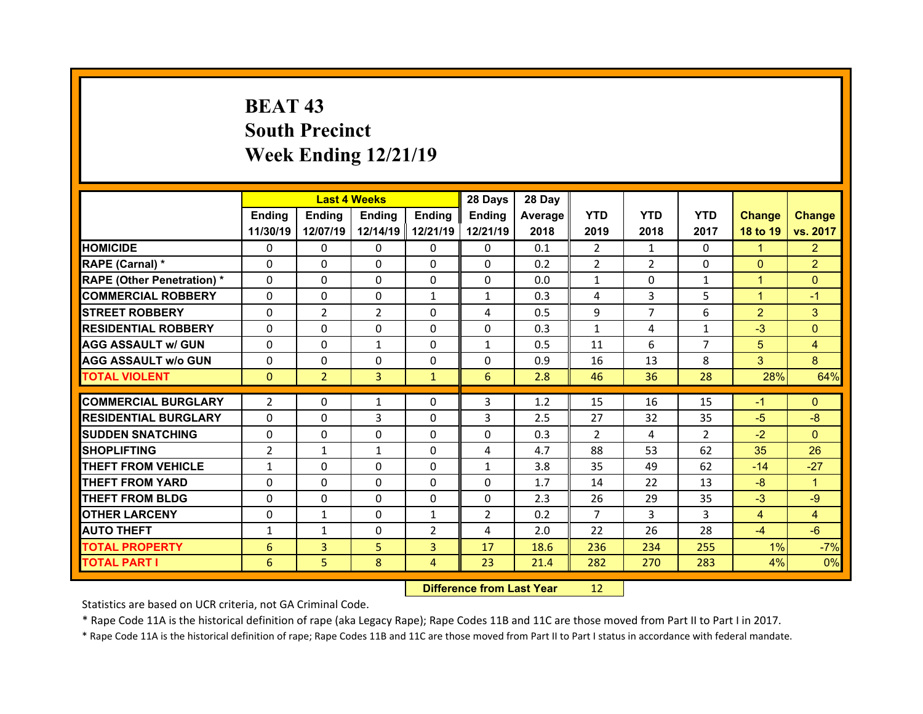## **BEAT 43South Precinct Week Ending 12/21/19**

|                                   |                | <b>Last 4 Weeks</b> |               |                | 28 Days        | 28 Day  |                |                |                |                |                |
|-----------------------------------|----------------|---------------------|---------------|----------------|----------------|---------|----------------|----------------|----------------|----------------|----------------|
|                                   | <b>Ending</b>  | <b>Endina</b>       | <b>Ending</b> | <b>Ending</b>  | <b>Ending</b>  | Average | <b>YTD</b>     | <b>YTD</b>     | <b>YTD</b>     | <b>Change</b>  | <b>Change</b>  |
|                                   | 11/30/19       | 12/07/19            | 12/14/19      | 12/21/19       | 12/21/19       | 2018    | 2019           | 2018           | 2017           | 18 to 19       | vs. 2017       |
| <b>HOMICIDE</b>                   | $\Omega$       | 0                   | $\Omega$      | $\Omega$       | $\Omega$       | 0.1     | 2              | $\mathbf{1}$   | $\Omega$       | $\mathbf{1}$   | $\overline{2}$ |
| RAPE (Carnal) *                   | 0              | 0                   | $\mathbf{0}$  | $\Omega$       | $\Omega$       | 0.2     | $\overline{2}$ | $\overline{2}$ | $\Omega$       | $\mathbf{0}$   | $\overline{2}$ |
| <b>RAPE (Other Penetration) *</b> | $\Omega$       | $\Omega$            | $\Omega$      | $\Omega$       | $\Omega$       | 0.0     | $\mathbf{1}$   | $\Omega$       | $\mathbf{1}$   | $\mathbf{1}$   | $\Omega$       |
| <b>COMMERCIAL ROBBERY</b>         | $\Omega$       | 0                   | $\mathbf{0}$  | $\mathbf{1}$   | $\mathbf{1}$   | 0.3     | 4              | 3              | 5              | $\mathbf{1}$   | $-1$           |
| <b>STREET ROBBERY</b>             | 0              | $\overline{2}$      | 2             | $\Omega$       | 4              | 0.5     | 9              | $\overline{7}$ | 6              | $\overline{2}$ | 3              |
| <b>RESIDENTIAL ROBBERY</b>        | $\Omega$       | $\Omega$            | $\mathbf{0}$  | $\Omega$       | $\Omega$       | 0.3     | $\mathbf{1}$   | 4              | $\mathbf{1}$   | $-3$           | $\Omega$       |
| <b>AGG ASSAULT w/ GUN</b>         | 0              | 0                   | $\mathbf{1}$  | $\Omega$       | $\mathbf{1}$   | 0.5     | 11             | 6              | $\overline{7}$ | 5              | 4              |
| <b>AGG ASSAULT w/o GUN</b>        | $\Omega$       | $\Omega$            | $\mathbf{0}$  | $\Omega$       | $\Omega$       | 0.9     | 16             | 13             | 8              | 3              | 8              |
| <b>TOTAL VIOLENT</b>              | $\mathbf{0}$   | $\overline{2}$      | 3             | $\mathbf{1}$   | 6              | 2.8     | 46             | 36             | 28             | 28%            | 64%            |
|                                   |                |                     |               |                |                |         |                |                |                |                |                |
| <b>COMMERCIAL BURGLARY</b>        | $\overline{2}$ | $\Omega$            | 1             | $\Omega$       | 3              | 1.2     | 15             | 16             | 15             | $-1$           | $\Omega$       |
| <b>RESIDENTIAL BURGLARY</b>       | 0              | 0                   | 3             | $\Omega$       | 3              | 2.5     | 27             | 32             | 35             | $-5$           | $-8$           |
| <b>SUDDEN SNATCHING</b>           | 0              | $\Omega$            | $\Omega$      | $\Omega$       | $\Omega$       | 0.3     | 2              | 4              | $\overline{2}$ | $-2$           | $\Omega$       |
| <b>SHOPLIFTING</b>                | $\overline{2}$ | $\mathbf{1}$        | $\mathbf{1}$  | $\Omega$       | 4              | 4.7     | 88             | 53             | 62             | 35             | 26             |
| <b>THEFT FROM VEHICLE</b>         | $\mathbf{1}$   | $\Omega$            | $\Omega$      | $\Omega$       | $\mathbf{1}$   | 3.8     | 35             | 49             | 62             | $-14$          | $-27$          |
| <b>THEFT FROM YARD</b>            | 0              | 0                   | 0             | $\Omega$       | 0              | 1.7     | 14             | 22             | 13             | $-8$           | 1              |
| <b>THEFT FROM BLDG</b>            | $\mathbf{0}$   | 0                   | $\Omega$      | $\Omega$       | 0              | 2.3     | 26             | 29             | 35             | $-3$           | $-9$           |
| <b>OTHER LARCENY</b>              | $\Omega$       | $\mathbf{1}$        | $\Omega$      | 1              | $\overline{2}$ | 0.2     | $\overline{7}$ | 3              | 3              | $\overline{4}$ | $\overline{4}$ |
| <b>AUTO THEFT</b>                 | $\mathbf{1}$   | $\mathbf{1}$        | $\mathbf{0}$  | $\overline{2}$ | 4              | 2.0     | 22             | 26             | 28             | $-4$           | $-6$           |
| <b>TOTAL PROPERTY</b>             | 6              | 3                   | 5             | $\overline{3}$ | 17             | 18.6    | 236            | 234            | 255            | 1%             | $-7%$          |
| <b>TOTAL PART I</b>               | 6              | 5                   | 8             | $\overline{4}$ | 23             | 21.4    | 282            | 270            | 283            | 4%             | 0%             |
|                                   |                |                     |               |                |                |         |                |                |                |                |                |

 **Difference from Last Year**r 12

Statistics are based on UCR criteria, not GA Criminal Code.

\* Rape Code 11A is the historical definition of rape (aka Legacy Rape); Rape Codes 11B and 11C are those moved from Part II to Part I in 2017.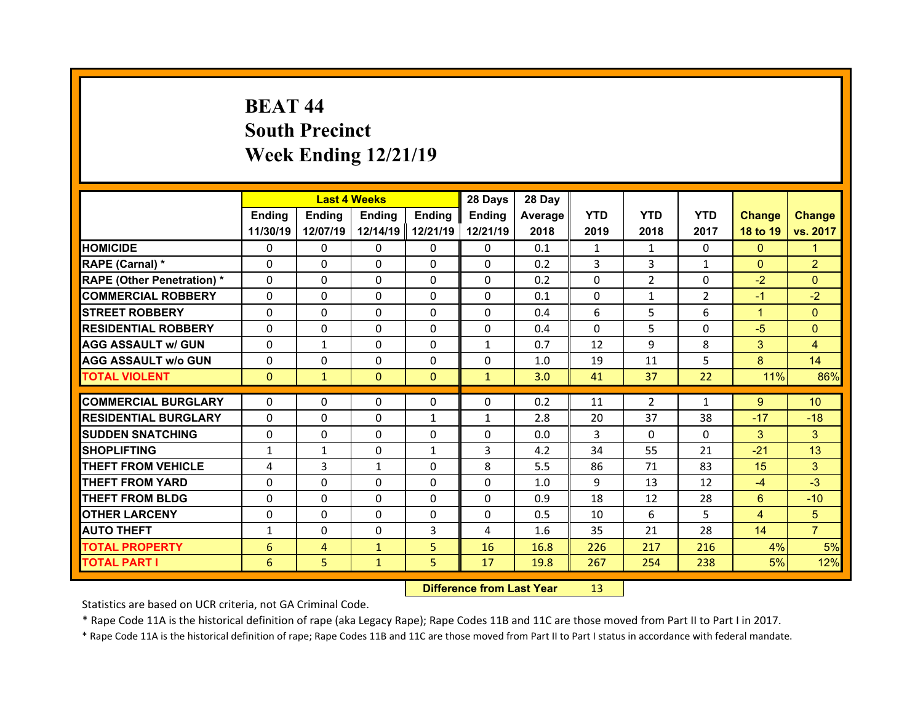## **BEAT 44South Precinct Week Ending 12/21/19**

|                                  |               | <b>Last 4 Weeks</b> |               |               | 28 Days      | 28 Day  |            |                |                |                |                 |
|----------------------------------|---------------|---------------------|---------------|---------------|--------------|---------|------------|----------------|----------------|----------------|-----------------|
|                                  | Ending        | Ending              | <b>Ending</b> | <b>Ending</b> | Ending       | Average | <b>YTD</b> | <b>YTD</b>     | <b>YTD</b>     | <b>Change</b>  | <b>Change</b>   |
|                                  | 11/30/19      | 12/07/19            | 12/14/19      | 12/21/19      | 12/21/19     | 2018    | 2019       | 2018           | 2017           | 18 to 19       | vs. 2017        |
| <b>HOMICIDE</b>                  | $\Omega$      | 0                   | $\Omega$      | $\Omega$      | 0            | 0.1     | 1          | 1              | $\Omega$       | $\mathbf{0}$   | 1               |
| RAPE (Carnal) *                  | 0             | $\Omega$            | $\mathbf{0}$  | $\Omega$      | 0            | 0.2     | 3          | 3              | $\mathbf{1}$   | $\mathbf{0}$   | $\overline{2}$  |
| <b>RAPE (Other Penetration)*</b> | 0             | $\Omega$            | $\Omega$      | $\Omega$      | 0            | 0.2     | $\Omega$   | $\overline{2}$ | $\Omega$       | $-2$           | $\Omega$        |
| <b>COMMERCIAL ROBBERY</b>        | $\Omega$      | 0                   | $\Omega$      | $\Omega$      | 0            | 0.1     | $\Omega$   | $\mathbf{1}$   | $\overline{2}$ | $-1$           | $-2$            |
| <b>STREET ROBBERY</b>            | $\Omega$      | $\Omega$            | $\mathbf{0}$  | $\Omega$      | 0            | 0.4     | 6          | 5              | 6              | $\mathbf{1}$   | $\Omega$        |
| <b>RESIDENTIAL ROBBERY</b>       | $\Omega$      | $\Omega$            | $\Omega$      | $\Omega$      | $\Omega$     | 0.4     | $\Omega$   | 5.             | $\Omega$       | $-5$           | $\Omega$        |
| <b>AGG ASSAULT w/ GUN</b>        | $\Omega$      | $\mathbf{1}$        | $\Omega$      | $\Omega$      | $\mathbf{1}$ | 0.7     | 12         | 9              | 8              | 3              | 4               |
| <b>AGG ASSAULT w/o GUN</b>       | $\Omega$      | $\Omega$            | $\mathbf{0}$  | $\Omega$      | $\Omega$     | 1.0     | 19         | 11             | 5              | 8              | 14              |
| <b>TOTAL VIOLENT</b>             | $\mathbf{0}$  | $\mathbf{1}$        | $\mathbf{0}$  | $\mathbf{0}$  | $\mathbf{1}$ | 3.0     | 41         | 37             | 22             | 11%            | 86%             |
| <b>COMMERCIAL BURGLARY</b>       |               |                     |               |               |              |         |            |                |                |                |                 |
|                                  | 0<br>$\Omega$ | 0                   | 0             | 0             | 0            | 0.2     | 11         | $\overline{2}$ | 1              | $9^{\circ}$    | 10 <sup>°</sup> |
| <b>RESIDENTIAL BURGLARY</b>      |               | 0                   | 0             | 1             | $\mathbf{1}$ | 2.8     | 20         | 37             | 38             | $-17$          | $-18$           |
| <b>SUDDEN SNATCHING</b>          | 0             | $\Omega$            | $\mathbf{0}$  | $\Omega$      | 0            | 0.0     | 3          | $\Omega$       | $\Omega$       | 3              | 3               |
| <b>SHOPLIFTING</b>               | $\mathbf{1}$  | $\mathbf{1}$        | 0             | 1             | 3            | 4.2     | 34         | 55             | 21             | $-21$          | 13              |
| <b>THEFT FROM VEHICLE</b>        | 4             | 3                   | $\mathbf{1}$  | $\Omega$      | 8            | 5.5     | 86         | 71             | 83             | 15             | 3               |
| <b>THEFT FROM YARD</b>           | 0             | $\Omega$            | 0             | $\Omega$      | 0            | 1.0     | 9          | 13             | 12             | $-4$           | $-3$            |
| <b>THEFT FROM BLDG</b>           | $\Omega$      | 0                   | $\mathbf{0}$  | $\Omega$      | 0            | 0.9     | 18         | 12             | 28             | 6              | $-10$           |
| <b>OTHER LARCENY</b>             | $\Omega$      | 0                   | $\Omega$      | $\Omega$      | 0            | 0.5     | 10         | 6              | 5.             | $\overline{4}$ | 5               |
| <b>AUTO THEFT</b>                | $\mathbf{1}$  | 0                   | $\mathbf{0}$  | 3             | 4            | 1.6     | 35         | 21             | 28             | 14             | $\overline{7}$  |
| <b>TOTAL PROPERTY</b>            | 6             | $\overline{4}$      | $\mathbf{1}$  | 5             | 16           | 16.8    | 226        | 217            | 216            | 4%             | 5%              |
|                                  |               |                     |               |               |              |         |            |                |                |                |                 |
| <b>TOTAL PART I</b>              | 6             | 5                   | $\mathbf{1}$  | 5             | 17           | 19.8    | 267        | 254            | 238            | 5%             | 12%             |

 **Difference from Last Year**r 13

Statistics are based on UCR criteria, not GA Criminal Code.

\* Rape Code 11A is the historical definition of rape (aka Legacy Rape); Rape Codes 11B and 11C are those moved from Part II to Part I in 2017.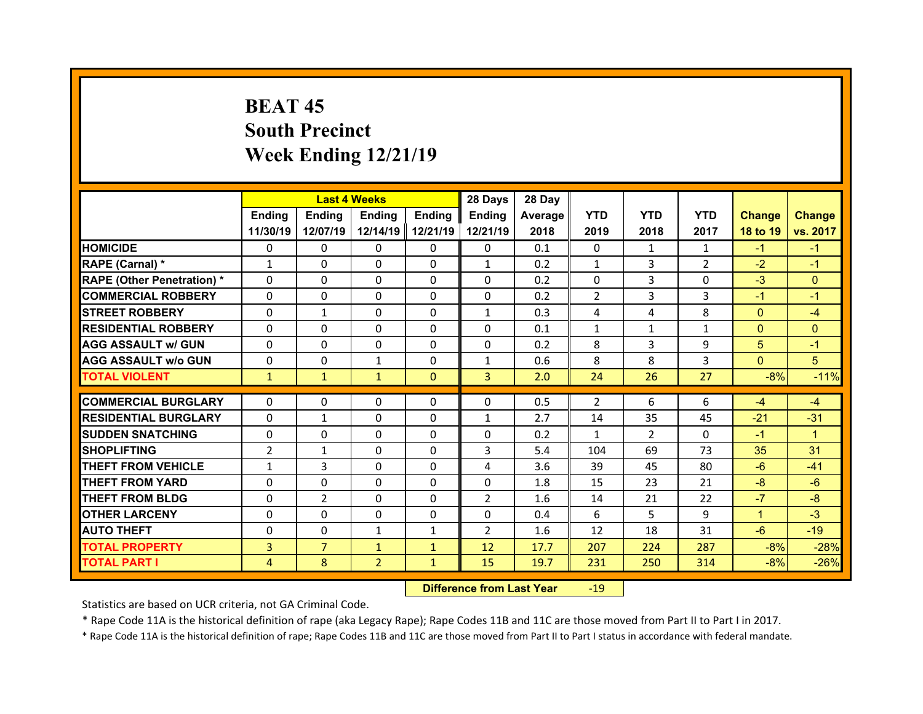## **BEAT 45South Precinct Week Ending 12/21/19**

|                                  |                | <b>Last 4 Weeks</b> |                |               | 28 Days        | 28 Day  |                |                |                |                |               |
|----------------------------------|----------------|---------------------|----------------|---------------|----------------|---------|----------------|----------------|----------------|----------------|---------------|
|                                  | Ending         | Ending              | <b>Ending</b>  | <b>Ending</b> | Ending         | Average | <b>YTD</b>     | <b>YTD</b>     | <b>YTD</b>     | <b>Change</b>  | <b>Change</b> |
|                                  | 11/30/19       | 12/07/19            | 12/14/19       | 12/21/19      | 12/21/19       | 2018    | 2019           | 2018           | 2017           | 18 to 19       | vs. 2017      |
| <b>HOMICIDE</b>                  | $\Omega$       | 0                   | $\Omega$       | $\Omega$      | 0              | 0.1     | $\Omega$       | 1              | $\mathbf{1}$   | $-1$           | $-1$          |
| RAPE (Carnal) *                  | $\mathbf{1}$   | 0                   | $\mathbf{0}$   | $\Omega$      | $\mathbf{1}$   | 0.2     | $\mathbf{1}$   | 3              | $\overline{2}$ | $-2$           | $-1$          |
| <b>RAPE (Other Penetration)*</b> | 0              | $\Omega$            | $\Omega$       | $\Omega$      | 0              | 0.2     | 0              | 3              | $\Omega$       | $-3$           | $\Omega$      |
| <b>COMMERCIAL ROBBERY</b>        | $\Omega$       | 0                   | $\Omega$       | $\Omega$      | 0              | 0.2     | 2              | 3              | 3              | $-1$           | $-1$          |
| <b>STREET ROBBERY</b>            | $\Omega$       | $\mathbf{1}$        | $\mathbf{0}$   | $\Omega$      | $\mathbf{1}$   | 0.3     | 4              | 4              | 8              | $\overline{0}$ | $-4$          |
| <b>RESIDENTIAL ROBBERY</b>       | $\Omega$       | $\Omega$            | $\mathbf{0}$   | $\Omega$      | $\Omega$       | 0.1     | $\mathbf{1}$   | $\mathbf{1}$   | $\mathbf{1}$   | $\overline{0}$ | $\Omega$      |
| <b>AGG ASSAULT w/ GUN</b>        | $\Omega$       | 0                   | $\Omega$       | $\Omega$      | 0              | 0.2     | 8              | 3              | 9              | 5              | $-1$          |
| <b>AGG ASSAULT w/o GUN</b>       | $\Omega$       | 0                   | $\mathbf{1}$   | $\Omega$      | $\mathbf{1}$   | 0.6     | 8              | 8              | 3              | $\overline{0}$ | 5             |
| <b>TOTAL VIOLENT</b>             | $\mathbf{1}$   | $\mathbf{1}$        | $\mathbf{1}$   | $\mathbf{0}$  | 3 <sup>1</sup> | 2.0     | 24             | 26             | 27             | $-8%$          | $-11%$        |
| <b>COMMERCIAL BURGLARY</b>       | 0              | 0                   | 0              | 0             | 0              | 0.5     | $\overline{2}$ | 6              | 6              | $-4$           | $-4$          |
|                                  | $\Omega$       |                     |                |               |                |         |                |                |                |                |               |
| <b>RESIDENTIAL BURGLARY</b>      |                | $\mathbf{1}$        | 0              | $\Omega$      | $\mathbf{1}$   | 2.7     | 14             | 35             | 45             | $-21$          | $-31$         |
|                                  |                |                     |                |               |                |         |                |                |                |                |               |
| <b>SUDDEN SNATCHING</b>          | 0              | $\Omega$            | $\mathbf{0}$   | $\Omega$      | 0              | 0.2     | $\mathbf{1}$   | $\overline{2}$ | $\Omega$       | $-1$           | $\mathbf{1}$  |
| <b>SHOPLIFTING</b>               | $\overline{2}$ | $\mathbf{1}$        | 0              | $\Omega$      | 3              | 5.4     | 104            | 69             | 73             | 35             | 31            |
| <b>THEFT FROM VEHICLE</b>        | $\mathbf{1}$   | 3                   | 0              | $\Omega$      | 4              | 3.6     | 39             | 45             | 80             | $-6$           | $-41$         |
| <b>THEFT FROM YARD</b>           | 0              | $\Omega$            | 0              | $\Omega$      | 0              | 1.8     | 15             | 23             | 21             | $-8$           | $-6$          |
| <b>THEFT FROM BLDG</b>           | $\Omega$       | $\overline{2}$      | $\mathbf{0}$   | $\Omega$      | $\overline{2}$ | 1.6     | 14             | 21             | 22             | $-7$           | $-8$          |
| <b>OTHER LARCENY</b>             | 0              | $\Omega$            | $\Omega$       | $\Omega$      | $\Omega$       | 0.4     | 6              | 5.             | 9              | $\mathbf{1}$   | $-3$          |
| <b>AUTO THEFT</b>                | 0              | 0                   | $\mathbf{1}$   | 1             | $\overline{2}$ | 1.6     | 12             | 18             | 31             | $-6$           | $-19$         |
| <b>TOTAL PROPERTY</b>            | 3              | $\overline{7}$      | $\mathbf{1}$   | $\mathbf{1}$  | 12             | 17.7    | 207            | 224            | 287            | $-8%$          | $-28%$        |
| <b>TOTAL PART I</b>              | 4              | 8                   | $\overline{2}$ | $\mathbf{1}$  | 15             | 19.7    | 231            | 250            | 314            | $-8%$          | $-26%$        |

 **Difference from Last Year**r - 19

Statistics are based on UCR criteria, not GA Criminal Code.

\* Rape Code 11A is the historical definition of rape (aka Legacy Rape); Rape Codes 11B and 11C are those moved from Part II to Part I in 2017.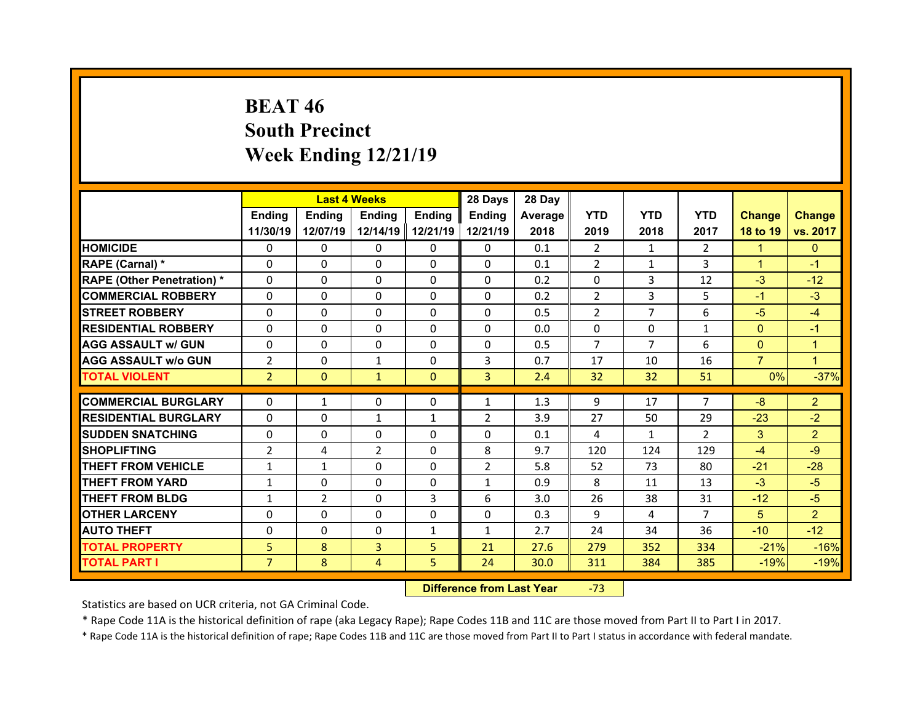## **BEAT 46South Precinct Week Ending 12/21/19**

|                                  |                | <b>Last 4 Weeks</b> |                          |               | 28 Days        | 28 Day     |                |                    |                      |                |                        |
|----------------------------------|----------------|---------------------|--------------------------|---------------|----------------|------------|----------------|--------------------|----------------------|----------------|------------------------|
|                                  | Ending         | Ending              | <b>Ending</b>            | <b>Ending</b> | Ending         | Average    | <b>YTD</b>     | <b>YTD</b>         | <b>YTD</b>           | <b>Change</b>  | <b>Change</b>          |
|                                  | 11/30/19       | 12/07/19            | 12/14/19                 | 12/21/19      | 12/21/19       | 2018       | 2019           | 2018               | 2017                 | 18 to 19       | vs. 2017               |
| <b>HOMICIDE</b>                  | $\Omega$       | 0                   | $\Omega$                 | $\Omega$      | 0              | 0.1        | $\overline{2}$ | 1                  | $\mathcal{P}$        | $\mathbf{1}$   | $\mathbf{0}$           |
| RAPE (Carnal) *                  | $\Omega$       | $\Omega$            | $\mathbf{0}$             | $\Omega$      | 0              | 0.1        | 2              | 1                  | 3                    | $\mathbf{1}$   | $-1$                   |
| <b>RAPE (Other Penetration)*</b> | 0              | $\Omega$            | $\Omega$                 | $\Omega$      | 0              | 0.2        | 0              | 3                  | 12                   | $-3$           | $-12$                  |
| <b>COMMERCIAL ROBBERY</b>        | $\Omega$       | 0                   | $\Omega$                 | $\Omega$      | 0              | 0.2        | 2              | 3                  | 5                    | $-1$           | $-3$                   |
| <b>STREET ROBBERY</b>            | $\Omega$       | $\Omega$            | $\mathbf{0}$             | $\Omega$      | $\Omega$       | 0.5        | 2              | $\overline{7}$     | 6                    | $-5$           | $-4$                   |
| <b>RESIDENTIAL ROBBERY</b>       | $\Omega$       | $\Omega$            | $\Omega$                 | $\Omega$      | $\Omega$       | 0.0        | $\Omega$       | $\Omega$           | $\mathbf{1}$         | $\Omega$       | $-1$                   |
| <b>AGG ASSAULT w/ GUN</b>        | $\Omega$       | 0                   | $\Omega$                 | $\Omega$      | $\Omega$       | 0.5        | $\overline{7}$ | $\overline{7}$     | 6                    | $\mathbf{0}$   | $\mathbf{1}$           |
| <b>AGG ASSAULT w/o GUN</b>       | $\overline{2}$ | $\Omega$            | $\mathbf{1}$             | $\Omega$      | 3              | 0.7        | 17             | 10                 | 16                   | $\overline{7}$ | $\mathbf{1}$           |
| <b>TOTAL VIOLENT</b>             | $\overline{2}$ | $\mathbf{0}$        | $\mathbf{1}$             | $\mathbf{0}$  | 3 <sup>1</sup> | 2.4        | 32             | 32                 | 51                   | 0%             | $-37%$                 |
| <b>COMMERCIAL BURGLARY</b>       |                |                     |                          |               |                |            |                |                    | $\overline{7}$       |                |                        |
| <b>RESIDENTIAL BURGLARY</b>      | 0<br>$\Omega$  | $\mathbf{1}$        | 0                        | 0             | $\mathbf{1}$   | 1.3        | 9<br>27        | 17                 |                      | -8             | $\overline{2}$<br>$-2$ |
| <b>SUDDEN SNATCHING</b>          | 0              | 0<br>$\Omega$       | $\mathbf{1}$<br>$\Omega$ | 1<br>$\Omega$ | 2<br>0         | 3.9<br>0.1 | 4              | 50<br>$\mathbf{1}$ | 29<br>$\overline{2}$ | $-23$          | $\overline{2}$         |
|                                  |                |                     |                          |               |                |            |                |                    |                      |                |                        |
|                                  |                |                     |                          |               |                |            |                |                    |                      | 3              |                        |
| <b>SHOPLIFTING</b>               | $\overline{2}$ | 4                   | 2                        | $\Omega$      | 8              | 9.7        | 120            | 124                | 129                  | $-4$           | $-9$                   |
| <b>THEFT FROM VEHICLE</b>        | $\mathbf{1}$   | $\mathbf{1}$        | 0                        | $\Omega$      | $\overline{2}$ | 5.8        | 52             | 73                 | 80                   | $-21$          | $-28$                  |
| <b>THEFT FROM YARD</b>           | $\mathbf{1}$   | 0                   | 0                        | $\Omega$      | $\mathbf{1}$   | 0.9        | 8              | 11                 | 13                   | $-3$           | $-5$                   |
| <b>THEFT FROM BLDG</b>           | $\mathbf{1}$   | $\overline{2}$      | $\mathbf{0}$             | 3             | 6              | 3.0        | 26             | 38                 | 31                   | $-12$          | $-5$                   |
| <b>OTHER LARCENY</b>             | 0              | 0                   | $\Omega$                 | $\Omega$      | $\Omega$       | 0.3        | 9              | 4                  | $\overline{7}$       | 5              | $\overline{2}$         |
| <b>AUTO THEFT</b>                | 0              | 0                   | $\mathbf{0}$             | 1             | $\mathbf{1}$   | 2.7        | 24             | 34                 | 36                   | $-10$          | $-12$                  |
| <b>TOTAL PROPERTY</b>            | 5              | 8                   | 3                        | 5             | 21             | 27.6       | 279            | 352                | 334                  | $-21%$         | $-16%$                 |
| <b>TOTAL PART I</b>              | 7 <sup>1</sup> | 8                   | 4                        | 5             | 24             | 30.0       | 311            | 384                | 385                  | $-19%$         | $-19%$                 |

 **Difference from Last Year**‐73

Statistics are based on UCR criteria, not GA Criminal Code.

\* Rape Code 11A is the historical definition of rape (aka Legacy Rape); Rape Codes 11B and 11C are those moved from Part II to Part I in 2017.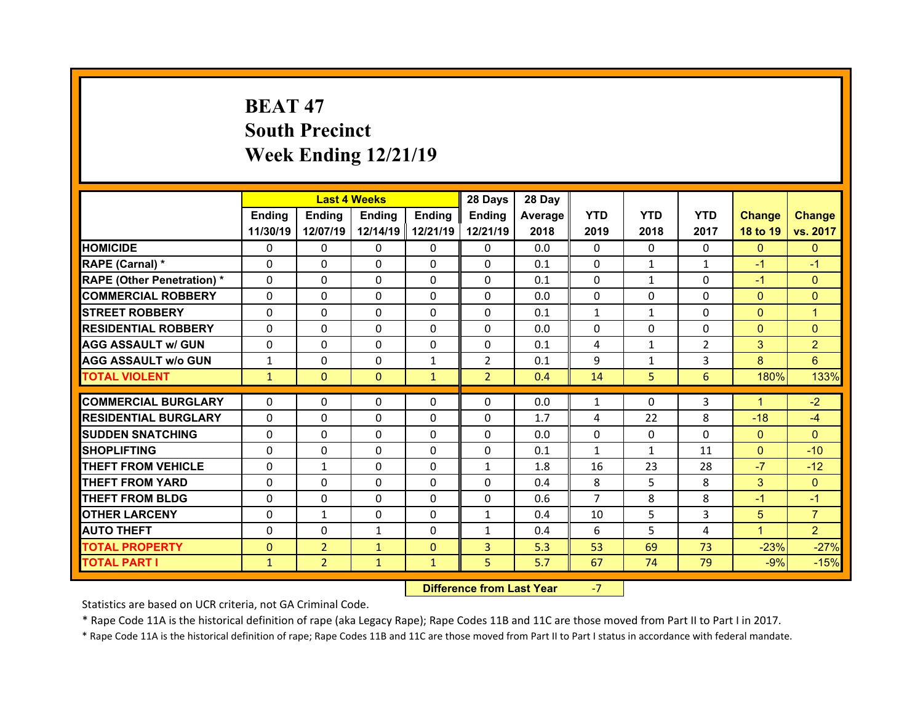## **BEAT 47South Precinct Week Ending 12/21/19**

|                                   |              | <b>Last 4 Weeks</b> |              |               | 28 Days        | 28 Day  |                |                |                |                |                |
|-----------------------------------|--------------|---------------------|--------------|---------------|----------------|---------|----------------|----------------|----------------|----------------|----------------|
|                                   | Ending       | <b>Ending</b>       | Ending       | <b>Ending</b> | <b>Ending</b>  | Average | <b>YTD</b>     | <b>YTD</b>     | <b>YTD</b>     | <b>Change</b>  | <b>Change</b>  |
|                                   | 11/30/19     | 12/07/19            | 12/14/19     | 12/21/19      | 12/21/19       | 2018    | 2019           | 2018           | 2017           | 18 to 19       | vs. 2017       |
| <b>HOMICIDE</b>                   | $\Omega$     | 0                   | 0            | $\Omega$      | $\Omega$       | 0.0     | $\Omega$       | $\Omega$       | $\Omega$       | $\Omega$       | $\mathbf{0}$   |
| RAPE (Carnal) *                   | $\mathbf{0}$ | 0                   | $\mathbf{0}$ | $\mathbf{0}$  | $\Omega$       | 0.1     | 0              | $\mathbf{1}$   | $\mathbf{1}$   | $-1$           | $-1$           |
| <b>RAPE (Other Penetration) *</b> | $\Omega$     | $\Omega$            | $\Omega$     | $\Omega$      | $\Omega$       | 0.1     | $\Omega$       | $\mathbf{1}$   | $\Omega$       | $-1$           | $\Omega$       |
| <b>COMMERCIAL ROBBERY</b>         | $\Omega$     | $\Omega$            | $\mathbf{0}$ | $\Omega$      | $\Omega$       | 0.0     | $\Omega$       | $\Omega$       | $\Omega$       | $\overline{0}$ | $\Omega$       |
| <b>STREET ROBBERY</b>             | $\Omega$     | 0                   | $\Omega$     | $\Omega$      | $\Omega$       | 0.1     | $\mathbf{1}$   | $\mathbf{1}$   | $\Omega$       | $\mathbf{0}$   | $\overline{1}$ |
| <b>RESIDENTIAL ROBBERY</b>        | $\Omega$     | 0                   | $\mathbf{0}$ | $\Omega$      | $\Omega$       | 0.0     | $\Omega$       | $\Omega$       | $\Omega$       | $\overline{0}$ | $\Omega$       |
| <b>AGG ASSAULT w/ GUN</b>         | $\Omega$     | $\Omega$            | $\Omega$     | $\Omega$      | $\Omega$       | 0.1     | $\overline{4}$ | $\mathbf{1}$   | $\overline{2}$ | 3              | $\overline{2}$ |
| <b>AGG ASSAULT w/o GUN</b>        | $\mathbf{1}$ | 0                   | 0            | $\mathbf{1}$  | $\overline{2}$ | 0.1     | 9              | $\mathbf{1}$   | 3              | 8              | 6              |
| <b>TOTAL VIOLENT</b>              | $\mathbf{1}$ | $\mathbf{0}$        | $\mathbf{0}$ | $\mathbf{1}$  | $\overline{2}$ | 0.4     | 14             | 5 <sup>1</sup> | 6              | 180%           | 133%           |
| <b>COMMERCIAL BURGLARY</b>        | 0            |                     |              |               |                | 0.0     |                | $\Omega$       | 3              | $\mathbf{1}$   | $-2$           |
|                                   |              | 0                   | 0            | $\mathbf{0}$  | 0              |         | 1              |                |                |                |                |
| <b>RESIDENTIAL BURGLARY</b>       | 0            | 0                   | 0            | $\Omega$      | 0              | 1.7     | 4              | 22             | 8              | $-18$          | $-4$           |
| <b>SUDDEN SNATCHING</b>           | $\Omega$     | $\Omega$            | $\Omega$     | $\Omega$      | $\Omega$       | 0.0     | $\Omega$       | $\Omega$       | $\Omega$       | $\mathbf{0}$   | $\Omega$       |
| <b>SHOPLIFTING</b>                | 0            | $\Omega$            | $\Omega$     | $\Omega$      | 0              | 0.1     | $\mathbf{1}$   | $\mathbf{1}$   | 11             | $\overline{0}$ | $-10$          |
| <b>THEFT FROM VEHICLE</b>         | 0            | $\mathbf{1}$        | $\mathbf{0}$ | $\Omega$      | $\mathbf{1}$   | 1.8     | 16             | 23             | 28             | $-7$           | $-12$          |
| <b>THEFT FROM YARD</b>            | $\Omega$     | $\Omega$            | $\Omega$     | $\Omega$      | $\Omega$       | 0.4     | 8              | 5.             | 8              | 3              | $\Omega$       |
| <b>THEFT FROM BLDG</b>            | $\Omega$     | $\Omega$            | $\mathbf{0}$ | $\Omega$      | $\Omega$       | 0.6     | $\overline{7}$ | 8              | 8              | $-1$           | $-1$           |
| <b>OTHER LARCENY</b>              |              | $\mathbf{1}$        | $\Omega$     | $\Omega$      | $\mathbf{1}$   | 0.4     | 10             | 5              | 3              | 5 <sup>5</sup> | $\overline{7}$ |
|                                   | $\Omega$     |                     |              |               |                |         |                |                |                |                |                |
| <b>AUTO THEFT</b>                 | $\mathbf{0}$ | 0                   | $\mathbf{1}$ | $\mathbf{0}$  | $\mathbf{1}$   | 0.4     | 6              | 5.             | 4              | $\mathbf{1}$   | $\overline{2}$ |
| <b>TOTAL PROPERTY</b>             | $\Omega$     | $\overline{2}$      | $\mathbf{1}$ | $\Omega$      | 3              | 5.3     | 53             | 69             | 73             | $-23%$         | $-27%$         |

 **Difference from Last Year**‐7

Statistics are based on UCR criteria, not GA Criminal Code.

\* Rape Code 11A is the historical definition of rape (aka Legacy Rape); Rape Codes 11B and 11C are those moved from Part II to Part I in 2017.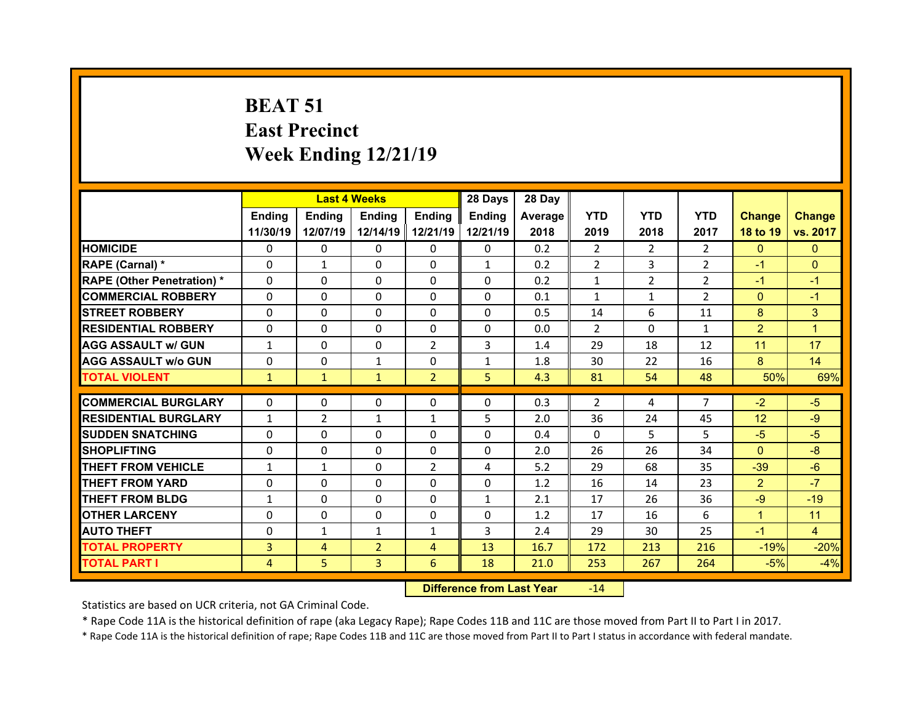## **BEAT 51 East Precinct Week Ending 12/21/19**

|                                                        |                          | <b>Last 4 Weeks</b> |                          |                | 28 Days       | 28 Day  |                |                |                |                |                |
|--------------------------------------------------------|--------------------------|---------------------|--------------------------|----------------|---------------|---------|----------------|----------------|----------------|----------------|----------------|
|                                                        | <b>Ending</b>            | Ending              | <b>Ending</b>            | <b>Endina</b>  | <b>Ending</b> | Average | <b>YTD</b>     | <b>YTD</b>     | <b>YTD</b>     | <b>Change</b>  | <b>Change</b>  |
|                                                        | 11/30/19                 | 12/07/19            | 12/14/19                 | 12/21/19       | 12/21/19      | 2018    | 2019           | 2018           | 2017           | 18 to 19       | vs. 2017       |
| <b>HOMICIDE</b>                                        | $\Omega$                 | $\Omega$            | $\Omega$                 | $\Omega$       | $\Omega$      | 0.2     | $\overline{2}$ | $\mathcal{P}$  | $\mathcal{P}$  | $\Omega$       | $\Omega$       |
| RAPE (Carnal) *                                        | $\Omega$                 | $\mathbf{1}$        | $\Omega$                 | 0              | $\mathbf{1}$  | 0.2     | $\overline{2}$ | 3              | $\overline{2}$ | $-1$           | $\mathbf{0}$   |
| <b>RAPE (Other Penetration) *</b>                      | $\Omega$                 | 0                   | $\Omega$                 | $\Omega$       | $\Omega$      | 0.2     | $\mathbf{1}$   | $\overline{2}$ | $\mathcal{P}$  | $-1$           | $-1$           |
| <b>COMMERCIAL ROBBERY</b>                              | 0                        | 0                   | 0                        | $\Omega$       | $\Omega$      | 0.1     | $\mathbf{1}$   | $\mathbf{1}$   | $\overline{2}$ | $\mathbf{0}$   | $-1$           |
| <b>STREET ROBBERY</b>                                  | $\Omega$                 | $\Omega$            | $\Omega$                 | $\Omega$       | $\Omega$      | 0.5     | 14             | 6              | 11             | 8              | 3              |
| <b>RESIDENTIAL ROBBERY</b>                             | $\Omega$                 | $\Omega$            | $\Omega$                 | $\Omega$       | $\Omega$      | 0.0     | $\overline{2}$ | $\Omega$       | $\mathbf{1}$   | $\overline{2}$ | $\mathbf{1}$   |
| <b>AGG ASSAULT w/ GUN</b>                              | $\mathbf{1}$             | 0                   | 0                        | $\overline{2}$ | 3             | 1.4     | 29             | 18             | 12             | 11             | 17             |
| <b>AGG ASSAULT w/o GUN</b>                             | 0                        | $\Omega$            | $\mathbf{1}$             | $\Omega$       | $\mathbf{1}$  | 1.8     | 30             | 22             | 16             | 8              | 14             |
| <b>TOTAL VIOLENT</b>                                   | $\mathbf{1}$             | $\mathbf{1}$        | $\mathbf{1}$             | $\overline{2}$ | 5             | 4.3     | 81             | 54             | 48             | 50%            | 69%            |
| <b>COMMERCIAL BURGLARY</b>                             | $\Omega$                 | $\Omega$            | $\Omega$                 | $\Omega$       | $\Omega$      | 0.3     | 2              | 4              | $\overline{7}$ | $-2$           | $-5$           |
|                                                        |                          | $\overline{2}$      |                          | $\mathbf{1}$   | 5             | 2.0     | 36             | 24             | 45             | 12             | $-9$           |
| <b>RESIDENTIAL BURGLARY</b><br><b>SUDDEN SNATCHING</b> | $\mathbf{1}$<br>$\Omega$ | 0                   | $\mathbf{1}$<br>$\Omega$ | $\Omega$       | $\Omega$      | 0.4     | $\Omega$       | 5.             | 5              | $-5$           | $-5$           |
| <b>SHOPLIFTING</b>                                     | $\Omega$                 | 0                   | $\Omega$                 | $\Omega$       | $\Omega$      | 2.0     | 26             | 26             | 34             | $\mathbf{0}$   | $-8$           |
| <b>THEFT FROM VEHICLE</b>                              | $\mathbf{1}$             | $\mathbf{1}$        | $\Omega$                 | 2              | 4             | 5.2     | 29             | 68             | 35             | $-39$          | $-6$           |
| <b>THEFT FROM YARD</b>                                 | 0                        | 0                   | $\Omega$                 | $\Omega$       | $\Omega$      | 1.2     | 16             | 14             | 23             | 2 <sup>1</sup> | $-7$           |
| <b>THEFT FROM BLDG</b>                                 |                          | $\Omega$            | $\Omega$                 | $\Omega$       |               | 2.1     | 17             | 26             | 36             | $-9$           | $-19$          |
|                                                        | $\mathbf{1}$             |                     |                          |                | $\mathbf{1}$  |         |                |                |                |                |                |
| <b>OTHER LARCENY</b>                                   | $\Omega$                 | 0                   | $\Omega$                 | $\Omega$       | $\Omega$      | 1.2     | 17             | 16             | 6              | $\mathbf{1}$   | 11             |
| <b>AUTO THEFT</b>                                      | 0                        | $\mathbf{1}$        | $\mathbf{1}$             | $\mathbf{1}$   | 3             | 2.4     | 29             | 30             | 25             | $-1$           | $\overline{4}$ |
| <b>TOTAL PROPERTY</b>                                  | 3                        | $\overline{4}$      | $\overline{2}$           | $\overline{4}$ | 13            | 16.7    | 172            | 213            | 216            | $-19%$         | $-20%$         |
| <b>TOTAL PART I</b>                                    | $\overline{4}$           | 5 <sup>1</sup>      | 3                        | 6              | 18            | 21.0    | 253            | 267            | 264            | $-5%$          | $-4%$          |

 **Difference from Last Year**r -14

Statistics are based on UCR criteria, not GA Criminal Code.

\* Rape Code 11A is the historical definition of rape (aka Legacy Rape); Rape Codes 11B and 11C are those moved from Part II to Part I in 2017.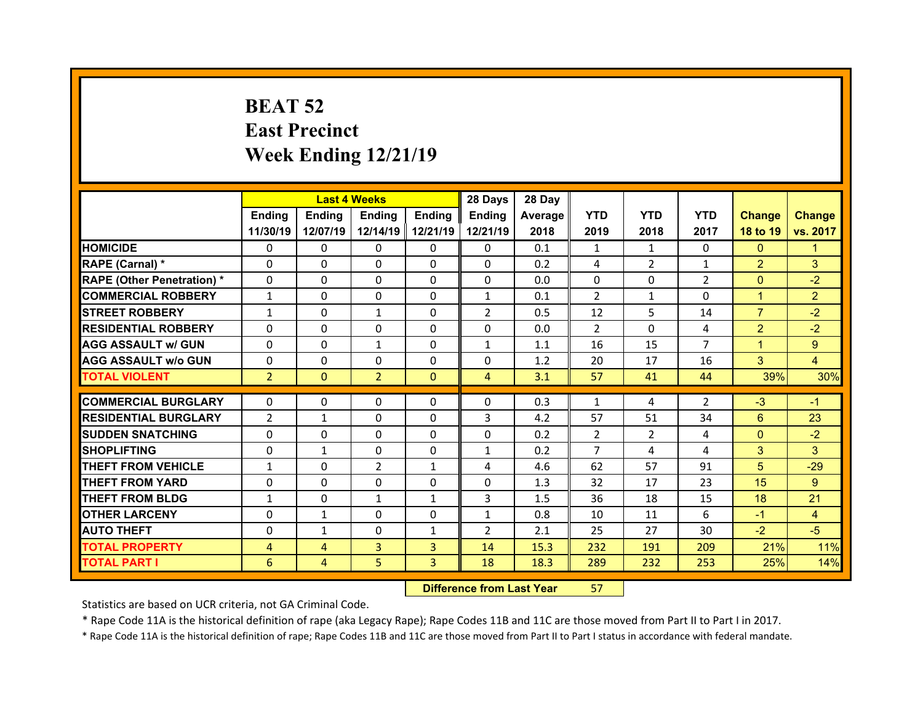## **BEAT 52 East Precinct Week Ending 12/21/19**

|                                  |                |                | <b>Last 4 Weeks</b> |                | 28 Days        | 28 Day  |                |                |                |                |                |
|----------------------------------|----------------|----------------|---------------------|----------------|----------------|---------|----------------|----------------|----------------|----------------|----------------|
|                                  | Ending         | Ending         | <b>Ending</b>       | <b>Ending</b>  | Ending         | Average | <b>YTD</b>     | <b>YTD</b>     | <b>YTD</b>     | <b>Change</b>  | <b>Change</b>  |
|                                  | 11/30/19       | 12/07/19       | 12/14/19            | 12/21/19       | 12/21/19       | 2018    | 2019           | 2018           | 2017           | 18 to 19       | vs. 2017       |
| <b>HOMICIDE</b>                  | $\Omega$       | 0              | $\Omega$            | $\Omega$       | 0              | 0.1     | 1              | 1              | $\Omega$       | $\mathbf{0}$   | 1              |
| RAPE (Carnal) *                  | 0              | $\Omega$       | $\mathbf{0}$        | $\Omega$       | 0              | 0.2     | 4              | $\overline{2}$ | $\mathbf{1}$   | $\overline{2}$ | 3              |
| <b>RAPE (Other Penetration)*</b> | 0              | $\Omega$       | $\Omega$            | $\Omega$       | 0              | 0.0     | $\Omega$       | $\Omega$       | $\overline{2}$ | $\overline{0}$ | $-2$           |
| <b>COMMERCIAL ROBBERY</b>        | $\mathbf{1}$   | 0              | $\mathbf{0}$        | $\Omega$       | $\mathbf{1}$   | 0.1     | 2              | 1              | $\Omega$       | $\mathbf{1}$   | $\overline{2}$ |
| <b>STREET ROBBERY</b>            | $\mathbf{1}$   | $\Omega$       | $\mathbf{1}$        | $\Omega$       | $\overline{2}$ | 0.5     | 12             | 5              | 14             | $\overline{7}$ | $-2$           |
| <b>RESIDENTIAL ROBBERY</b>       | $\Omega$       | $\Omega$       | $\mathbf{0}$        | $\Omega$       | $\Omega$       | 0.0     | 2              | $\Omega$       | 4              | $\overline{2}$ | $-2$           |
| <b>AGG ASSAULT w/ GUN</b>        | $\Omega$       | 0              | $\mathbf{1}$        | $\Omega$       | $\mathbf{1}$   | 1.1     | 16             | 15             | $\overline{7}$ | $\mathbf{1}$   | 9              |
| <b>AGG ASSAULT w/o GUN</b>       | $\Omega$       | $\Omega$       | $\mathbf{0}$        | $\Omega$       | $\Omega$       | 1.2     | 20             | 17             | 16             | 3              | $\overline{4}$ |
| <b>TOTAL VIOLENT</b>             | $\overline{2}$ | $\mathbf{0}$   | $\overline{2}$      | $\mathbf{0}$   | $\overline{4}$ | 3.1     | 57             | 41             | 44             | 39%            | 30%            |
|                                  |                |                |                     |                |                |         |                |                |                |                |                |
| <b>COMMERCIAL BURGLARY</b>       | 0              | 0              | 0                   | 0              | 0              | 0.3     | 1              | 4              | $\overline{2}$ | $-3$           | $-1$           |
| <b>RESIDENTIAL BURGLARY</b>      | $\overline{2}$ | $\mathbf{1}$   | 0                   | $\Omega$       | 3              | 4.2     | 57             | 51             | 34             | $6\phantom{1}$ | 23             |
| <b>SUDDEN SNATCHING</b>          | 0              | $\Omega$       | $\mathbf{0}$        | $\Omega$       | 0              | 0.2     | $\overline{2}$ | $\overline{2}$ | 4              | $\overline{0}$ | $-2$           |
| <b>SHOPLIFTING</b>               | 0              | $\mathbf{1}$   | 0                   | $\Omega$       | $\mathbf{1}$   | 0.2     | $\overline{7}$ | 4              | 4              | 3              | 3              |
| <b>THEFT FROM VEHICLE</b>        | $\mathbf{1}$   | 0              | 2                   | $\mathbf{1}$   | 4              | 4.6     | 62             | 57             | 91             | 5              | $-29$          |
| <b>THEFT FROM YARD</b>           | 0              | $\Omega$       | 0                   | $\Omega$       | 0              | 1.3     | 32             | 17             | 23             | 15             | 9              |
| <b>THEFT FROM BLDG</b>           | $\mathbf{1}$   | 0              | $\mathbf{1}$        | $\mathbf{1}$   | 3              | 1.5     | 36             | 18             | 15             | 18             | 21             |
| <b>OTHER LARCENY</b>             | 0              | $\mathbf{1}$   | $\Omega$            | $\Omega$       | $\mathbf{1}$   | 0.8     | 10             | 11             | 6              | $-1$           | $\overline{4}$ |
|                                  |                |                |                     |                |                |         |                |                |                |                |                |
| <b>AUTO THEFT</b>                | 0              | $\mathbf{1}$   | $\mathbf{0}$        | 1              | 2              | 2.1     | 25             | 27             | 30             | $-2$           | $-5$           |
| <b>TOTAL PROPERTY</b>            | 4              | $\overline{4}$ | 3                   | $\overline{3}$ | 14             | 15.3    | 232            | 191            | 209            | 21%            | 11%            |
| <b>TOTAL PART I</b>              | 6              | $\overline{4}$ | 5                   | 3              | 18             | 18.3    | 289            | 232            | 253            | 25%            | 14%            |

 **Difference from Last Year**r 57

Statistics are based on UCR criteria, not GA Criminal Code.

\* Rape Code 11A is the historical definition of rape (aka Legacy Rape); Rape Codes 11B and 11C are those moved from Part II to Part I in 2017.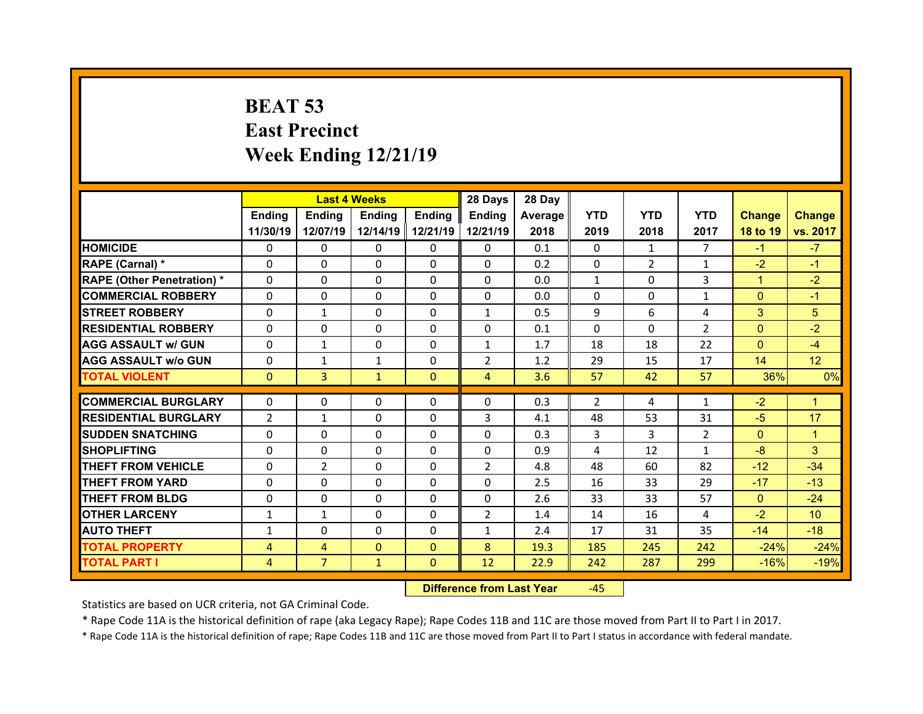## **BEAT 53 East Precinct Week Ending 12/21/19**

|                                   |                | <b>Last 4 Weeks</b> |               |               | 28 Days        | 28 Day  |              |                |                |                |                 |
|-----------------------------------|----------------|---------------------|---------------|---------------|----------------|---------|--------------|----------------|----------------|----------------|-----------------|
|                                   | <b>Ending</b>  | <b>Endina</b>       | <b>Ending</b> | <b>Ending</b> | <b>Ending</b>  | Average | <b>YTD</b>   | <b>YTD</b>     | <b>YTD</b>     | <b>Change</b>  | <b>Change</b>   |
|                                   | 11/30/19       | 12/07/19            | 12/14/19      | 12/21/19      | 12/21/19       | 2018    | 2019         | 2018           | 2017           | 18 to 19       | vs. 2017        |
| <b>HOMICIDE</b>                   | $\Omega$       | 0                   | $\Omega$      | $\Omega$      | 0              | 0.1     | $\Omega$     | $\mathbf{1}$   | $\overline{7}$ | $-1$           | $-7$            |
| RAPE (Carnal) *                   | 0              | 0                   | $\mathbf{0}$  | $\Omega$      | $\Omega$       | 0.2     | $\Omega$     | $\overline{2}$ | $\mathbf{1}$   | $-2$           | $-1$            |
| <b>RAPE (Other Penetration) *</b> | $\Omega$       | $\Omega$            | $\Omega$      | $\Omega$      | $\Omega$       | 0.0     | $\mathbf{1}$ | $\Omega$       | 3              | $\mathbf{1}$   | $-2$            |
| <b>COMMERCIAL ROBBERY</b>         | $\Omega$       | $\Omega$            | $\mathbf{0}$  | $\mathbf{0}$  | 0              | 0.0     | 0            | $\Omega$       | $\mathbf{1}$   | $\overline{0}$ | $-1$            |
| <b>STREET ROBBERY</b>             | 0              | $\mathbf{1}$        | $\Omega$      | $\Omega$      | $\mathbf{1}$   | 0.5     | 9            | 6              | 4              | 3              | 5               |
| <b>RESIDENTIAL ROBBERY</b>        | $\Omega$       | $\Omega$            | $\mathbf{0}$  | $\Omega$      | $\Omega$       | 0.1     | $\Omega$     | $\Omega$       | $\overline{2}$ | $\overline{0}$ | $-2$            |
| <b>AGG ASSAULT w/ GUN</b>         | 0              | $\mathbf{1}$        | $\Omega$      | $\Omega$      | $\mathbf{1}$   | 1.7     | 18           | 18             | 22             | $\overline{0}$ | $-4$            |
| <b>AGG ASSAULT w/o GUN</b>        | $\Omega$       | $\mathbf{1}$        | $\mathbf{1}$  | $\Omega$      | $\overline{2}$ | 1.2     | 29           | 15             | 17             | 14             | 12 <sup>°</sup> |
| <b>TOTAL VIOLENT</b>              | $\mathbf{0}$   | 3                   | $\mathbf{1}$  | $\mathbf{0}$  | $\overline{4}$ | 3.6     | 57           | 42             | 57             | 36%            | 0%              |
|                                   |                |                     |               |               |                |         |              |                |                |                |                 |
| <b>COMMERCIAL BURGLARY</b>        | 0              | $\Omega$            | $\Omega$      | $\Omega$      | $\Omega$       | 0.3     | 2            | 4              | 1              | $-2$           | 1               |
| <b>RESIDENTIAL BURGLARY</b>       | $\overline{2}$ | $\mathbf{1}$        | 0             | $\Omega$      | 3              | 4.1     | 48           | 53             | 31             | $-5$           | 17              |
| <b>SUDDEN SNATCHING</b>           | 0              | $\Omega$            | $\Omega$      | $\Omega$      | $\Omega$       | 0.3     | 3            | 3              | $\overline{2}$ | $\Omega$       | 1               |
| <b>SHOPLIFTING</b>                | 0              | $\Omega$            | $\Omega$      | $\Omega$      | 0              | 0.9     | 4            | 12             | $\mathbf{1}$   | $-8$           | 3 <sup>1</sup>  |
|                                   |                |                     |               |               |                |         |              |                |                |                |                 |
| <b>THEFT FROM VEHICLE</b>         | 0              | $\overline{2}$      | $\Omega$      | $\Omega$      | $\overline{2}$ | 4.8     | 48           | 60             | 82             | $-12$          | $-34$           |
| <b>THEFT FROM YARD</b>            | 0              | 0                   | 0             | $\Omega$      | 0              | 2.5     | 16           | 33             | 29             | $-17$          | $-13$           |
| <b>THEFT FROM BLDG</b>            | $\mathbf{0}$   | 0                   | $\Omega$      | $\Omega$      | 0              | 2.6     | 33           | 33             | 57             | $\mathbf{0}$   | $-24$           |
| <b>OTHER LARCENY</b>              | $\mathbf{1}$   | $\mathbf{1}$        | $\mathbf{0}$  | $\Omega$      | $\overline{2}$ | 1.4     | 14           | 16             | 4              | $-2$           | 10 <sup>°</sup> |
| <b>AUTO THEFT</b>                 | $\mathbf{1}$   | $\Omega$            | $\Omega$      | $\Omega$      | $\mathbf{1}$   | 2.4     | 17           | 31             | 35             | $-14$          | $-18$           |
| <b>TOTAL PROPERTY</b>             | 4              | $\overline{4}$      | $\Omega$      | $\Omega$      | 8              | 19.3    | 185          | 245            | 242            | $-24%$         | $-24%$          |
| TOTAL PART I                      | 4              | $\overline{7}$      | $\mathbf{1}$  | $\mathbf{0}$  | 12             | 22.9    | 242          | 287            | 299            | $-16%$         | $-19%$          |

 **Difference from Last Year**‐45

Statistics are based on UCR criteria, not GA Criminal Code.

\* Rape Code 11A is the historical definition of rape (aka Legacy Rape); Rape Codes 11B and 11C are those moved from Part II to Part I in 2017.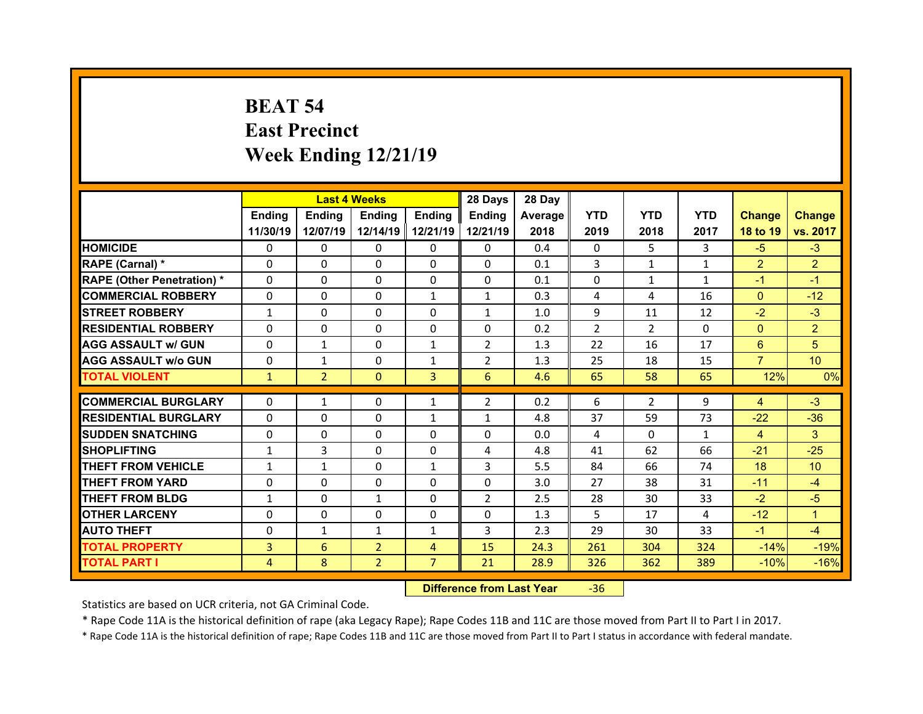## **BEAT 54 East Precinct Week Ending 12/21/19**

|                                  |              | <b>Last 4 Weeks</b> |                |                | 28 Days        | 28 Day  |                |                |              |                |                 |
|----------------------------------|--------------|---------------------|----------------|----------------|----------------|---------|----------------|----------------|--------------|----------------|-----------------|
|                                  | Ending       | Ending              | <b>Ending</b>  | <b>Ending</b>  | Ending         | Average | <b>YTD</b>     | <b>YTD</b>     | <b>YTD</b>   | <b>Change</b>  | <b>Change</b>   |
|                                  | 11/30/19     | 12/07/19            | 12/14/19       | 12/21/19       | 12/21/19       | 2018    | 2019           | 2018           | 2017         | 18 to 19       | vs. 2017        |
| <b>HOMICIDE</b>                  | $\Omega$     | 0                   | $\Omega$       | $\Omega$       | 0              | 0.4     | $\Omega$       | 5.             | 3            | $-5$           | $-3$            |
| RAPE (Carnal) *                  | $\Omega$     | $\Omega$            | $\mathbf{0}$   | $\Omega$       | 0              | 0.1     | 3              | $\mathbf{1}$   | $\mathbf{1}$ | $\overline{2}$ | $\overline{2}$  |
| <b>RAPE (Other Penetration)*</b> | 0            | $\Omega$            | $\Omega$       | $\Omega$       | 0              | 0.1     | 0              | $\mathbf{1}$   | $\mathbf{1}$ | $-1$           | $-1$            |
| <b>COMMERCIAL ROBBERY</b>        | $\Omega$     | 0                   | $\Omega$       | $\mathbf{1}$   | $\mathbf{1}$   | 0.3     | 4              | 4              | 16           | $\mathbf{0}$   | $-12$           |
| <b>STREET ROBBERY</b>            | $\mathbf{1}$ | $\Omega$            | $\mathbf{0}$   | $\Omega$       | $\mathbf{1}$   | 1.0     | 9              | 11             | 12           | $-2$           | $-3$            |
| <b>RESIDENTIAL ROBBERY</b>       | $\Omega$     | $\Omega$            | $\Omega$       | $\Omega$       | $\Omega$       | 0.2     | $\overline{2}$ | $\mathcal{P}$  | $\Omega$     | $\mathbf{0}$   | $\overline{2}$  |
| <b>AGG ASSAULT w/ GUN</b>        | $\Omega$     | $\mathbf{1}$        | $\Omega$       | $\mathbf{1}$   | $\overline{2}$ | 1.3     | 22             | 16             | 17           | 6              | 5               |
| <b>AGG ASSAULT w/o GUN</b>       | $\Omega$     | $\mathbf{1}$        | $\mathbf{0}$   | $\mathbf{1}$   | $\overline{2}$ | 1.3     | 25             | 18             | 15           | $\overline{7}$ | 10 <sup>°</sup> |
| <b>TOTAL VIOLENT</b>             | $\mathbf{1}$ | $\overline{2}$      | $\mathbf{0}$   | 3              | 6              | 4.6     | 65             | 58             | 65           | 12%            | 0%              |
| <b>COMMERCIAL BURGLARY</b>       | 0            | $\mathbf{1}$        | 0              |                | $\overline{2}$ | 0.2     | 6              | $\overline{2}$ | 9            |                | $-3$            |
|                                  | $\Omega$     |                     |                | 1              |                |         |                |                |              | $\overline{4}$ |                 |
| <b>RESIDENTIAL BURGLARY</b>      |              | 0                   | 0              | 1              | $\mathbf{1}$   | 4.8     | 37             | 59             | 73           | $-22$          | $-36$           |
| <b>SUDDEN SNATCHING</b>          | 0            | $\Omega$            | $\mathbf{0}$   | $\Omega$       | 0              | 0.0     | 4              | $\Omega$       | $\mathbf{1}$ | $\overline{4}$ | 3               |
| <b>SHOPLIFTING</b>               |              |                     |                |                |                |         |                |                |              |                |                 |
|                                  | $\mathbf{1}$ | 3                   | 0              | $\Omega$       | 4              | 4.8     | 41             | 62             | 66           | $-21$          | $-25$           |
| <b>THEFT FROM VEHICLE</b>        | $\mathbf{1}$ | $\mathbf{1}$        | 0              | $\mathbf{1}$   | 3              | 5.5     | 84             | 66             | 74           | 18             | 10 <sup>°</sup> |
| <b>THEFT FROM YARD</b>           | 0            | $\Omega$            | 0              | $\Omega$       | 0              | 3.0     | 27             | 38             | 31           | $-11$          | $-4$            |
| <b>THEFT FROM BLDG</b>           | $\mathbf{1}$ | 0                   | $\mathbf{1}$   | $\Omega$       | $\overline{2}$ | 2.5     | 28             | 30             | 33           | $-2$           | $-5$            |
| <b>OTHER LARCENY</b>             | 0            | 0                   | $\Omega$       | $\Omega$       | 0              | 1.3     | 5              | 17             | 4            | $-12$          | 1               |
| <b>AUTO THEFT</b>                | 0            | $\mathbf{1}$        | $\mathbf{1}$   | 1              | 3              | 2.3     | 29             | 30             | 33           | $-1$           | $-4$            |
| <b>TOTAL PROPERTY</b>            | 3            | 6                   | $\overline{2}$ | $\overline{4}$ | 15             | 24.3    | 261            | 304            | 324          | $-14%$         | $-19%$          |
| <b>TOTAL PART I</b>              | 4            | 8                   | $\overline{2}$ | $\overline{7}$ | 21             | 28.9    | 326            | 362            | 389          | $-10%$         | $-16%$          |

 **Difference from Last Year**‐36

Statistics are based on UCR criteria, not GA Criminal Code.

\* Rape Code 11A is the historical definition of rape (aka Legacy Rape); Rape Codes 11B and 11C are those moved from Part II to Part I in 2017.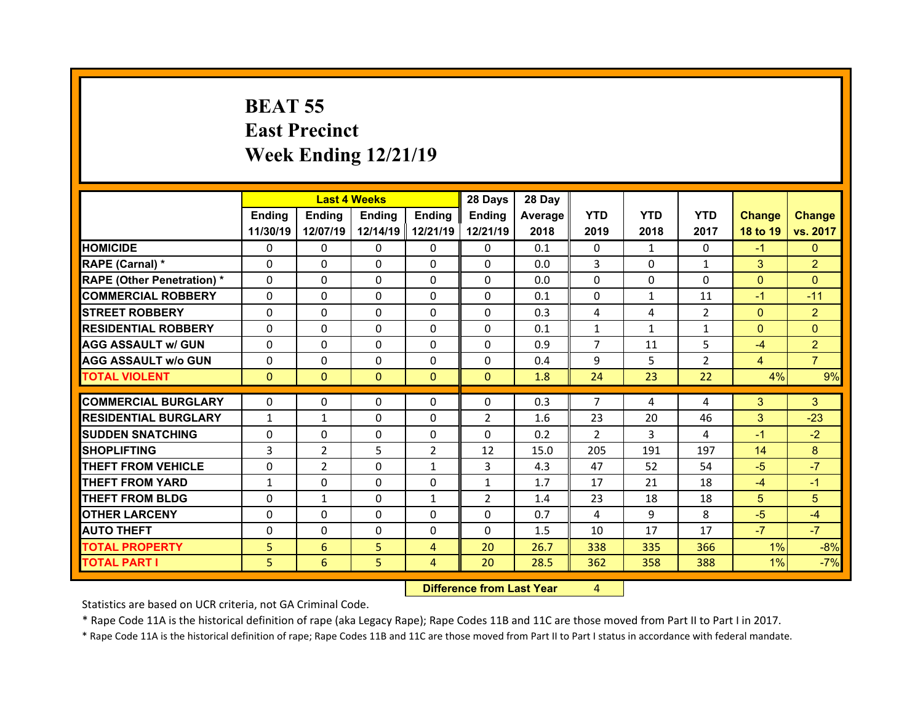## **BEAT 55 East Precinct Week Ending 12/21/19**

|                                              |              | <b>Last 4 Weeks</b> |          |                | 28 Days        | 28 Day       |                |              |                |                |                |
|----------------------------------------------|--------------|---------------------|----------|----------------|----------------|--------------|----------------|--------------|----------------|----------------|----------------|
|                                              | Ending       | <b>Endina</b>       | Ending   | <b>Endina</b>  | <b>Ending</b>  | Average      | <b>YTD</b>     | <b>YTD</b>   | <b>YTD</b>     | <b>Change</b>  | <b>Change</b>  |
|                                              | 11/30/19     | 12/07/19            | 12/14/19 | 12/21/19       | 12/21/19       | 2018         | 2019           | 2018         | 2017           | 18 to 19       | vs. 2017       |
| <b>HOMICIDE</b>                              | $\Omega$     | 0                   | 0        | $\Omega$       | 0              | 0.1          | $\Omega$       | $\mathbf{1}$ | $\Omega$       | $-1$           | $\Omega$       |
| RAPE (Carnal) *                              | $\Omega$     | 0                   | 0        | $\mathbf{0}$   | $\Omega$       | 0.0          | 3              | $\Omega$     | $\mathbf{1}$   | 3              | $\overline{2}$ |
| <b>RAPE (Other Penetration) *</b>            | $\Omega$     | 0                   | $\Omega$ | $\Omega$       | $\Omega$       | 0.0          | $\Omega$       | $\Omega$     | 0              | $\Omega$       | $\Omega$       |
| <b>COMMERCIAL ROBBERY</b>                    | $\Omega$     | 0                   | $\Omega$ | $\Omega$       | $\Omega$       | 0.1          | $\Omega$       | $\mathbf{1}$ | 11             | $-1$           | $-11$          |
| <b>STREET ROBBERY</b>                        | $\Omega$     | 0                   | $\Omega$ | $\Omega$       | $\Omega$       | 0.3          | 4              | 4            | $\overline{2}$ | $\mathbf{0}$   | $\overline{2}$ |
| <b>RESIDENTIAL ROBBERY</b>                   | $\Omega$     | 0                   | $\Omega$ | $\Omega$       | $\Omega$       | 0.1          | $\mathbf{1}$   | $\mathbf{1}$ | $\mathbf{1}$   | $\Omega$       | $\Omega$       |
| <b>AGG ASSAULT w/ GUN</b>                    | $\Omega$     | 0                   | 0        | $\Omega$       | $\Omega$       | 0.9          | $\overline{7}$ | 11           | 5              | $-4$           | $\overline{2}$ |
| <b>AGG ASSAULT w/o GUN</b>                   | 0            | 0                   | $\Omega$ | $\mathbf{0}$   | $\Omega$       | 0.4          | 9              | 5            | $\mathcal{P}$  | $\overline{4}$ | $\overline{7}$ |
| <b>TOTAL VIOLENT</b>                         | $\Omega$     | $\mathbf{0}$        | $\Omega$ | $\Omega$       | $\mathbf{0}$   | 1.8          | 24             | 23           | 22             | 4%             | 9%             |
|                                              |              |                     |          |                |                |              |                |              |                |                |                |
|                                              |              |                     |          |                |                |              |                |              |                |                |                |
| <b>COMMERCIAL BURGLARY</b>                   | $\Omega$     | 0                   | 0        | $\Omega$       | $\Omega$       | 0.3          | $\overline{7}$ | 4            | 4              | 3              | 3              |
| <b>RESIDENTIAL BURGLARY</b>                  | $\mathbf{1}$ | $\mathbf{1}$        | 0        | $\mathbf{0}$   | $\overline{2}$ | 1.6          | 23             | 20           | 46             | 3              | $-23$          |
| <b>SUDDEN SNATCHING</b>                      | $\Omega$     | 0                   | 0        | $\Omega$       | $\Omega$       | 0.2          | $\mathcal{P}$  | 3            | 4              | $-1$           | $-2$           |
| <b>SHOPLIFTING</b>                           | 3            | $\overline{2}$      | 5        | $\overline{2}$ | 12             | 15.0         | 205            | 191          | 197            | 14             | 8              |
| <b>THEFT FROM VEHICLE</b>                    | $\Omega$     | $\overline{2}$      | 0        | $\mathbf{1}$   | 3              | 4.3          | 47             | 52           | 54             | $-5$           | $-7$           |
| <b>THEFT FROM YARD</b>                       | $\mathbf{1}$ | 0                   | $\Omega$ | $\mathbf{0}$   | $\mathbf{1}$   | 1.7          | 17             | 21           | 18             | $-4$           | $-1$           |
| <b>THEFT FROM BLDG</b>                       | $\Omega$     | $\mathbf{1}$        | 0        | $\mathbf{1}$   | $\overline{2}$ | 1.4          | 23             | 18           | 18             | 5              | 5              |
| <b>OTHER LARCENY</b>                         | $\Omega$     | 0                   | $\Omega$ | $\Omega$       | $\Omega$       | 0.7          | 4              | 9            | 8              | $-5$           | $-4$           |
| <b>AUTO THEFT</b>                            | $\mathbf{0}$ | 0                   | 0        | $\mathbf{0}$   | $\Omega$       | 1.5          | 10             | 17           | 17             | $-7$           | $-7$           |
| <b>TOTAL PROPERTY</b><br><b>TOTAL PART I</b> | 5<br>5       | 6<br>6              | 5<br>5   | 4<br>4         | 20<br>20       | 26.7<br>28.5 | 338<br>362     | 335<br>358   | 366<br>388     | 1%<br>1%       | $-8%$<br>$-7%$ |

 **Difference from Last Year**r 4

Statistics are based on UCR criteria, not GA Criminal Code.

\* Rape Code 11A is the historical definition of rape (aka Legacy Rape); Rape Codes 11B and 11C are those moved from Part II to Part I in 2017.